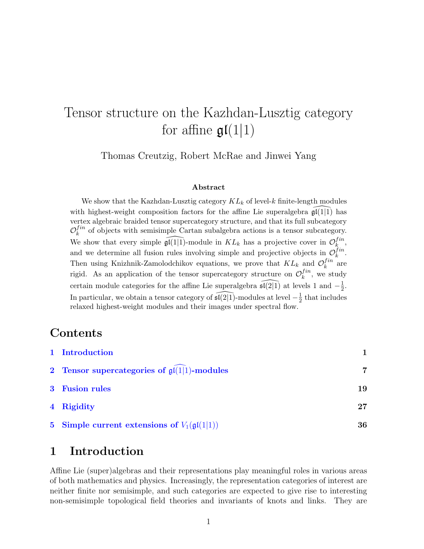# Tensor structure on the Kazhdan-Lusztig category for affine  $\mathfrak{gl}(1|1)$

Thomas Creutzig, Robert McRae and Jinwei Yang

#### Abstract

We show that the Kazhdan-Lusztig category  $KL_k$  of level-k finite-length modules with highest-weight composition factors for the affine Lie superalgebra  $\tilde{\mathfrak{gl}}(1|\tilde{1})$  has vertex algebraic braided tensor supercategory structure, and that its full subcategory  $\mathcal{O}_k^{fin}$  $\mathcal{L}_k^{in}$  of objects with semisimple Cartan subalgebra actions is a tensor subcategory. We show that every simple  $\widehat{\mathfrak{gl}(1|1)}$ -module in  $KL_k$  has a projective cover in  $\mathcal{O}_k^{fin}$  $_{k}^{In},$ and we determine all fusion rules involving simple and projective objects in  $\mathcal{O}_k^{fin}$  $_{k}^{In}.$ Then using Knizhnik-Zamolodchikov equations, we prove that  $KL_k$  and  $\mathcal{O}_k^{fin}$  $\int_k^{In}$  are rigid. As an application of the tensor supercategory structure on  $\mathcal{O}_k^{fin}$  $\mathbf{r}_k^{J}$ , we study certain module categories for the affine Lie superalgebra  $\widehat{\mathfrak{sl}(2|1)}$  at levels 1 and  $-\frac{1}{2}$  $\frac{1}{2}$ . In particular, we obtain a tensor category of  $\widehat{\mathfrak{sl}(2|1)}$ -modules at level  $-\frac{1}{2}$  $\frac{1}{2}$  that includes relaxed highest-weight modules and their images under spectral flow.

# Contents

| 1 Introduction                                            |    |
|-----------------------------------------------------------|----|
| 2 Tensor supercategories of $\mathfrak{gl}(1 1)$ -modules |    |
| 3 Fusion rules                                            | 19 |
| 4 Rigidity                                                | 27 |
| 5 Simple current extensions of $V_1(\mathfrak{gl}(1 1))$  | 36 |

# <span id="page-0-0"></span>1 Introduction

Affine Lie (super)algebras and their representations play meaningful roles in various areas of both mathematics and physics. Increasingly, the representation categories of interest are neither finite nor semisimple, and such categories are expected to give rise to interesting non-semisimple topological field theories and invariants of knots and links. They are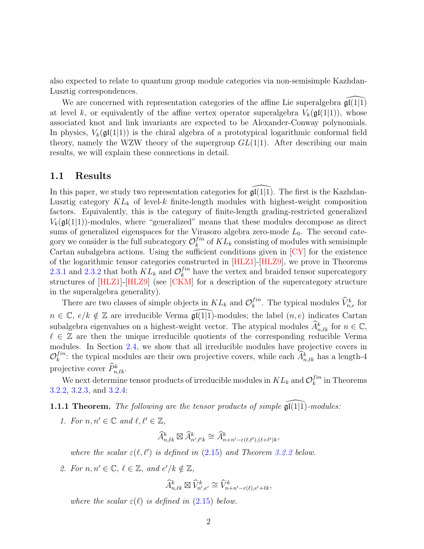also expected to relate to quantum group module categories via non-semisimple Kazhdan-Lusztig correspondences.

We are concerned with representation categories of the affine Lie superalgebra  $\mathfrak{gl}(1|1)$ at level k, or equivalently of the affine vertex operator superalgebra  $V_k(\mathfrak{gl}(1|1))$ , whose associated knot and link invariants are expected to be Alexander-Conway polynomials. In physics,  $V_k(\mathfrak{gl}(1|1))$  is the chiral algebra of a prototypical logarithmic conformal field theory, namely the WZW theory of the supergroup  $GL(1|1)$ . After describing our main results, we will explain these connections in detail.

### 1.1 Results

In this paper, we study two representation categories for  $\mathfrak{gl}(1|1)$ . The first is the Kazhdan-Lusztig category  $KL_k$  of level-k finite-length modules with highest-weight composition factors. Equivalently, this is the category of finite-length grading-restricted generalized  $V_k(\mathfrak{gl}(1|1))$ -modules, where "generalized" means that these modules decompose as direct sums of generalized eigenspaces for the Virasoro algebra zero-mode  $L_0$ . The second category we consider is the full subcategory  $\mathcal{O}_k^{fin}$  $\binom{Im}{k}$  of  $KL_k$  consisting of modules with semisimple Cartan subalgebra actions. Using the sufficient conditions given in [\[CY\]](#page-41-0) for the existence of the logarithmic tensor categories constructed in [\[HLZ1\]](#page-42-0)-[\[HLZ9\]](#page-43-0), we prove in Theorems [2.3.1](#page-12-0) and [2.3.2](#page-12-1) that both  $KL_k$  and  $\mathcal{O}_k^{fin}$  $\binom{fin}{k}$  have the vertex and braided tensor supercategory structures of [\[HLZ1\]](#page-42-0)-[\[HLZ9\]](#page-43-0) (see [\[CKM\]](#page-41-1) for a description of the supercategory structure in the superalgebra generality).

There are two classes of simple objects in  $KL_k$  and  $\mathcal{O}_k^{fin}$  $\hat{V}_{n,e}^{fin}$ . The typical modules  $\hat{V}_{n,e}^{k}$  for  $n \in \mathbb{C}$ ,  $e/k \notin \mathbb{Z}$  are irreducible Verma  $\widehat{\mathfrak{gl}}(1|\overline{1})$ -modules; the label  $(n, e)$  indicates Cartan subalgebra eigenvalues on a highest-weight vector. The atypical modules  $\widehat{A}_{n,\ell k}^k$  for  $n \in \mathbb{C}$ ,  $\ell \in \mathbb{Z}$  are then the unique irreducible quotients of the corresponding reducible Verma modules. In Section [2.4,](#page-13-0) we show that all irreducible modules have projective covers in  $\mathcal{O}_k^{fin}$  $f_n^{in}$ : the typical modules are their own projective covers, while each  $\hat{A}_{n,\ell k}^k$  has a length-4 projective cover  $\widehat{P}_{n,\ell k}^k$ .

We next determine tensor products of irreducible modules in  $KL_k$  and  $\mathcal{O}_k^{fin}$  $\int_k^{tn}$  in Theorems [3.2.2,](#page-22-0) [3.2.3,](#page-23-0) and [3.2.4:](#page-24-0)

<span id="page-1-0"></span>1.1.1 Theorem. The following are the tensor products of simple  $\mathfrak{gl}(1|1)$ -modules:

1. For  $n, n' \in \mathbb{C}$  and  $\ell, \ell' \in \mathbb{Z}$ ,

$$
\widehat{A}^k_{n,\ell k}\boxtimes \widehat{A}^k_{n',\ell' k}\cong \widehat{A}^k_{n+n'-\varepsilon(\ell,\ell'),(\ell+\ell')k},
$$

where the scalar  $\varepsilon(\ell, \ell')$  is defined in [\(2.15\)](#page-14-0) and Theorem [3.2.2](#page-22-0) below.

2. For  $n, n' \in \mathbb{C}, \ell \in \mathbb{Z}, \text{ and } e'/k \notin \mathbb{Z},$ 

$$
\widehat{A}^k_{n,\ell k} \boxtimes \widehat{V}^k_{n',e'} \cong \widehat{V}^k_{n+n'-\varepsilon(\ell),e'+\ell k},
$$

where the scalar  $\varepsilon(\ell)$  is defined in [\(2.15\)](#page-14-0) below.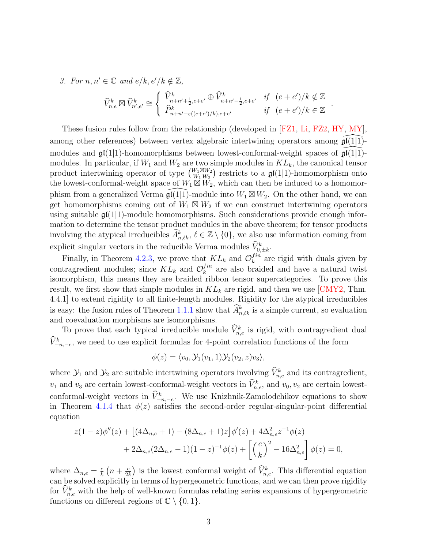3. For  $n, n' \in \mathbb{C}$  and  $e/k, e'/k \notin \mathbb{Z}$ ,

$$
\widehat{V}_{n,e}^{k} \boxtimes \widehat{V}_{n',e'}^{k} \cong \begin{cases} \widehat{V}_{n+n'+\frac{1}{2},e+e'}^{k} \oplus \widehat{V}_{n+n'-\frac{1}{2},e+e'}^{k} & \text{if } (e+e')/k \notin \mathbb{Z} \\ \widehat{P}_{n+n'+\varepsilon((e+e')/k),e+e'}^{k} & \text{if } (e+e')/k \in \mathbb{Z} \end{cases}
$$

.

These fusion rules follow from the relationship (developed in [\[FZ1,](#page-42-1) [Li,](#page-44-0) [FZ2,](#page-42-2) [HY,](#page-43-1) [MY\]](#page-44-1), among other references) between vertex algebraic intertwining operators among  $\mathfrak{gl}(1|1)$ modules and  $\mathfrak{gl}(1|1)$ -homomorphisms between lowest-conformal-weight spaces of  $\mathfrak{gl}(1|1)$ modules. In particular, if  $W_1$  and  $W_2$  are two simple modules in  $KL_k$ , the canonical tensor product intertwining operator of type  $\begin{pmatrix} W_1 \boxtimes W_2 \\ W_1 \end{pmatrix}$  $\binom{W_1 \boxtimes W_2}{W_1 W_2}$  restricts to a  $\mathfrak{gl}(1|1)$ -homomorphism onto the lowest-conformal-weight space of  $W_1 \boxtimes W_2$ , which can then be induced to a homomorphism from a generalized Verma  $\widehat{\mathfrak{gl}(1|1)}$ -module into  $W_1 \boxtimes W_2$ . On the other hand, we can get homomorphisms coming out of  $W_1 \boxtimes W_2$  if we can construct intertwining operators using suitable  $\mathfrak{gl}(1|1)$ -module homomorphisms. Such considerations provide enough information to determine the tensor product modules in the above theorem; for tensor products involving the atypical irreducibles  $\widehat{A}_{n,\ell k}^k, \ell \in \mathbb{Z} \setminus \{0\}$ , we also use information coming from explicit singular vectors in the reducible Verma modules  $\hat{V}_{0,\pm k}^k$ .

Finally, in Theorem [4.2.3,](#page-34-0) we prove that  $KL_k$  and  $\mathcal{O}_k^{fin}$  $\binom{Im}{k}$  are rigid with duals given by contragredient modules; since  $KL_k$  and  $\mathcal{O}_k^{fin}$  $\binom{Im}{k}$  are also braided and have a natural twist isomorphism, this means they are braided ribbon tensor supercategories. To prove this result, we first show that simple modules in  $KL_k$  are rigid, and then we use [\[CMY2,](#page-41-2) Thm. 4.4.1] to extend rigidity to all finite-length modules. Rigidity for the atypical irreducibles is easy: the fusion rules of Theorem [1.1.1](#page-1-0) show that  $\hat{A}_{n,\ell k}^k$  is a simple current, so evaluation and coevaluation morphisms are isomorphisms.

To prove that each typical irreducible module  $\hat{V}^k_{n,e}$  is rigid, with contragredient dual  $\hat{V}^k_{-n,-e}$ , we need to use explicit formulas for 4-point correlation functions of the form

$$
\phi(z) = \langle v_0, \mathcal{Y}_1(v_1, 1) \mathcal{Y}_2(v_2, z) v_3 \rangle,
$$

where  $\mathcal{Y}_1$  and  $\mathcal{Y}_2$  are suitable intertwining operators involving  $\hat{V}^k_{n,e}$  and its contragredient,  $v_1$  and  $v_3$  are certain lowest-conformal-weight vectors in  $\hat{V}^k_{n,e}$ , and  $v_0, v_2$  are certain lowestconformal-weight vectors in  $\hat{V}^k_{-n,-e}$ . We use Knizhnik-Zamolodchikov equations to show in Theorem [4.1.4](#page-29-0) that  $\phi(z)$  satisfies the second-order regular-singular-point differential equation

$$
z(1-z)\phi''(z) + \left[ (4\Delta_{n,e} + 1) - (8\Delta_{n,e} + 1)z \right] \phi'(z) + 4\Delta_{n,e}^2 z^{-1} \phi(z)
$$

$$
+ 2\Delta_{n,e} (2\Delta_{n,e} - 1)(1-z)^{-1} \phi(z) + \left[ \left(\frac{e}{k}\right)^2 - 16\Delta_{n,e}^2 \right] \phi(z) = 0,
$$

where  $\Delta_{n,e} = \frac{e}{k}$  $\frac{e}{k}(n+\frac{e}{2k})$  $\frac{e}{2k}$ ) is the lowest conformal weight of  $\hat{V}_{n,e}^k$ . This differential equation can be solved explicitly in terms of hypergeometric functions, and we can then prove rigidity for  $\hat{V}_{n,e}^k$  with the help of well-known formulas relating series expansions of hypergeometric functions on different regions of  $\mathbb{C} \setminus \{0, 1\}.$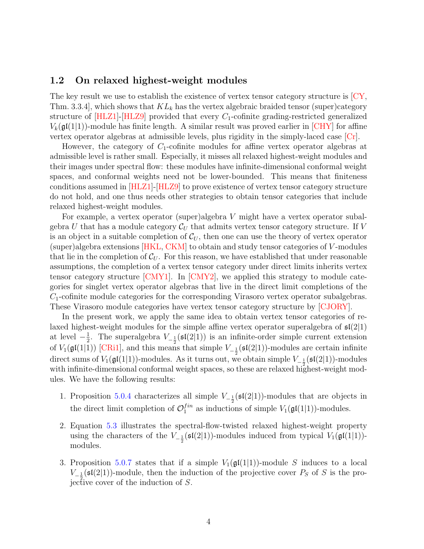### 1.2 On relaxed highest-weight modules

The key result we use to establish the existence of vertex tensor category structure is [\[CY,](#page-41-0) Thm. 3.3.4], which shows that  $KL_k$  has the vertex algebraic braided tensor (super)category structure of  $|HLZ1|$ - $|HLZ9|$  provided that every  $C_1$ -cofinite grading-restricted generalized  $V_k(\mathfrak{gl}(1|1))$ -module has finite length. A similar result was proved earlier in [\[CHY\]](#page-40-0) for affine vertex operator algebras at admissible levels, plus rigidity in the simply-laced case [\[Cr\]](#page-40-1).

However, the category of  $C_1$ -cofinite modules for affine vertex operator algebras at admissible level is rather small. Especially, it misses all relaxed highest-weight modules and their images under spectral flow: these modules have infinite-dimensional conformal weight spaces, and conformal weights need not be lower-bounded. This means that finiteness conditions assumed in [\[HLZ1\]](#page-42-0)-[\[HLZ9\]](#page-43-0) to prove existence of vertex tensor category structure do not hold, and one thus needs other strategies to obtain tensor categories that include relaxed highest-weight modules.

For example, a vertex operator (super)algebra V might have a vertex operator subalgebra U that has a module category  $\mathcal{C}_U$  that admits vertex tensor category structure. If V is an object in a suitable completion of  $\mathcal{C}_U$ , then one can use the theory of vertex operator (super)algebra extensions [\[HKL,](#page-42-3) [CKM\]](#page-41-1) to obtain and study tensor categories of V -modules that lie in the completion of  $\mathcal{C}_U$ . For this reason, we have established that under reasonable assumptions, the completion of a vertex tensor category under direct limits inherits vertex tensor category structure [\[CMY1\]](#page-41-3). In [\[CMY2\]](#page-41-2), we applied this strategy to module categories for singlet vertex operator algebras that live in the direct limit completions of the  $C_1$ -cofinite module categories for the corresponding Virasoro vertex operator subalgebras. These Virasoro module categories have vertex tensor category structure by [\[CJORY\]](#page-40-2).

In the present work, we apply the same idea to obtain vertex tensor categories of relaxed highest-weight modules for the simple affine vertex operator superalgebra of  $\mathfrak{sl}(2|1)$ at level  $-\frac{1}{2}$  $\frac{1}{2}$ . The superalgebra  $V_{-\frac{1}{2}}(\mathfrak{sl}(2|1))$  is an infinite-order simple current extension of  $V_1(\mathfrak{gl}(1|1))$  [\[CRi1\]](#page-41-4), and this means that simple  $V_{-\frac{1}{2}}(\mathfrak{sl}(2|1))$ -modules are certain infinite direct sums of  $V_1(\mathfrak{gl}(1|1))$ -modules. As it turns out, we obtain simple  $V_{-\frac{1}{2}}(\mathfrak{sl}(2|1))$ -modules with infinite-dimensional conformal weight spaces, so these are relaxed highest-weight modules. We have the following results:

- 1. Proposition [5.0.4](#page-36-0) characterizes all simple  $V_{-\frac{1}{2}}(\mathfrak{sl}(2|1))$ -modules that are objects in the direct limit completion of  $\mathcal{O}_1^{fin}$  $I_1^{in}$  as inductions of simple  $V_1(\mathfrak{gl}(1|1))$ -modules.
- 2. Equation [5.3](#page-37-0) illustrates the spectral-flow-twisted relaxed highest-weight property using the characters of the  $V_{-\frac{1}{2}}(\mathfrak{sl}(2|1))$ -modules induced from typical  $V_1(\mathfrak{gl}(1|1))$ modules.
- 3. Proposition [5.0.7](#page-38-0) states that if a simple  $V_1(\mathfrak{gl}(1|1))$ -module S induces to a local  $V_{-\frac{1}{2}}(\mathfrak{sl}(2|1))$ -module, then the induction of the projective cover  $P_S$  of S is the projective cover of the induction of  $S$ .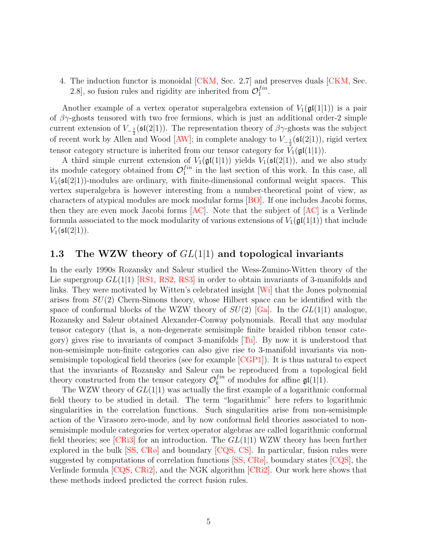4. The induction functor is monoidal [\[CKM,](#page-41-1) Sec. 2.7] and preserves duals [\[CKM,](#page-41-1) Sec. 2.8, so fusion rules and rigidity are inherited from  $\mathcal{O}_1^{fin}$  $\frac{1}{1}$ .

Another example of a vertex operator superalgebra extension of  $V_1(\mathfrak{gl}(1|1))$  is a pair of  $\beta\gamma$ -ghosts tensored with two free fermions, which is just an additional order-2 simple current extension of  $V_{-\frac{1}{2}}(\mathfrak{sl}(2|1))$ . The representation theory of  $\beta\gamma$ -ghosts was the subject of recent work by Allen and Wood [\[AW\]](#page-40-3); in complete analogy to  $V_{-\frac{1}{2}}(\mathfrak{sl}(2|1))$ , rigid vertex tensor category structure is inherited from our tensor category for  $V_1(\mathfrak{gl}(1|1))$ .

A third simple current extension of  $V_1(\mathfrak{gl}(1|1))$  yields  $V_1(\mathfrak{sl}(2|1))$ , and we also study its module category obtained from  $\mathcal{O}_1^{fin}$  $j_1^{tn}$  in the last section of this work. In this case, all  $V_1(\mathfrak{sl}(2|1))$ -modules are ordinary, with finite-dimensional conformal weight spaces. This vertex superalgebra is however interesting from a number-theoretical point of view, as characters of atypical modules are mock modular forms [\[BO\]](#page-40-4). If one includes Jacobi forms, then they are even mock Jacobi forms  $[AC]$ . Note that the subject of  $[AC]$  is a Verlinde formula associated to the mock modularity of various extensions of  $V_1(\mathfrak{gl}(1|1))$  that include  $V_1({\frak {sl}}(2|1)).$ 

## 1.3 The WZW theory of  $GL(1|1)$  and topological invariants

In the early 1990s Rozansky and Saleur studied the Wess-Zumino-Witten theory of the Lie supergroup  $GL(1|1)$  [\[RS1,](#page-44-2) [RS2,](#page-44-3) [RS3\]](#page-44-4) in order to obtain invariants of 3-manifolds and links. They were motivated by Witten's celebrated insight [\[Wi\]](#page-45-0) that the Jones polynomial arises from  $SU(2)$  Chern-Simons theory, whose Hilbert space can be identified with the space of conformal blocks of the WZW theory of  $SU(2)$  [\[Ga\]](#page-42-4). In the  $GL(1|1)$  analogue, Rozansky and Saleur obtained Alexander-Conway polynomials. Recall that any modular tensor category (that is, a non-degenerate semisimple finite braided ribbon tensor category) gives rise to invariants of compact 3-manifolds  $[T_u]$ . By now it is understood that non-semisimple non-finite categories can also give rise to 3-manifold invariants via nonsemisimple topological field theories (see for example [\[CGP1\]](#page-40-6)). It is thus natural to expect that the invariants of Rozansky and Saleur can be reproduced from a topological field theory constructed from the tensor category  $\mathcal{O}_k^{fin}$  $\mathcal{L}_k^{tm}$  of modules for affine  $\mathfrak{gl}(1|1)$ .

The WZW theory of  $GL(1|1)$  was actually the first example of a logarithmic conformal field theory to be studied in detail. The term "logarithmic" here refers to logarithmic singularities in the correlation functions. Such singularities arise from non-semisimple action of the Virasoro zero-mode, and by now conformal field theories associated to nonsemisimple module categories for vertex operator algebras are called logarithmic conformal field theories; see [\[CRi3\]](#page-41-5) for an introduction. The  $GL(1|1)$  WZW theory has been further explored in the bulk [\[SS,](#page-45-2) [CRø\]](#page-41-6) and boundary [\[CQS,](#page-41-7) [CS\]](#page-41-8). In particular, fusion rules were suggested by computations of correlation functions  $[SS, CR\phi]$ , boundary states  $[CGS]$ , the Verlinde formula [\[CQS,](#page-41-7) [CRi2\]](#page-41-9), and the NGK algorithm [\[CRi2\]](#page-41-9). Our work here shows that these methods indeed predicted the correct fusion rules.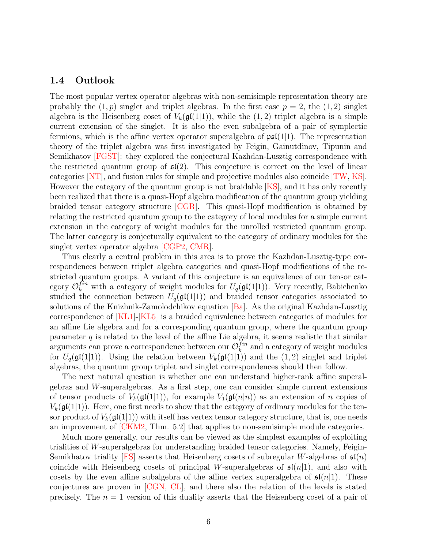## 1.4 Outlook

The most popular vertex operator algebras with non-semisimple representation theory are probably the  $(1, p)$  singlet and triplet algebras. In the first case  $p = 2$ , the  $(1, 2)$  singlet algebra is the Heisenberg coset of  $V_k(\mathfrak{gl}(1|1))$ , while the  $(1, 2)$  triplet algebra is a simple current extension of the singlet. It is also the even subalgebra of a pair of symplectic fermions, which is the affine vertex operator superalgebra of  $\mathfrak{psl}(1|1)$ . The representation theory of the triplet algebra was first investigated by Feigin, Gainutdinov, Tipunin and Semikhatov [\[FGST\]](#page-42-5): they explored the conjectural Kazhdan-Lusztig correspondence with the restricted quantum group of  $\mathfrak{sl}(2)$ . This conjecture is correct on the level of linear categories [\[NT\]](#page-44-5), and fusion rules for simple and projective modules also coincide [\[TW,](#page-45-3) [KS\]](#page-44-6). However the category of the quantum group is not braidable [\[KS\]](#page-44-6), and it has only recently been realized that there is a quasi-Hopf algebra modification of the quantum group yielding braided tensor category structure [\[CGR\]](#page-40-7). This quasi-Hopf modification is obtained by relating the restricted quantum group to the category of local modules for a simple current extension in the category of weight modules for the unrolled restricted quantum group. The latter category is conjecturally equivalent to the category of ordinary modules for the singlet vertex operator algebra [\[CGP2,](#page-40-8) [CMR\]](#page-41-10).

Thus clearly a central problem in this area is to prove the Kazhdan-Lusztig-type correspondences between triplet algebra categories and quasi-Hopf modifications of the restricted quantum groups. A variant of this conjecture is an equivalence of our tensor category  $\mathcal{O}_k^{fin}$  with a category of weight modules for  $U_q(\mathfrak{gl}(1|1))$ . Very recently, Babichenko studied the connection between  $U_q(\mathfrak{gl}(1|1))$  and braided tensor categories associated to solutions of the Knizhnik-Zamolodchikov equation [\[Ba\]](#page-40-9). As the original Kazhdan-Lusztig correspondence of [\[KL1\]](#page-43-2)-[\[KL5\]](#page-44-7) is a braided equivalence between categories of modules for an affine Lie algebra and for a corresponding quantum group, where the quantum group parameter  $q$  is related to the level of the affine Lie algebra, it seems realistic that similar arguments can prove a correspondence between our  $\mathcal{O}_k^{fin}$  $\binom{Im}{k}$  and a category of weight modules for  $U_q(\mathfrak{gl}(1|1))$ . Using the relation between  $V_k(\mathfrak{gl}(1|1))$  and the  $(1, 2)$  singlet and triplet algebras, the quantum group triplet and singlet correspondences should then follow.

The next natural question is whether one can understand higher-rank affine superalgebras and W-superalgebras. As a first step, one can consider simple current extensions of tensor products of  $V_k(\mathfrak{gl}(1|1))$ , for example  $V_1(\mathfrak{gl}(n|n))$  as an extension of n copies of  $V_k(\mathfrak{gl}(1|1))$ . Here, one first needs to show that the category of ordinary modules for the tensor product of  $V_k(\mathfrak{gl}(1|1))$  with itself has vertex tensor category structure, that is, one needs an improvement of [\[CKM2,](#page-41-11) Thm. 5.2] that applies to non-semisimple module categories.

Much more generally, our results can be viewed as the simplest examples of exploiting trialities of W-superalgebras for understanding braided tensor categories. Namely, Feigin-Semikhatov triality [\[FS\]](#page-42-6) asserts that Heisenberg cosets of subregular W-algebras of  $\mathfrak{sl}(n)$ coincide with Heisenberg cosets of principal W-superalgebras of  $\mathfrak{sl}(n|1)$ , and also with cosets by the even affine subalgebra of the affine vertex superalgebra of  $\mathfrak{sl}(n|1)$ . These conjectures are proven in [\[CGN,](#page-40-10) [CL\]](#page-41-12), and there also the relation of the levels is stated precisely. The  $n = 1$  version of this duality asserts that the Heisenberg coset of a pair of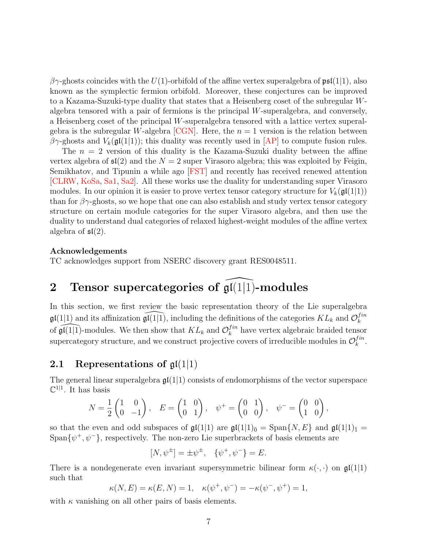$\beta\gamma$ -ghosts coincides with the U(1)-orbifold of the affine vertex superalgebra of  $\mathfrak{psl}(1|1)$ , also known as the symplectic fermion orbifold. Moreover, these conjectures can be improved to a Kazama-Suzuki-type duality that states that a Heisenberg coset of the subregular Walgebra tensored with a pair of fermions is the principal  $W$ -superalgebra, and conversely, a Heisenberg coset of the principal W-superalgebra tensored with a lattice vertex superal-gebra is the subregular W-algebra [\[CGN\]](#page-40-10). Here, the  $n = 1$  version is the relation between  $βγ$ -ghosts and  $V_k(\mathfrak{gl}(1|1))$ ; this duality was recently used in [\[AP\]](#page-40-11) to compute fusion rules.

The  $n = 2$  version of this duality is the Kazama-Suzuki duality between the affine vertex algebra of  $\mathfrak{sl}(2)$  and the  $N = 2$  super Virasoro algebra; this was exploited by Feigin, Semikhatov, and Tipunin a while ago [\[FST\]](#page-42-7) and recently has received renewed attention [\[CLRW,](#page-41-13) [KoSa,](#page-44-8) [Sa1,](#page-44-9) [Sa2\]](#page-44-10). All these works use the duality for understanding super Virasoro modules. In our opinion it is easier to prove vertex tensor category structure for  $V_k(\mathfrak{gl}(1|1))$ than for  $\beta\gamma$ -ghosts, so we hope that one can also establish and study vertex tensor category structure on certain module categories for the super Virasoro algebra, and then use the duality to understand dual categories of relaxed highest-weight modules of the affine vertex algebra of  $\mathfrak{sl}(2)$ .

#### Acknowledgements

TC acknowledges support from NSERC discovery grant RES0048511.

# <span id="page-6-0"></span>2 Tensor supercategories of  $\widehat{\mathfrak{gl}(1|1)}$ -modules

In this section, we first review the basic representation theory of the Lie superalgebra  $\mathfrak{gl}(1|1)$  and its affinization  $\widehat{\mathfrak{gl}(1|1)}$ , including the definitions of the categories  $KL_k$  and  $\mathcal{O}_k^{fin}$ k of  $\widehat{\mathfrak{gl}(1|1)}$ -modules. We then show that  $KL_k$  and  $\mathcal{O}_k^{fin}$  $\binom{tm}{k}$  have vertex algebraic braided tensor supercategory structure, and we construct projective covers of irreducible modules in  $\mathcal{O}_k^{fin}$  $_{k}^{fin}.$ 

## <span id="page-6-1"></span>2.1 Representations of  $\mathfrak{gl}(1|1)$

The general linear superalgebra  $\mathfrak{gl}(1|1)$  consists of endomorphisms of the vector superspace  $\mathbb{C}^{1|1}$ . It has basis

$$
N = \frac{1}{2} \begin{pmatrix} 1 & 0 \\ 0 & -1 \end{pmatrix}, \quad E = \begin{pmatrix} 1 & 0 \\ 0 & 1 \end{pmatrix}, \quad \psi^+ = \begin{pmatrix} 0 & 1 \\ 0 & 0 \end{pmatrix}, \quad \psi^- = \begin{pmatrix} 0 & 0 \\ 1 & 0 \end{pmatrix},
$$

so that the even and odd subspaces of  $\mathfrak{gl}(1|1)$  are  $\mathfrak{gl}(1|1)_{\bar{0}} = \text{Span}\{N, E\}$  and  $\mathfrak{gl}(1|1)_{\bar{1}} =$ Span $\{\psi^+, \psi^-\}$ , respectively. The non-zero Lie superbrackets of basis elements are

$$
[N, \psi^{\pm}] = \pm \psi^{\pm}, \quad \{\psi^+, \psi^-\} = E.
$$

There is a nondegenerate even invariant supersymmetric bilinear form  $\kappa(\cdot, \cdot)$  on  $\mathfrak{gl}(1|1)$ such that

$$
\kappa(N, E) = \kappa(E, N) = 1, \quad \kappa(\psi^+, \psi^-) = -\kappa(\psi^-, \psi^+) = 1,
$$

with  $\kappa$  vanishing on all other pairs of basis elements.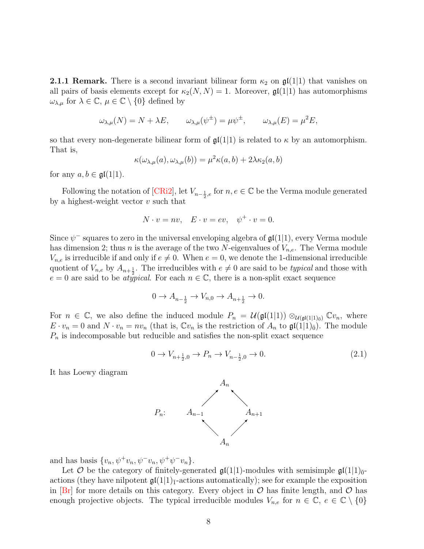<span id="page-7-0"></span>**2.1.1 Remark.** There is a second invariant bilinear form  $\kappa_2$  on  $\mathfrak{gl}(1|1)$  that vanishes on all pairs of basis elements except for  $\kappa_2(N, N) = 1$ . Moreover,  $\mathfrak{gl}(1|1)$  has automorphisms  $\omega_{\lambda,\mu}$  for  $\lambda \in \mathbb{C}, \mu \in \mathbb{C} \setminus \{0\}$  defined by

$$
\omega_{\lambda,\mu}(N) = N + \lambda E, \qquad \omega_{\lambda,\mu}(\psi^{\pm}) = \mu \psi^{\pm}, \qquad \omega_{\lambda,\mu}(E) = \mu^2 E,
$$

<span id="page-7-1"></span>so that every non-degenerate bilinear form of  $\mathfrak{gl}(1|1)$  is related to  $\kappa$  by an automorphism. That is,

$$
\kappa(\omega_{\lambda,\mu}(a), \omega_{\lambda,\mu}(b)) = \mu^2 \kappa(a, b) + 2\lambda \kappa_2(a, b)
$$

for any  $a, b \in \mathfrak{gl}(1|1)$ .

Following the notation of [\[CRi2\]](#page-41-9), let  $V_{n-\frac{1}{2},e}$  for  $n, e \in \mathbb{C}$  be the Verma module generated by a highest-weight vector  $v$  such that

$$
N \cdot v = nv, \quad E \cdot v = ev, \quad \psi^+ \cdot v = 0.
$$

Since  $\psi^-$  squares to zero in the universal enveloping algebra of  $\mathfrak{gl}(1|1)$ , every Verma module has dimension 2; thus *n* is the average of the two N-eigenvalues of  $V_{n,e}$ . The Verma module  $V_{n,e}$  is irreducible if and only if  $e \neq 0$ . When  $e = 0$ , we denote the 1-dimensional irreducible quotient of  $V_{n,e}$  by  $A_{n+\frac{1}{2}}$ . The irreducibles with  $e \neq 0$  are said to be *typical* and those with  $e = 0$  are said to be *atypical*. For each  $n \in \mathbb{C}$ , there is a non-split exact sequence

$$
0 \to A_{n-\frac{1}{2}} \to V_{n,0} \to A_{n+\frac{1}{2}} \to 0.
$$

For  $n \in \mathbb{C}$ , we also define the induced module  $P_n = \mathcal{U}(\mathfrak{gl}(1|1)) \otimes_{\mathcal{U}(\mathfrak{gl}(1|1)_{\bar{0}})} \mathbb{C}v_n$ , where  $E \cdot v_n = 0$  and  $N \cdot v_n = nv_n$  (that is,  $\mathbb{C}v_n$  is the restriction of  $A_n$  to  $\mathfrak{gl}(1|1)_{\bar{0}}$ ). The module  $P_n$  is indecomposable but reducible and satisfies the non-split exact sequence

$$
0 \to V_{n+\frac{1}{2},0} \to P_n \to V_{n-\frac{1}{2},0} \to 0. \tag{2.1}
$$

It has Loewy diagram



and has basis  $\{v_n, \psi^+ v_n, \psi^- v_n, \psi^+ \psi^- v_n\}.$ 

Let  $\mathcal O$  be the category of finitely-generated  $\mathfrak{gl}(1|1)$ -modules with semisimple  $\mathfrak{gl}(1|1)_{\bar{0}}$ actions (they have nilpotent  $\mathfrak{gl}(1|1)$ <sub>1</sub>-actions automatically); see for example the exposition in  $|Br|$  for more details on this category. Every object in  $\mathcal O$  has finite length, and  $\mathcal O$  has enough projective objects. The typical irreducible modules  $V_{n,e}$  for  $n \in \mathbb{C}$ ,  $e \in \mathbb{C} \setminus \{0\}$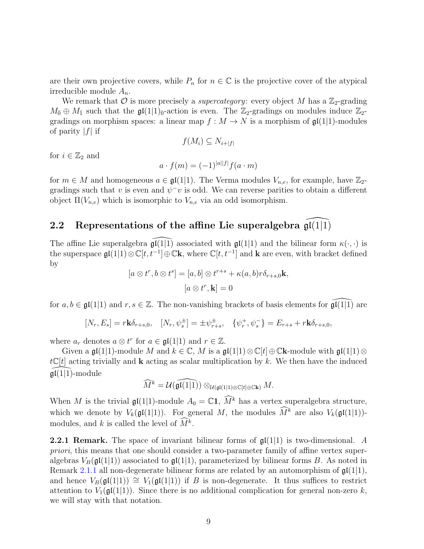are their own projective covers, while  $P_n$  for  $n \in \mathbb{C}$  is the projective cover of the atypical irreducible module  $A_n$ .

We remark that  $\mathcal O$  is more precisely a *supercategory*: every object M has a  $\mathbb Z_2$ -grading  $M_{\bar{0}} \oplus M_{\bar{1}}$  such that the  $\mathfrak{gl}(1|1)_{\bar{0}}$ -action is even. The  $\mathbb{Z}_2$ -gradings on modules induce  $\mathbb{Z}_2$ gradings on morphism spaces: a linear map  $f : M \to N$  is a morphism of  $\mathfrak{gl}(1|1)$ -modules of parity  $|f|$  if

$$
f(M_i) \subseteq N_{i+|f|}
$$

for  $i \in \mathbb{Z}_2$  and

$$
a \cdot f(m) = (-1)^{|a||f|} f(a \cdot m)
$$

for  $m \in M$  and homogeneous  $a \in \mathfrak{gl}(1|1)$ . The Verma modules  $V_{n,e}$ , for example, have  $\mathbb{Z}_2$ gradings such that v is even and  $\psi^-v$  is odd. We can reverse parities to obtain a different object  $\Pi(V_{n,e})$  which is isomorphic to  $V_{n,e}$  via an odd isomorphism.

## 2.2 Representations of the affine Lie superalgebra  $\mathfrak{gl}(1|1)$

The affine Lie superalgebra  $\mathfrak{gl}(1|1)$  associated with  $\mathfrak{gl}(1|1)$  and the bilinear form  $\kappa(\cdot, \cdot)$  is the superspace  $\mathfrak{gl}(1|1) \otimes \mathbb{C}[t, t^{-1}] \oplus \mathbb{C} \mathbf{k}$ , where  $\mathbb{C}[t, t^{-1}]$  and  $\mathbf k$  are even, with bracket defined by

$$
[a \otimes t^r, b \otimes t^s] = [a, b] \otimes t^{r+s} + \kappa(a, b)r\delta_{r+s,0}\mathbf{k},
$$

$$
[a \otimes t^r, \mathbf{k}] = 0
$$

for  $a, b \in \mathfrak{gl}(1|1)$  and  $r, s \in \mathbb{Z}$ . The non-vanishing brackets of basis elements for  $\mathfrak{gl}(1|1)$  are

$$
[N_r, E_s] = r\mathbf{k}\delta_{r+s,0}, \quad [N_r, \psi_s^{\pm}] = \pm \psi_{r+s}^{\pm}, \quad \{\psi_r^+, \psi_s^-\} = E_{r+s} + r\mathbf{k}\delta_{r+s,0},
$$

where  $a_r$  denotes  $a \otimes t^r$  for  $a \in \mathfrak{gl}(1|1)$  and  $r \in \mathbb{Z}$ .

Given a gl(1|1)-module M and  $k \in \mathbb{C}$ , M is a gl(1|1)⊗ $\mathbb{C}[t] \oplus \mathbb{C}$ k-module with gl(1|1)⊗  $t\mathbb{C}[t]$  acting trivially and **k** acting as scalar multiplication by k. We then have the induced  $\mathfrak{gl}(1|1)$ -module

$$
\widehat{M}^k = \mathcal{U}(\widehat{\mathfrak{gl}(1|1)}) \otimes_{\mathcal{U}(\mathfrak{gl}(1|1)\otimes \mathbb{C}[t]\oplus \mathbb{C}\mathbf{k})} M.
$$

When M is the trivial  $\mathfrak{gl}(1|1)$ -module  $A_0 = \mathbb{C}1$ ,  $\widehat{M}^k$  has a vertex superalgebra structure, which we denote by  $V_k(\mathfrak{gl}(1|1))$ . For general M, the modules  $\widehat{M}^k$  are also  $V_k(\mathfrak{gl}(1|1))$ modules, and k is called the level of  $\tilde{M}^k$ .

**2.2.1 Remark.** The space of invariant bilinear forms of  $\mathfrak{gl}(1|1)$  is two-dimensional. A priori, this means that one should consider a two-parameter family of affine vertex superalgebras  $V_B(\mathfrak{gl}(1|1))$  associated to  $\mathfrak{gl}(1|1)$ , parameterized by bilinear forms B. As noted in Remark [2.1.1](#page-7-0) all non-degenerate bilinear forms are related by an automorphism of  $\mathfrak{gl}(1|1)$ , and hence  $V_B(\mathfrak{gl}(1|1)) \cong V_1(\mathfrak{gl}(1|1))$  if B is non-degenerate. It thus suffices to restrict attention to  $V_1(\mathfrak{gl}(1|1))$ . Since there is no additional complication for general non-zero k, we will stay with that notation.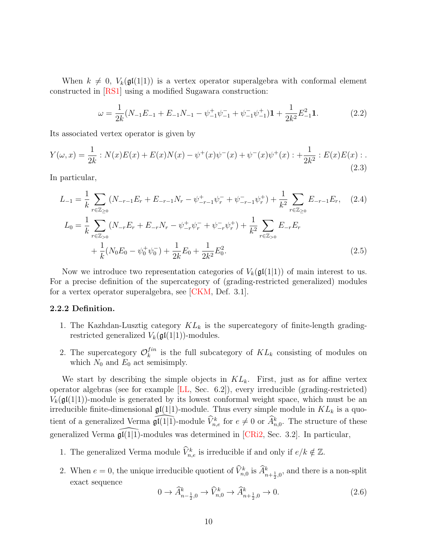When  $k \neq 0$ ,  $V_k(\mathfrak{gl}(1|1))$  is a vertex operator superalgebra with conformal element constructed in [\[RS1\]](#page-44-2) using a modified Sugawara construction:

<span id="page-9-2"></span><span id="page-9-0"></span>
$$
\omega = \frac{1}{2k} (N_{-1}E_{-1} + E_{-1}N_{-1} - \psi_{-1}^+ \psi_{-1}^- + \psi_{-1}^- \psi_{-1}^+) \mathbf{1} + \frac{1}{2k^2} E_{-1}^2 \mathbf{1}.
$$
 (2.2)

Its associated vertex operator is given by

$$
Y(\omega, x) = \frac{1}{2k} : N(x)E(x) + E(x)N(x) - \psi^+(x)\psi^-(x) + \psi^-(x)\psi^+(x) : + \frac{1}{2k^2} : E(x)E(x) : .
$$
\n(2.3)

In particular,

$$
L_{-1} = \frac{1}{k} \sum_{r \in \mathbb{Z}_{\geq 0}} (N_{-r-1} E_r + E_{-r-1} N_r - \psi_{-r-1}^+ \psi_r^- + \psi_{-r-1}^- \psi_r^+) + \frac{1}{k^2} \sum_{r \in \mathbb{Z}_{\geq 0}} E_{-r-1} E_r, \quad (2.4)
$$
  
\n
$$
L_0 = \frac{1}{k} \sum_{r \in \mathbb{Z}_{>0}} (N_{-r} E_r + E_{-r} N_r - \psi_{-r}^+ \psi_r^- + \psi_{-r}^- \psi_r^+) + \frac{1}{k^2} \sum_{r \in \mathbb{Z}_{>0}} E_{-r} E_r + \frac{1}{k} (N_0 E_0 - \psi_0^+ \psi_0^-) + \frac{1}{2k} E_0 + \frac{1}{2k^2} E_0^2.
$$
\n(2.5)

Now we introduce two representation categories of  $V_k(\mathfrak{gl}(1|1))$  of main interest to us. For a precise definition of the supercategory of (grading-restricted generalized) modules for a vertex operator superalgebra, see [\[CKM,](#page-41-1) Def. 3.1].

#### 2.2.2 Definition.

- 1. The Kazhdan-Lusztig category  $KL_k$  is the supercategory of finite-length gradingrestricted generalized  $V_k(\mathfrak{gl}(1|1))$ -modules.
- 2. The supercategory  $\mathcal{O}_k^{fin}$  $\binom{Im}{k}$  is the full subcategory of  $KL_k$  consisting of modules on which  $N_0$  and  $E_0$  act semisimply.

We start by describing the simple objects in  $KL_k$ . First, just as for affine vertex operator algebras (see for example [\[LL,](#page-44-11) Sec. 6.2]), every irreducible (grading-restricted)  $V_k(\mathfrak{gl}(1|1))$ -module is generated by its lowest conformal weight space, which must be an irreducible finite-dimensional  $\mathfrak{gl}(1|1)$ -module. Thus every simple module in  $KL_k$  is a quotient of a generalized Verma  $\widehat{\mathfrak{gl}(1|1)}$ -module  $\widehat{V}_{n,e}^k$  for  $e \neq 0$  or  $\widehat{A}_{n,0}^k$ . The structure of these generalized Verma  $\mathfrak{gl}(1|1)$ -modules was determined in [\[CRi2,](#page-41-9) Sec. 3.2]. In particular,

- 1. The generalized Verma module  $\widehat{V}_{n,e}^k$  is irreducible if and only if  $e/k \notin \mathbb{Z}$ .
- 2. When  $e = 0$ , the unique irreducible quotient of  $\hat{V}_{n,0}^k$  is  $\hat{A}_{n+\frac{1}{2},0}^k$ , and there is a non-split exact sequence

<span id="page-9-1"></span>
$$
0 \to \widehat{A}_{n-\frac{1}{2},0}^k \to \widehat{V}_{n,0}^k \to \widehat{A}_{n+\frac{1}{2},0}^k \to 0. \tag{2.6}
$$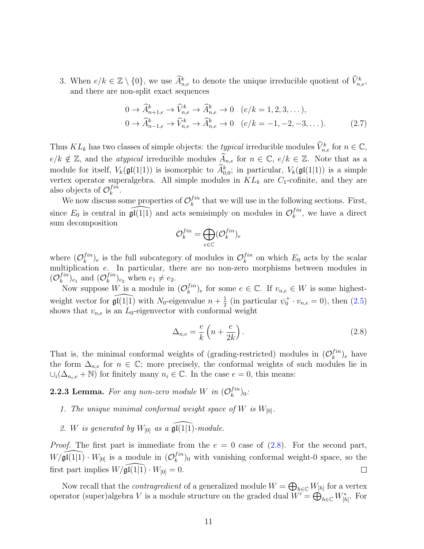3. When  $e/k \in \mathbb{Z} \setminus \{0\}$ , we use  $\widehat{A}_{n,e}^k$  to denote the unique irreducible quotient of  $\widehat{V}_{n,e}^k$ , and there are non-split exact sequences

<span id="page-10-2"></span>
$$
0 \to \widehat{A}^k_{n+1,e} \to \widehat{V}^k_{n,e} \to \widehat{A}^k_{n,e} \to 0 \quad (e/k = 1, 2, 3, ...),
$$
  
\n
$$
0 \to \widehat{A}^k_{n-1,e} \to \widehat{V}^k_{n,e} \to \widehat{A}^k_{n,e} \to 0 \quad (e/k = -1, -2, -3, ...).
$$
 (2.7)

Thus  $KL_k$  has two classes of simple objects: the *typical* irreducible modules  $\widehat{V}_{n,e}^k$  for  $n \in \mathbb{C}$ ,  $e/k \notin \mathbb{Z}$ , and the *atypical* irreducible modules  $\widehat{A}_{n,e}$  for  $n \in \mathbb{C}$ ,  $e/k \in \mathbb{Z}$ . Note that as a module for itself,  $V_k(\mathfrak{gl}(1|1))$  is isomorphic to  $\widehat{A}^k_{0,0}$ ; in particular,  $V_k(\mathfrak{gl}(1|1))$  is a simple vertex operator superalgebra. All simple modules in  $KL_k$  are  $C_1$ -cofinite, and they are also objects of  $\mathcal{O}_k^{fin}$  $_{k}^{fin}.$ 

We now discuss some properties of  $\mathcal{O}_k^{fin}$  $t_k^{in}$  that we will use in the following sections. First, since  $E_0$  is central in  $\widehat{\mathfrak{gl}(1|1)}$  and acts semisimply on modules in  $\mathcal{O}_k^{fin}$  $\binom{Im}{k}$ , we have a direct sum decomposition

$$
\mathcal{O}_k^{fin}=\bigoplus_{e\in \mathbb{C}}(\mathcal{O}_k^{fin})_e
$$

where  $(\mathcal{O}_k^{fin})$  $\binom{fin}{k}_e$  is the full subcategory of modules in  $\mathcal{O}_k^{fin}$  $\binom{Im}{k}$  on which  $E_0$  acts by the scalar multiplication e. In particular, there are no non-zero morphisms between modules in  $({\cal O}_k^{fin}$  $\binom{fin}{k}_{e_1}$  and  $(\mathcal{O}_k^{fin})$  $\binom{f^{in}}{k}_{e_2}$  when  $e_1 \neq e_2$ .

Now suppose W is a module in  $(\mathcal{O}_k^{fin})$  $\binom{fin}{k}_e$  for some  $e \in \mathbb{C}$ . If  $v_{n,e} \in W$  is some highestweight vector for  $\widehat{\mathfrak{gl}(1|1)}$  with N<sub>0</sub>-eigenvalue  $n + \frac{1}{2}$  $\frac{1}{2}$  (in particular  $\psi_0^{\dagger} \cdot v_{n,e} = 0$ ), then  $(2.5)$ shows that  $v_{n,e}$  is an  $L_0$ -eigenvector with conformal weight

<span id="page-10-0"></span>
$$
\Delta_{n,e} = \frac{e}{k} \left( n + \frac{e}{2k} \right). \tag{2.8}
$$

That is, the minimal conformal weights of (grading-restricted) modules in  $(\mathcal{O}_k^{fin})$  $\binom{Im}{k}$ <sub>e</sub> have the form  $\Delta_{n,e}$  for  $n \in \mathbb{C}$ ; more precisely, the conformal weights of such modules lie in  $\cup_i(\Delta_{n_i,e} + \mathbb{N})$  for finitely many  $n_i \in \mathbb{C}$ . In the case  $e = 0$ , this means:

#### <span id="page-10-1"></span>**2.2.3 Lemma.** For any non-zero module W in  $(\mathcal{O}_k^{fin})$  $_{k}^{fin})_{0}$  :

- 1. The unique minimal conformal weight space of W is  $W_{[0]}$ .
- 2. W is generated by  $W_{[0]}$  as a  $\widehat{\mathfrak{gl}(1|1)}$ -module.

*Proof.* The first part is immediate from the  $e = 0$  case of  $(2.8)$ . For the second part,  $W/\widehat{\mathfrak{gl}(1|1)} \cdot W_{[0]}$  is a module in  $(\mathcal{O}_k^{fin})$  $\binom{Im}{k}_0$  with vanishing conformal weight-0 space, so the first part implies  $W/\mathfrak{gl}(1|1) \cdot W_{[0]} = 0.$  $\Box$ 

Now recall that the *contragredient* of a generalized module  $W = \bigoplus_{h \in \mathbb{C}} W_{[h]}$  for a vertex operator (super)algebra V is a module structure on the graded dual  $W' = \bigoplus_{h \in \mathbb{C}} W_{[h]}^*$ . For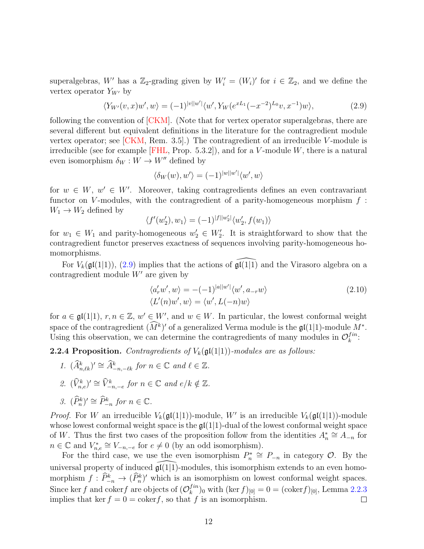superalgebras, W' has a  $\mathbb{Z}_2$ -grading given by  $W'_i = (W_i)'$  for  $i \in \mathbb{Z}_2$ , and we define the vertex operator  $Y_{W'}$  by

<span id="page-11-0"></span>
$$
\langle Y_{W'}(v,x)w',w\rangle = (-1)^{|v||w'|}\langle w', Y_W(e^{xL_1}(-x^{-2})^{L_0}v, x^{-1})w\rangle, \tag{2.9}
$$

following the convention of [\[CKM\]](#page-41-1). (Note that for vertex operator superalgebras, there are several different but equivalent definitions in the literature for the contragredient module vertex operator; see  $[CKM, Rem. 3.5]$ .) The contragredient of an irreducible V-module is irreducible (see for example [\[FHL,](#page-42-8) Prop. 5.3.2]), and for a V-module W, there is a natural even isomorphism  $\delta_W : W \to W''$  defined by

$$
\langle \delta_W(w), w' \rangle = (-1)^{|w||w'|} \langle w', w \rangle
$$

for  $w \in W$ ,  $w' \in W'$ . Moreover, taking contragredients defines an even contravariant functor on V-modules, with the contragredient of a parity-homogeneous morphism  $f$ :  $W_1 \rightarrow W_2$  defined by

$$
\langle f'(w_2'), w_1 \rangle = (-1)^{|f||w_2'|} \langle w_2', f(w_1) \rangle
$$

for  $w_1 \in W_1$  and parity-homogeneous  $w_2 \in W_2'$ . It is straightforward to show that the contragredient functor preserves exactness of sequences involving parity-homogeneous homomorphisms.

For  $V_k(\mathfrak{gl}(1|1)),$  [\(2.9\)](#page-11-0) implies that the actions of  $\mathfrak{gl}(1|1)$  and the Virasoro algebra on a contragredient module  $W'$  are given by

<span id="page-11-2"></span>
$$
\langle a'_r w', w \rangle = -(-1)^{|a||w'|} \langle w', a_{-r} w \rangle
$$
  

$$
\langle L'(n)w', w \rangle = \langle w', L(-n)w \rangle
$$
 (2.10)

for  $a \in \mathfrak{gl}(1|1)$ ,  $r, n \in \mathbb{Z}$ ,  $w' \in W'$ , and  $w \in W$ . In particular, the lowest conformal weight space of the contragredient  $(M^k)'$  of a generalized Verma module is the  $\mathfrak{gl}(1|1)$ -module  $M^*$ . Using this observation, we can determine the contragredients of many modules in  $\mathcal{O}_k^{fin}$  $_{k}^{fin}$ :

<span id="page-11-1"></span>**2.2.4 Proposition.** Contragredients of  $V_k(\mathfrak{gl}(1|1))$ -modules are as follows:

- 1.  $(\widehat{A}_{n,\ell k}^k)' \cong \widehat{A}_{-n,-\ell k}^k$  for  $n \in \mathbb{C}$  and  $\ell \in \mathbb{Z}$ .
- 2.  $(\widehat{V}_{n,e}^k)' \cong \widehat{V}_{-n,-e}^k$  for  $n \in \mathbb{C}$  and  $e/k \notin \mathbb{Z}$ .
- 3.  $(\widehat{P}_n^k)' \cong \widehat{P}_{-n}^k$  for  $n \in \mathbb{C}$ .

*Proof.* For W an irreducible  $V_k(\mathfrak{gl}(1|1))$ -module, W' is an irreducible  $V_k(\mathfrak{gl}(1|1))$ -module whose lowest conformal weight space is the  $\mathfrak{gl}(1|1)$ -dual of the lowest conformal weight space of W. Thus the first two cases of the proposition follow from the identities  $A_n^* \cong A_{-n}$  for  $n \in \mathbb{C}$  and  $V_{n,e}^* \cong V_{-n,-e}$  for  $e \neq 0$  (by an odd isomorphism).

For the third case, we use the even isomorphism  $P_n^* \cong P_{-n}$  in category  $\mathcal{O}$ . By the universal property of induced  $\mathfrak{gl}(1|1)$ -modules, this isomorphism extends to an even homomorphism  $f : \hat{P}_{-n}^k \to (\hat{P}_n^k)'$  which is an isomorphism on lowest conformal weight spaces. Since ker f and cokerf are objects of  $(\mathcal{O}_k^{fin})$  $\binom{1}{k}$  with  $(\ker f)_{[0]} = 0 = (\text{coker} f)_{[0]}$ , Lemma [2.2.3](#page-10-1) implies that ker  $f = 0 = \text{coker } f$ , so that f is an isomorphism.  $\Box$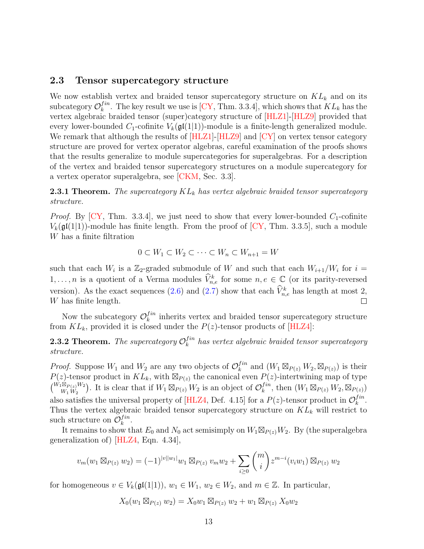#### 2.3 Tensor supercategory structure

We now establish vertex and braided tensor supercategory structure on  $KL_k$  and on its subcategory  $\mathcal{O}_k^{fin}$  $k^{tn}$ . The key result we use is [\[CY,](#page-41-0) Thm. 3.3.4], which shows that  $KL_k$  has the vertex algebraic braided tensor (super)category structure of [\[HLZ1\]](#page-42-0)-[\[HLZ9\]](#page-43-0) provided that every lower-bounded  $C_1$ -cofinite  $V_k(\mathfrak{gl}(1|1))$ -module is a finite-length generalized module. We remark that although the results of [\[HLZ1\]](#page-42-0)-[\[HLZ9\]](#page-43-0) and [\[CY\]](#page-41-0) on vertex tensor category structure are proved for vertex operator algebras, careful examination of the proofs shows that the results generalize to module supercategories for superalgebras. For a description of the vertex and braided tensor supercategory structures on a module supercategory for a vertex operator superalgebra, see [\[CKM,](#page-41-1) Sec. 3.3].

<span id="page-12-0"></span>**2.3.1 Theorem.** The supercategory  $KL_k$  has vertex algebraic braided tensor supercategory structure.

*Proof.* By [\[CY,](#page-41-0) Thm. 3.3.4], we just need to show that every lower-bounded  $C_1$ -cofinite  $V_k(\mathfrak{gl}(1|1))$ -module has finite length. From the proof of  $\left[\text{CY}, \text{Thm. } 3.3.5\right]$ , such a module W has a finite filtration

$$
0 \subset W_1 \subset W_2 \subset \cdots \subset W_n \subset W_{n+1} = W
$$

such that each  $W_i$  is a Z<sub>2</sub>-graded submodule of W and such that each  $W_{i+1}/W_i$  for  $i =$  $1, \ldots, n$  is a quotient of a Verma modules  $\widehat{V}_{n,e}^k$  for some  $n, e \in \mathbb{C}$  (or its parity-reversed version). As the exact sequences [\(2.6\)](#page-9-1) and [\(2.7\)](#page-10-2) show that each  $\hat{V}_{n,e}^{k}$  has length at most 2, W has finite length.  $\Box$ 

Now the subcategory  $\mathcal{O}_k^{fin}$  $\binom{Im}{k}$  inherits vertex and braided tensor supercategory structure from  $KL_k$ , provided it is closed under the  $P(z)$ -tensor products of [\[HLZ4\]](#page-43-3):

<span id="page-12-1"></span>**2.3.2 Theorem.** The supercategory  $\mathcal{O}_k^{fin}$  $\mathcal{L}^{in}_k$  has vertex algebraic braided tensor supercategory structure.

*Proof.* Suppose  $W_1$  and  $W_2$  are any two objects of  $\mathcal{O}_k^{fin}$  $\int_k^{fin}$  and  $(W_1 \boxtimes_{P(z)} W_2, \boxtimes_{P(z)})$  is their  $P(z)$ -tensor product in  $KL_k$ , with  $\mathbb{Z}_{P(z)}$  the canonical even  $P(z)$ -intertwining map of type  $\left(\begin{matrix} W_1 \boxtimes_{P(z)} W_2 \\ W & W \end{matrix}\right)$  $W_1 W_2 W_2$ ). It is clear that if  $W_1 \boxtimes_{P(z)} W_2$  is an object of  $\mathcal{O}_k^{fin}$  $\int_k^{fin}$ , then  $(W_1 \boxtimes_{P(z)} W_2, \boxtimes_{P(z)})$ also satisfies the universal property of [\[HLZ4,](#page-43-3) Def. 4.15] for a  $P(z)$ -tensor product in  $\mathcal{O}_k^{fin}$  $_{k}^{fin}.$ Thus the vertex algebraic braided tensor supercategory structure on  $KL_k$  will restrict to such structure on  $\mathcal{O}_k^{fin}$  $_{k}^{fin}.$ 

It remains to show that  $E_0$  and  $N_0$  act semisimply on  $W_1 \boxtimes_{P(z)} W_2$ . By (the superalgebra generalization of) [\[HLZ4,](#page-43-3) Eqn. 4.34],

$$
v_m(w_1 \boxtimes_{P(z)} w_2) = (-1)^{|v||w_1|} w_1 \boxtimes_{P(z)} v_m w_2 + \sum_{i \geq 0} {m \choose i} z^{m-i} (v_i w_1) \boxtimes_{P(z)} w_2
$$

for homogeneous  $v \in V_k(\mathfrak{gl}(1|1)), w_1 \in W_1, w_2 \in W_2$ , and  $m \in \mathbb{Z}$ . In particular,

$$
X_0(w_1 \boxtimes_{P(z)} w_2) = X_0 w_1 \boxtimes_{P(z)} w_2 + w_1 \boxtimes_{P(z)} X_0 w_2
$$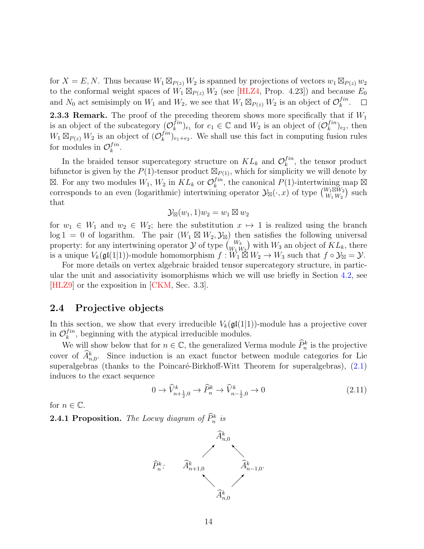for  $X = E, N$ . Thus because  $W_1 \boxtimes_{P(z)} W_2$  is spanned by projections of vectors  $w_1 \boxtimes_{P(z)} w_2$ to the conformal weight spaces of  $\hat{W_1} \boxtimes_{P(z)} \hat{W_2}$  (see [\[HLZ4,](#page-43-3) Prop. 4.23]) and because  $E_0$ and  $N_0$  act semisimply on  $W_1$  and  $W_2$ , we see that  $W_1 \boxtimes_{P(z)} W_2$  is an object of  $\mathcal{O}_k^{fin}$  $_{k}^{fin}.$ 

<span id="page-13-3"></span>**2.3.3 Remark.** The proof of the preceding theorem shows more specifically that if  $W_1$ is an object of the subcategory  $(\mathcal{O}_k^{fin})$  ${}_{k}^{fin}$ <sub>e<sub>1</sub></sub> for  $e_1 \in \mathbb{C}$  and  $W_2$  is an object of  $(\mathcal{O}_k^{fin})$  $_{k}^{fin}$ )<sub>e<sub>2</sub></sub>, then  $W_1 \boxtimes_{P(z)} W_2$  is an object of  $(\mathcal{O}_k^{fin})$  $\binom{J^{in}}{k}_{e_1+e_2}$ . We shall use this fact in computing fusion rules for modules in  $\mathcal{O}_k^{fin}$  $_{k}^{fin}.$ 

In the braided tensor supercategory structure on  $KL_k$  and  $\mathcal{O}_k^{fin}$  $\binom{f^{in}}{k}$ , the tensor product bifunctor is given by the  $P(1)$ -tensor product  $\mathbb{Z}_{P(1)}$ , which for simplicity we will denote by  $\boxtimes$ . For any two modules  $W_1, W_2$  in  $KL_k$  or  $\mathcal{O}_k^{fin}$  $\boxtimes$ . For any two modules  $W_1, W_2$  in  $KL_k$  or  $\mathcal{O}_k^{fin}$ , the canonical  $P(1)$ -intertwining map  $\boxtimes$  corresponds to an even (logarithmic) intertwining operator  $\mathcal{Y}_{\boxtimes}(\cdot, x)$  of type  $\binom{W_1 \boxtimes W_2}{W_1 \cup W_2}$  such  $\frac{W_{1}\boxtimes W_{2}}{W_{1}\,W_{2}}$  such that

$$
\mathcal{Y}_{\boxtimes}(w_1,1)w_2=w_1\boxtimes w_2
$$

for  $w_1 \in W_1$  and  $w_2 \in W_2$ ; here the substitution  $x \mapsto 1$  is realized using the branch  $log 1 = 0$  of logarithm. The pair  $(W_1 \boxtimes W_2, \mathcal{Y}_{\boxtimes})$  then satisfies the following universal property: for any intertwining operator  $\mathcal Y$  of type  ${W_3 \choose W_1 W_2}$  with  $W_3$  an object of  $KL_k$ , there is a unique  $V_k(\mathfrak{gl}(1|1))$ -module homomorphism  $f: W_1 \boxtimes W_2 \to W_3$  such that  $f \circ \mathcal{Y}_{\boxtimes} = \mathcal{Y}$ .

For more details on vertex algebraic braided tensor supercategory structure, in particular the unit and associativity isomorphisms which we will use briefly in Section [4.2,](#page-31-0) see [\[HLZ9\]](#page-43-0) or the exposition in [\[CKM,](#page-41-1) Sec. 3.3].

## <span id="page-13-0"></span>2.4 Projective objects

In this section, we show that every irreducible  $V_k(\mathfrak{gl}(1|1))$ -module has a projective cover in  $\mathcal{O}_k^{fin}$  $l_k^{in}$ , beginning with the atypical irreducible modules.

We will show below that for  $n \in \mathbb{C}$ , the generalized Verma module  $\widehat{P}_n^k$  is the projective cover of  $\hat{A}_{n,0}^k$ . Since induction is an exact functor between module categories for Lie superalgebras (thanks to the Poincaré-Birkhoff-Witt Theorem for superalgebras),  $(2.1)$ induces to the exact sequence

<span id="page-13-1"></span>
$$
0 \to \widehat{V}_{n+\frac{1}{2},0}^k \to \widehat{P}_n^k \to \widehat{V}_{n-\frac{1}{2},0}^k \to 0
$$
\n(2.11)

for  $n \in \mathbb{C}$ .

<span id="page-13-2"></span>**2.4.1 Proposition.** The Loewy diagram of  $\hat{P}_n^k$  is

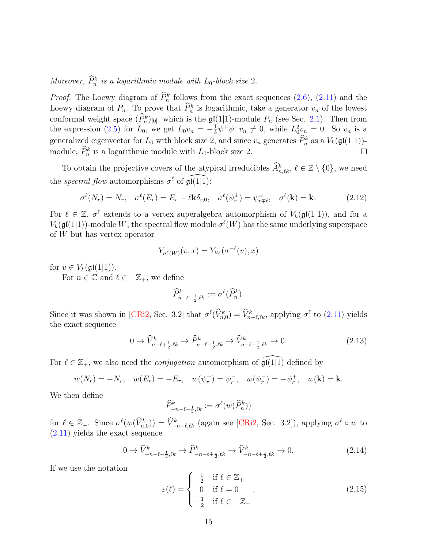Moreover,  $\hat{P}_n^k$  is a logarithmic module with  $L_0$ -block size 2.

*Proof.* The Loewy diagram of  $\hat{P}_n^k$  follows from the exact sequences [\(2.6\)](#page-9-1), [\(2.11\)](#page-13-1) and the Loewy diagram of  $P_n$ . To prove that  $\hat{P}_n^k$  is logarithmic, take a generator  $v_n$  of the lowest conformal weight space  $(\widehat{P}_n^k)_{[0]}$ , which is the  $\mathfrak{gl}(1|1)$ -module  $P_n$  (see Sec. [2.1\)](#page-6-1). Then from the expression [\(2.5\)](#page-9-0) for  $L_0$ , we get  $L_0v_n = -\frac{1}{k}$  $\frac{1}{k}\psi^+\psi^-v_n\neq 0$ , while  $L_0^2v_n=0$ . So  $v_n$  is a generalized eigenvector for  $L_0$  with block size 2, and since  $v_n$  generates  $\hat{P}_n^k$  as a  $V_k(\mathfrak{gl}(1|1))$ module,  $\hat{P}_n^k$  is a logarithmic module with  $L_0$ -block size 2. П

To obtain the projective covers of the atypical irreducibles  $\widehat{A}^k_{n,\ell k}, \ell \in \mathbb{Z} \setminus \{0\}$ , we need the *spectral flow* automorphisms  $\sigma^{\ell}$  of  $\widehat{\mathfrak{gl}(1|1)}$ :

$$
\sigma^{\ell}(N_r) = N_r, \quad \sigma^{\ell}(E_r) = E_r - \ell \mathbf{k} \delta_{r,0}, \quad \sigma^{\ell}(\psi_r^{\pm}) = \psi_{r \mp \ell}^{\pm}, \quad \sigma^{\ell}(\mathbf{k}) = \mathbf{k}.\tag{2.12}
$$

For  $\ell \in \mathbb{Z}$ ,  $\sigma^{\ell}$  extends to a vertex superalgebra automorphism of  $V_k(\mathfrak{gl}(1|1))$ , and for a  $V_k(\mathfrak{gl}(1|1))$ -module W, the spectral flow module  $\sigma^{\ell}(W)$  has the same underlying superspace of W but has vertex operator

$$
Y_{\sigma^{\ell}(W)}(v, x) = Y_W(\sigma^{-\ell}(v), x)
$$

for  $v \in V_k(\mathfrak{gl}(1|1))$ .

For  $n \in \mathbb{C}$  and  $\ell \in -\mathbb{Z}_+$ , we define

$$
\widehat{P}_{n-\ell-\frac{1}{2},\ell k}^k:=\sigma^\ell(\widehat{P}_n^k).
$$

Since it was shown in [\[CRi2,](#page-41-9) Sec. 3.2] that  $\sigma^{\ell}(\hat{V}_{n,0}^{k}) = \hat{V}_{n-\ell,\ell k}^{k}$ , applying  $\sigma^{\ell}$  to [\(2.11\)](#page-13-1) yields the exact sequence

<span id="page-14-1"></span>
$$
0 \to \widehat{V}_{n-\ell+\frac{1}{2},\ell k}^k \to \widehat{P}_{n-\ell-\frac{1}{2},\ell k}^k \to \widehat{V}_{n-\ell-\frac{1}{2},\ell k}^k \to 0. \tag{2.13}
$$

For  $\ell \in \mathbb{Z}_+$ , we also need the *conjugation* automorphism of  $\mathfrak{gl}(1|1)$  defined by

$$
w(N_r) = -N_r
$$
,  $w(E_r) = -E_r$ ,  $w(\psi_r^+) = \psi_r^-, w(\psi_r^-) = -\psi_r^+$ ,  $w(\mathbf{k}) = \mathbf{k}$ .

We then define

$$
\widehat{P}^k_{-n-\ell+\frac{1}{2},\ell k} := \sigma^\ell(w(\widehat{P}^k_n))
$$

for  $\ell \in \mathbb{Z}_+$ . Since  $\sigma^{\ell}(w(\widehat{V}_{n,0}^k)) = \widehat{V}_{-n-\ell,\ell,k}^k$  (again see [\[CRi2,](#page-41-9) Sec. 3.2]), applying  $\sigma^{\ell} \circ w$  to [\(2.11\)](#page-13-1) yields the exact sequence

<span id="page-14-2"></span>
$$
0 \to \widehat{V}^k_{-n-\ell-\frac{1}{2},\ell k} \to \widehat{P}^k_{-n-\ell+\frac{1}{2},\ell k} \to \widehat{V}^k_{-n-\ell+\frac{1}{2},\ell k} \to 0.
$$
 (2.14)

If we use the notation

<span id="page-14-0"></span>
$$
\varepsilon(\ell) = \begin{cases}\n\frac{1}{2} & \text{if } \ell \in \mathbb{Z}_+ \\
0 & \text{if } \ell = 0 \\
-\frac{1}{2} & \text{if } \ell \in -\mathbb{Z}_+\n\end{cases}
$$
\n(2.15)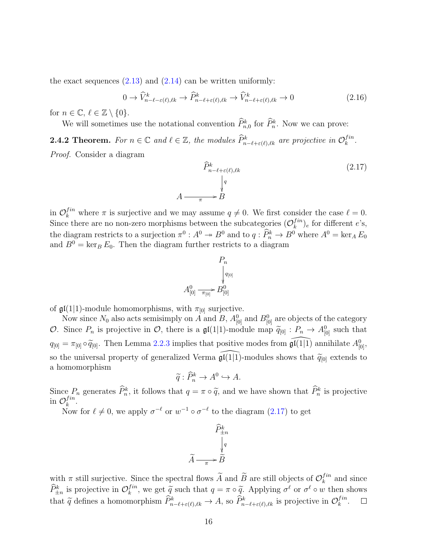the exact sequences  $(2.13)$  and  $(2.14)$  can be written uniformly:

<span id="page-15-1"></span>
$$
0 \to \widehat{V}_{n-\ell-\varepsilon(\ell),\ell k}^k \to \widehat{P}_{n-\ell+\varepsilon(\ell),\ell k}^k \to \widehat{V}_{n-\ell+\varepsilon(\ell),\ell k}^k \to 0
$$
\n
$$
(2.16)
$$

for  $n \in \mathbb{C}, \ell \in \mathbb{Z} \setminus \{0\}.$ 

We will sometimes use the notational convention  $\tilde{P}_{n,0}^k$  for  $\tilde{P}_n^k$ . Now we can prove:

**2.4.2 Theorem.** For  $n \in \mathbb{C}$  and  $\ell \in \mathbb{Z}$ , the modules  $\widehat{P}_{n-\ell+\varepsilon(\ell),\ell k}^k$  are projective in  $\mathcal{O}_k^{fin}$  $_{k}^{fin}.$ Proof. Consider a diagram

<span id="page-15-0"></span>
$$
\widehat{P}_{n-\ell+\varepsilon(\ell),\ell k}^{k} \tag{2.17}
$$
\n
$$
A \xrightarrow{\pi} B
$$

in  $\mathcal{O}_k^{fin}$  where  $\pi$  is surjective and we may assume  $q \neq 0$ . We first consider the case  $\ell = 0$ . Since there are no non-zero morphisms between the subcategories  $(\mathcal{O}_k^{fin})$  $\binom{Im}{k}$  for different e's, the diagram restricts to a surjection  $\pi^0$ :  $A^0 \to B^0$  and to  $q : \hat{P}_n^k \to B^0$  where  $A^0 = \ker_A E_0$ and  $B^0 = \ker_B E_0$ . Then the diagram further restricts to a diagram

$$
P_n
$$
  
\n
$$
A_{[0]}^0 \xrightarrow{\pi_{[0]}} B_{[0]}^0
$$

of  $\mathfrak{gl}(1|1)$ -module homomorphisms, with  $\pi_{[0]}$  surjective.

Now since  $N_0$  also acts semisimply on A and B,  $A_{[0]}^0$  and  $B_{[0]}^0$  are objects of the category O. Since  $P_n$  is projective in O, there is a  $\mathfrak{gl}(1|1)$ -module map  $\widetilde{q}_{[0]} : P_n \to A^0_{[0]}$  such that  $q_{[0]} = \pi_{[0]} \circ \widetilde{q}_{[0]}$ . Then Lemma [2.2.3](#page-10-1) implies that positive modes from  $\widehat{\mathfrak{gl}(1|1)}$  annihilate  $A^0_{[0]},$ so the universal property of generalized Verma  $\widehat{\mathfrak{gl}}(1|\overline{1})$ -modules shows that  $\widetilde{q}_{[0]}$  extends to a homomorphism

$$
\widetilde{q}: \widehat{P}_n^k \to A^0 \hookrightarrow A.
$$

Since  $P_n$  generates  $\hat{P}_n^k$ , it follows that  $q = \pi \circ \tilde{q}$ , and we have shown that  $\hat{P}_n^k$  is projective  $\hat{P}_n^{fin}$ in  $\mathcal{O}_k^{fin}$  $_{k}^{fin}.$ 

Now for  $\ell \neq 0$ , we apply  $\sigma^{-\ell}$  or  $w^{-1} \circ \sigma^{-\ell}$  to the diagram  $(2.17)$  to get

$$
\widetilde{P}_{\pm n}^k
$$
\n
$$
\widetilde{A} \xrightarrow[\pi]{\pi} \widetilde{B}
$$

with  $\pi$  still surjective. Since the spectral flows  $\widetilde{A}$  and  $\widetilde{B}$  are still objects of  $\mathcal{O}_k^{fin}$  $k^{in}$  and since  $\widehat{P}_{\pm n}^{k}$  is projective in  $\mathcal{O}_k^{fin}$  $\tilde{k}^{fin}$ , we get  $\tilde{q}$  such that  $q = \pi \circ \tilde{q}$ . Applying  $\sigma^{\ell}$  or  $\sigma^{\ell} \circ w$  then shows that  $\tilde{q}$  defines a homomorphism  $\hat{P}_{n-\ell+\varepsilon(\ell),\ell k}^k \to A$ , so  $\hat{P}_{n-\ell+\varepsilon(\ell),\ell k}^k$  is projective in  $\mathcal{O}_k^{fin}$  $_{k}^{fin}.$  $\Box$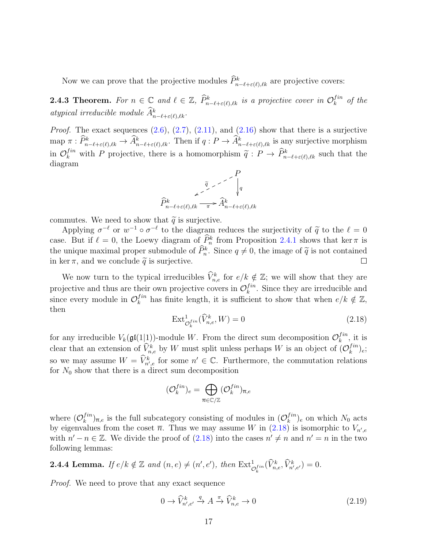Now we can prove that the projective modules  $\tilde{P}_{n-\ell+\varepsilon(\ell),\ell k}^k$  are projective covers:

**2.4.3 Theorem.** For  $n \in \mathbb{C}$  and  $\ell \in \mathbb{Z}$ ,  $\widehat{P}_{n-\ell+\varepsilon(\ell),\ell k}^k$  is a projective cover in  $\mathcal{O}_k^{fin}$  $\int_k^{tn}$  of the atypical irreducible module  $\hat{A}_{n-\ell+\varepsilon(\ell),\ell k}^k$ .

*Proof.* The exact sequences  $(2.6)$ ,  $(2.7)$ ,  $(2.11)$ , and  $(2.16)$  show that there is a surjective  $\text{map } \pi : \widehat{P}_{n-\ell+\varepsilon(\ell),\ell k}^k \to \widehat{A}_{n-\ell+\varepsilon(\ell),\ell k}^k.$  Then if  $q : P \to \widehat{A}_{n-\ell+\varepsilon(\ell),\ell k}^k$  is any surjective morphism in  $\mathcal{O}_k^{fin}$  with P projective, there is a homomorphism  $\tilde{q}: P \to \hat{P}_{n-\ell+\varepsilon(\ell),\ell k}^k$  such that the diagram diagram



commutes. We need to show that  $\tilde{q}$  is surjective.

Applying  $\sigma^{-\ell}$  or  $w^{-1} \circ \sigma^{-\ell}$  to the diagram reduces the surjectivity of  $\tilde{q}$  to the  $\ell = 0$ <br>on But if  $\ell = 0$ , the Logary diagram of  $\tilde{P}^k$  from Proposition 2.4.1 shows that  $\ker \pi$  is case. But if  $\ell = 0$ , the Loewy diagram of  $\widehat{P}_n^k$  from Proposition [2.4.1](#page-13-2) shows that ker  $\pi$  is the unique maximal proper submodule of  $\hat{P}_n^k$ . Since  $q \neq 0$ , the image of  $\tilde{q}$  is not contained<br>in  $\ker \pi$ , and we conclude  $\tilde{q}$  is surjective in ker  $\pi$ , and we conclude  $\tilde{q}$  is surjective.

We now turn to the typical irreducibles  $\widehat{V}_{n,e}^k$  for  $e/k \notin \mathbb{Z}$ ; we will show that they are projective and thus are their own projective covers in  $\mathcal{O}_k^{fin}$  $\binom{Im}{k}$ . Since they are irreducible and since every module in  $\mathcal{O}_k^{fin}$  $h_k^{fin}$  has finite length, it is sufficient to show that when  $e/k \notin \mathbb{Z}$ , then

<span id="page-16-0"></span>
$$
\operatorname{Ext}^1_{\mathcal{O}_k^{fin}}(\widehat{V}_{n,e}^k, W) = 0
$$
\n(2.18)

for any irreducible  $V_k(\mathfrak{gl}(1|1))$ -module W. From the direct sum decomposition  $\mathcal{O}_k^{fin}$  $\frac{f^{in}}{k}$ , it is clear that an extension of  $\widehat{V}_{n,e}^k$  by W must split unless perhaps W is an object of  $(\mathcal{O}_k^{fin})$  $_{k}^{fin})_{e};$ so we may assume  $W = \widehat{V}_{n',e}^k$  for some  $n' \in \mathbb{C}$ . Furthermore, the commutation relations for  $N_0$  show that there is a direct sum decomposition

$$
(\mathcal{O}_k^{fin})_e = \bigoplus_{\overline{n} \in \mathbb{C}/\mathbb{Z}} (\mathcal{O}_k^{fin})_{\overline{n},e}
$$

where  $(\mathcal{O}_k^{fin})$  $\binom{fin}{k}_{\overline{n},e}$  is the full subcategory consisting of modules in  $(\mathcal{O}_k^{fin})$  $\binom{J^{in}}{k}$  on which  $N_0$  acts by eigenvalues from the coset  $\bar{n}$ . Thus we may assume W in  $(2.18)$  is isomorphic to  $V_{n',e}$ with  $n'-n \in \mathbb{Z}$ . We divide the proof of  $(2.18)$  into the cases  $n' \neq n$  and  $n' = n$  in the two following lemmas:

<span id="page-16-2"></span>**2.4.4 Lemma.** If  $e/k \notin \mathbb{Z}$  and  $(n, e) \neq (n', e')$ , then  $\text{Ext}^1_{\mathcal{O}_k^{fin}}(\widehat{V}_{n,e}^k, \widehat{V}_{n',e'}^k) = 0$ .

Proof. We need to prove that any exact sequence

<span id="page-16-1"></span> $0 \to \widehat{V}^k_{n',e'}$  $\stackrel{q}{\to} A \stackrel{\pi}{\to} \widehat{V}_{n,e}^k \to 0$  (2.19)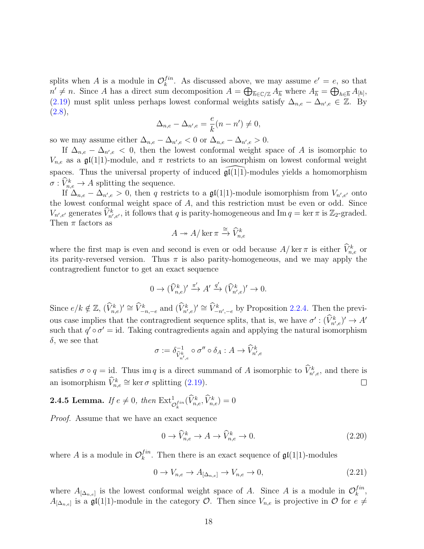splits when A is a module in  $\mathcal{O}_k^{fin}$  $\lambda_k^{fin}$ . As discussed above, we may assume  $e' = e$ , so that  $n' \neq n$ . Since A has a direct sum decomposition  $A = \bigoplus_{\overline{h} \in \mathbb{C}/\mathbb{Z}} A_{\overline{h}}$  where  $A_{\overline{h}} = \bigoplus_{h \in \overline{h}} A_{[h]},$ [\(2.19\)](#page-16-1) must split unless perhaps lowest conformal weights satisfy  $\Delta_{n,e} - \Delta_{n',e} \in \mathbb{Z}$ . By  $(2.8),$  $(2.8),$ 

$$
\Delta_{n,e} - \Delta_{n',e} = \frac{e}{k}(n - n') \neq 0,
$$

so we may assume either  $\Delta_{n,e} - \Delta_{n',e} < 0$  or  $\Delta_{n,e} - \Delta_{n',e} > 0$ .

If  $\Delta_{n,e} - \Delta_{n',e} < 0$ , then the lowest conformal weight space of A is isomorphic to  $V_{n,e}$  as a  $\mathfrak{gl}(1|1)$ -module, and  $\pi$  restricts to an isomorphism on lowest conformal weight spaces. Thus the universal property of induced  $\mathfrak{gl}(1|\overline{1})$ -modules yields a homomorphism  $\sigma: \hat{V}_{n,e}^k \to A$  splitting the sequence.

If  $\Delta_{n,e} - \Delta_{n',e} > 0$ , then q restricts to a  $\mathfrak{gl}(1|1)$ -module isomorphism from  $V_{n',e'}$  onto the lowest conformal weight space of A, and this restriction must be even or odd. Since  $V_{n',e'}$  generates  $\widehat{V}_{n',e'}^k$ , it follows that q is parity-homogeneous and Im  $q = \ker \pi$  is  $\mathbb{Z}_2$ -graded. Then  $\pi$  factors as

$$
A \twoheadrightarrow A/\ker \pi \xrightarrow{\cong} \widehat{V}_{n,e}^k
$$

where the first map is even and second is even or odd because  $A/\ker \pi$  is either  $\hat{V}^k_{n,e}$  or its parity-reversed version. Thus  $\pi$  is also parity-homogeneous, and we may apply the contragredient functor to get an exact sequence

$$
0 \to (\widehat{V}_{n,e}^k)' \xrightarrow{\pi'} A' \xrightarrow{q'} (\widehat{V}_{n',e}^k)' \to 0.
$$

Since  $e/k \notin \mathbb{Z}, \, (\widehat{V}_{n,e}^k)' \cong \widehat{V}_{-n,-e}^k$  and  $(\widehat{V}_{n',e}^k)' \cong \widehat{V}_{-n',-e}^k$  by Proposition [2.2.4.](#page-11-1) Then the previous case implies that the contragredient sequence splits, that is, we have  $\sigma' : (\hat{V}^k_{n',e})' \to A'$ such that  $q' \circ \sigma' = id$ . Taking contragredients again and applying the natural isomorphism  $\delta$ , we see that

$$
\sigma:=\delta_{\widehat{V}_{n',e}^{k}}^{-1}\circ\sigma''\circ\delta_{A}:A\rightarrow\widehat{V}_{n',e}^{k}
$$

satisfies  $\sigma \circ q = id$ . Thus im q is a direct summand of A isomorphic to  $\hat{V}_{n',e}^k$ , and there is an isomorphism  $\widehat{V}_{n,e}^k \cong \ker \sigma$  splitting [\(2.19\)](#page-16-1).  $\Box$ 

# <span id="page-17-2"></span>**2.4.5 Lemma.** If  $e \neq 0$ , then  $\text{Ext}^1_{\mathcal{O}_k^{fin}}(\widehat{V}_{n,e}^k, \widehat{V}_{n,e}^k) = 0$

Proof. Assume that we have an exact sequence

<span id="page-17-1"></span>
$$
0 \to \widehat{V}_{n,e}^k \to A \to \widehat{V}_{n,e}^k \to 0. \tag{2.20}
$$

where A is a module in  $\mathcal{O}_k^{fin}$  $\mathcal{L}_k^{tn}$ . Then there is an exact sequence of  $\mathfrak{gl}(1|1)$ -modules

<span id="page-17-0"></span>
$$
0 \to V_{n,e} \to A_{[\Delta_{n,e}]} \to V_{n,e} \to 0,
$$
\n(2.21)

where  $A_{[\Delta_{n,e}]}$  is the lowest conformal weight space of A. Since A is a module in  $\mathcal{O}_k^{fin}$  $_{k}^{fin},$  $A_{[\Delta_{n,e}]}$  is a  $\mathfrak{gl}(1|1)$ -module in the category  $\mathcal{O}$ . Then since  $V_{n,e}$  is projective in  $\mathcal O$  for  $e\neq$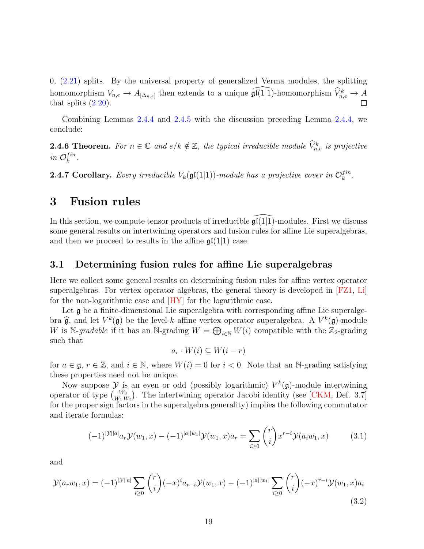0, [\(2.21\)](#page-17-0) splits. By the universal property of generalized Verma modules, the splitting homomorphism  $V_{n,e} \to A_{[\Delta_{n,e}]}$  then extends to a unique  $\widehat{\mathfrak{gl}(1|1)}$ -homomorphism  $\widehat{V}_{n,e}^k \to A$ that splits  $(2.20)$ .

Combining Lemmas [2.4.4](#page-16-2) and [2.4.5](#page-17-2) with the discussion preceding Lemma [2.4.4,](#page-16-2) we conclude:

**2.4.6 Theorem.** For  $n \in \mathbb{C}$  and  $e/k \notin \mathbb{Z}$ , the typical irreducible module  $\widehat{V}_{n,e}^{k}$  is projective in  $\mathcal{O}_k^{fin}$  $_{k}^{fin}.$ 

**2.4.7 Corollary.** Every irreducible  $V_k(\mathfrak{gl}(1|1))$ -module has a projective cover in  $\mathcal{O}_k^{fin}$  $_{k}^{fin}.$ 

## <span id="page-18-0"></span>3 Fusion rules

In this section, we compute tensor products of irreducible  $\mathfrak{gl}(1|\overline{1})$ -modules. First we discuss some general results on intertwining operators and fusion rules for affine Lie superalgebras, and then we proceed to results in the affine  $\mathfrak{gl}(1|1)$  case.

### <span id="page-18-3"></span>3.1 Determining fusion rules for affine Lie superalgebras

Here we collect some general results on determining fusion rules for affine vertex operator superalgebras. For vertex operator algebras, the general theory is developed in [\[FZ1,](#page-42-1) [Li\]](#page-44-0) for the non-logarithmic case and [\[HY\]](#page-43-1) for the logarithmic case.

Let  $\mathfrak g$  be a finite-dimensional Lie superalgebra with corresponding affine Lie superalgebra  $\hat{\mathfrak{g}}$ , and let  $V^k(\mathfrak{g})$  be the level-k affine vertex operator superalgebra. A  $V^k(\mathfrak{g})$ -module  $W$  is  $N$  and  $\mathfrak{g}$  and  $W$  is  $N$  and  $\mathfrak{g}$  and  $W$  is  $N$  and  $W$  is  $N$  and  $W$  and  $W$  and  $W$  a W is N-gradable if it has an N-grading  $W = \bigoplus_{i \in \mathbb{N}} W(i)$  compatible with the  $\mathbb{Z}_2$ -grading such that

$$
a_r \cdot W(i) \subseteq W(i - r)
$$

for  $a \in \mathfrak{g}$ ,  $r \in \mathbb{Z}$ , and  $i \in \mathbb{N}$ , where  $W(i) = 0$  for  $i < 0$ . Note that an N-grading satisfying these properties need not be unique.

Now suppose  $\mathcal Y$  is an even or odd (possibly logarithmic)  $V^k(\mathfrak{g})$ -module intertwining operator of type  $\binom{W_3}{W_1\,W_2}$ . The intertwining operator Jacobi identity (see [\[CKM,](#page-41-1) Def. 3.7] for the proper sign factors in the superalgebra generality) implies the following commutator and iterate formulas:

<span id="page-18-1"></span>
$$
(-1)^{|\mathcal{Y}||a|} a_r \mathcal{Y}(w_1, x) - (-1)^{|a||w_1|} \mathcal{Y}(w_1, x) a_r = \sum_{i \ge 0} \binom{r}{i} x^{r-i} \mathcal{Y}(a_i w_1, x) \tag{3.1}
$$

and

<span id="page-18-2"></span>
$$
\mathcal{Y}(a_r w_1, x) = (-1)^{|\mathcal{Y}||a|} \sum_{i \ge 0} {r \choose i} (-x)^i a_{r-i} \mathcal{Y}(w_1, x) - (-1)^{|a||w_1|} \sum_{i \ge 0} {r \choose i} (-x)^{r-i} \mathcal{Y}(w_1, x) a_i
$$
\n(3.2)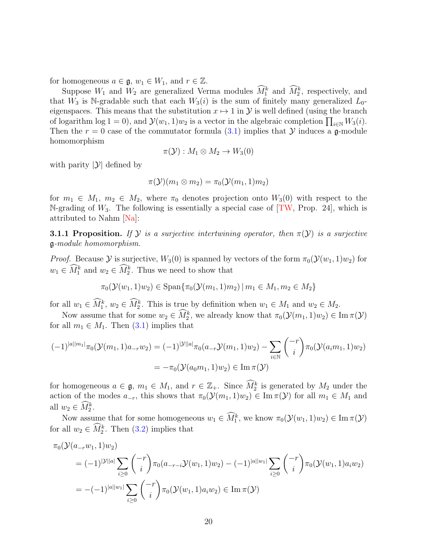for homogeneous  $a \in \mathfrak{g}, w_1 \in W_1$ , and  $r \in \mathbb{Z}$ .

Suppose  $W_1$  and  $W_2$  are generalized Verma modules  $\widehat{M}_1^k$  and  $\widehat{M}_2^k$ , respectively, and that  $W_3$  is N-gradable such that each  $W_3(i)$  is the sum of finitely many generalized  $L_0$ eigenspaces. This means that the substitution  $x \mapsto 1$  in  $\mathcal Y$  is well defined (using the branch of logarithm log 1 = 0), and  $\mathcal{Y}(w_1, 1)w_2$  is a vector in the algebraic completion  $\prod_{i \in \mathbb{N}} W_3(i)$ . Then the  $r = 0$  case of the commutator formula [\(3.1\)](#page-18-1) implies that Y induces a g-module homomorphism

$$
\pi(\mathcal{Y}): M_1 \otimes M_2 \to W_3(0)
$$

with parity  $|\mathcal{Y}|$  defined by

$$
\pi(\mathcal{Y})(m_1\otimes m_2)=\pi_0(\mathcal{Y}(m_1,1)m_2)
$$

for  $m_1 \in M_1$ ,  $m_2 \in M_2$ , where  $\pi_0$  denotes projection onto  $W_3(0)$  with respect to the N-grading of  $W_3$ . The following is essentially a special case of  $[TW, Prop. 24]$ , which is attributed to Nahm [\[Na\]](#page-44-12):

<span id="page-19-0"></span>**3.1.1 Proposition.** If  $\mathcal Y$  is a surjective intertwining operator, then  $\pi(\mathcal Y)$  is a surjective g-module homomorphism.

*Proof.* Because  $\mathcal Y$  is surjective,  $W_3(0)$  is spanned by vectors of the form  $\pi_0(\mathcal Y(w_1, 1)w_2)$  for  $w_1 \in \widehat{M}_1^k$  and  $w_2 \in \widehat{M}_2^k$ . Thus we need to show that

$$
\pi_0(\mathcal{Y}(w_1, 1)w_2) \in \text{Span}\{\pi_0(\mathcal{Y}(m_1, 1)m_2) \mid m_1 \in M_1, m_2 \in M_2\}
$$

for all  $w_1 \in M_1^k$ ,  $w_2 \in M_2^k$ . This is true by definition when  $w_1 \in M_1$  and  $w_2 \in M_2$ .

Now assume that for some  $w_2 \in \widehat{M}_2^k$ , we already know that  $\pi_0(\mathcal{Y}(m_1, 1)w_2) \in \text{Im } \pi(\mathcal{Y})$ for all  $m_1 \in M_1$ . Then  $(3.1)$  implies that

$$
(-1)^{|a||m_1|}\pi_0(\mathcal{Y}(m_1, 1)a_{-r}w_2) = (-1)^{|\mathcal{Y}||a|}\pi_0(a_{-r}\mathcal{Y}(m_1, 1)w_2) - \sum_{i \in \mathbb{N}} \binom{-r}{i} \pi_0(\mathcal{Y}(a_i m_1, 1)w_2)
$$
  
=  $-\pi_0(\mathcal{Y}(a_0 m_1, 1)w_2) \in \text{Im}\,\pi(\mathcal{Y})$ 

for homogeneous  $a \in \mathfrak{g}$ ,  $m_1 \in M_1$ , and  $r \in \mathbb{Z}_+$ . Since  $\widehat{M}_2^k$  is generated by  $M_2$  under the action of the modes  $a_{-r}$ , this shows that  $\pi_0(\mathcal{Y}(m_1, 1)w_2) \in \text{Im } \pi(\mathcal{Y})$  for all  $m_1 \in M_1$  and all  $w_2 \in \widehat{M}_2^k$ .

Now assume that for some homogeneous  $w_1 \in M_1^k$ , we know  $\pi_0(\mathcal{Y}(w_1, 1)w_2) \in \text{Im } \pi(\mathcal{Y})$ for all  $w_2 \in \widehat{M}_2^k$ . Then  $(3.2)$  implies that

$$
\pi_0(\mathcal{Y}(a_{-r}w_1, 1)w_2)
$$
\n
$$
= (-1)^{|\mathcal{Y}||a|} \sum_{i \ge 0} {\binom{-r}{i}} \pi_0(a_{-r-i}\mathcal{Y}(w_1, 1)w_2) - (-1)^{|a||w_1|} \sum_{i \ge 0} {\binom{-r}{i}} \pi_0(\mathcal{Y}(w_1, 1)a_iw_2)
$$
\n
$$
= -(-1)^{|a||w_1|} \sum_{i \ge 0} {\binom{-r}{i}} \pi_0(\mathcal{Y}(w_1, 1)a_iw_2) \in \text{Im}\,\pi(\mathcal{Y})
$$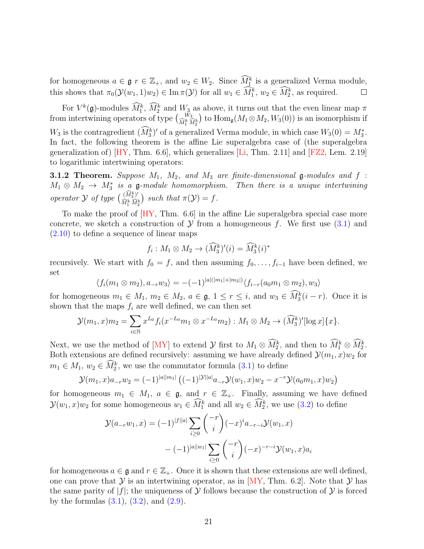for homogeneous  $a \in \mathfrak{g}$   $r \in \mathbb{Z}_+$ , and  $w_2 \in W_2$ . Since  $\widehat{M}_1^k$  is a generalized Verma module, this shows that  $\pi_0(\mathcal{Y}(w_1, 1)w_2) \in \text{Im }\pi(\mathcal{Y})$  for all  $w_1 \in \tilde{M}_1^k$ ,  $w_2 \in \tilde{M}_2^k$ , as required.  $\Box$ 

For  $V^k(\mathfrak{g})$ -modules  $M_1^k$ ,  $M_2^k$  and  $W_3$  as above, it turns out that the even linear map  $\pi$ from intertwining operators of type  $\begin{pmatrix} W_3 \\ \widehat{M}_1^k \widehat{M}_2^k \end{pmatrix}$  to  $\text{Hom}_{\mathfrak{g}}(M_1 \otimes M_2, W_3(0))$  is an isomorphism if  $W_3$  is the contragredient  $(M_3^k)'$  of a generalized Verma module, in which case  $W_3(0) = M_3^*$ . In fact, the following theorem is the affine Lie superalgebra case of (the superalgebra generalization of)  $[HY, Thm. 6.6]$ , which generalizes  $[Li, Thm. 2.11]$  and  $[FZ2, Lem. 2.19]$ to logarithmic intertwining operators:

<span id="page-20-0"></span>**3.1.2 Theorem.** Suppose  $M_1$ ,  $M_2$ , and  $M_3$  are finite-dimensional **g**-modules and f :  $M_1 \otimes M_2 \rightarrow M_3^*$  is a g-module homomorphism. Then there is a unique intertwining operator  $\mathcal Y$  of type  $\begin{pmatrix} (\widehat{M}_3^k)' \\ \widehat{M}_3 \end{pmatrix}$  $\left(\begin{smallmatrix} (M_3^k)' \ \widehat{M}_1^k \widehat{M}_2^k \end{smallmatrix}\right)$  such that  $\pi(\mathcal{Y}) = f$ .

To make the proof of  $[HY, Thm. 6.6]$  in the affine Lie superalgebra special case more concrete, we sketch a construction of  $\mathcal Y$  from a homogeneous f. We first use [\(3.1\)](#page-18-1) and [\(2.10\)](#page-11-2) to define a sequence of linear maps

$$
f_i: M_1 \otimes M_2 \to (\widehat{M}_3^k)'(i) = \widehat{M}_3^k(i)^*
$$

recursively. We start with  $f_0 = f$ , and then assuming  $f_0, \ldots, f_{i-1}$  have been defined, we set

$$
\langle f_i(m_1 \otimes m_2), a_{-r} w_3 \rangle = -(-1)^{|a|(|m_1|+|m_2|)} \langle f_{i-r}(a_0 m_1 \otimes m_2), w_3 \rangle
$$

for homogeneous  $m_1 \in M_1$ ,  $m_2 \in M_2$ ,  $a \in \mathfrak{g}, 1 \leq r \leq i$ , and  $w_3 \in M_3^k(i-r)$ . Once it is shown that the maps  $f_i$  are well defined, we can then set

$$
\mathcal{Y}(m_1, x)m_2 = \sum_{i \in \mathbb{N}} x^{L_0} f_i(x^{-L_0} m_1 \otimes x^{-L_0} m_2) : M_1 \otimes M_2 \to (\widehat{M}_3^k)'[\log x] \{x\}.
$$

Next, we use the method of [\[MY\]](#page-44-1) to extend  $\mathcal{Y}$  first to  $M_1 \otimes \tilde{M}_2^k$ , and then to  $\tilde{M}_1^k \otimes \tilde{M}_2^k$ . Both extensions are defined recursively: assuming we have already defined  $\mathcal{Y}(m_1, x)w_2$  for  $m_1 \in M_1$ ,  $w_2 \in \widehat{M}_2^k$ , we use the commutator formula  $(3.1)$  to define

$$
\mathcal{Y}(m_1, x)a_{-r}w_2 = (-1)^{|a||m_1|} \left( (-1)^{|\mathcal{Y}||a|} a_{-r} \mathcal{Y}(w_1, x) w_2 - x^{-r} \mathcal{Y}(a_0 m_1, x) w_2 \right)
$$

for homogeneous  $m_1 \in M_1$ ,  $a \in \mathfrak{g}$ , and  $r \in \mathbb{Z}_+$ . Finally, assuming we have defined  $\mathcal{Y}(w_1, x)w_2$  for some homogeneous  $w_1 \in \widehat{M}_1^k$  and all  $w_2 \in \widehat{M}_2^k$ , we use [\(3.2\)](#page-18-2) to define

$$
\mathcal{Y}(a_{-r}w_1, x) = (-1)^{|f||a|} \sum_{i \ge 0} \binom{-r}{i} (-x)^i a_{-r-i} \mathcal{Y}(w_1, x)
$$

$$
- (-1)^{|a||w_1|} \sum_{i \ge 0} \binom{-r}{i} (-x)^{-r-i} \mathcal{Y}(w_1, x) a_i
$$

for homogeneous  $a \in \mathfrak{g}$  and  $r \in \mathbb{Z}_+$ . Once it is shown that these extensions are well defined, one can prove that  $\mathcal Y$  is an intertwining operator, as in [\[MY,](#page-44-1) Thm. 6.2]. Note that  $\mathcal Y$  has the same parity of  $|f|$ ; the uniqueness of  $\mathcal Y$  follows because the construction of  $\mathcal Y$  is forced by the formulas  $(3.1)$ ,  $(3.2)$ , and  $(2.9)$ .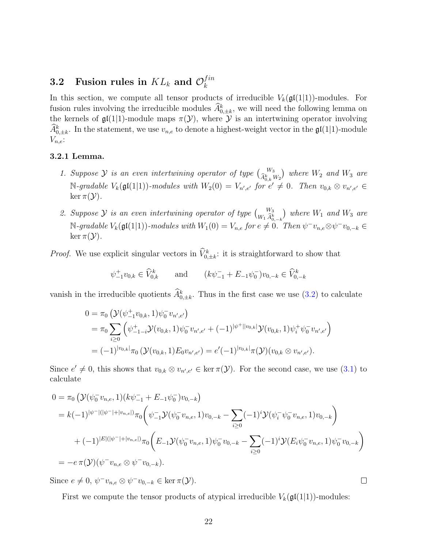#### 3.2 Fusion rules in  $KL_k$  and  $\mathcal{O}_k^{fin}$ k

In this section, we compute all tensor products of irreducible  $V_k(\mathfrak{gl}(1|1))$ -modules. For fusion rules involving the irreducible modules  $\widehat{A}_{0,\pm k}^k$ , we will need the following lemma on the kernels of  $\mathfrak{gl}(1|1)$ -module maps  $\pi(\mathcal{Y})$ , where  $\mathcal Y$  is an intertwining operator involving  $\widehat{A}_{0,\pm k}^k$ . In the statement, we use  $v_{n,e}$  to denote a highest-weight vector in the  $\mathfrak{gl}(1|1)$ -module  $V_{n,e}$ :

#### <span id="page-21-0"></span>3.2.1 Lemma.

- 1. Suppose  $\mathcal Y$  is an even intertwining operator of type  $\begin{pmatrix} W_3 \\ \hat A^k_{0,k} W_2 \end{pmatrix}$  where  $W_2$  and  $W_3$  are  $\mathbb{N}\text{-}\mathit{gradable }V_k(\mathfrak{gl}(1|1))\text{-}\mathit{modules with }W_2(0)=V_{n',e'}\text{ for }e'\neq 0.$  Then  $v_{0,k}\otimes v_{n',e'}\in$ ker  $\pi(\mathcal{Y})$ .
- 2. Suppose  $\mathcal Y$  is an even intertwining operator of type  $\binom{W_3}{W_1 \, \widehat{A}^k_{0,-k}}$  where  $W_1$  and  $W_3$  are  $\mathbb{N}\text{-}\mathit{gradable}\ V_{k}(\mathfrak{gl}(1|1))\text{-}\mathit{modules}\ with\ W_{1}(0)=V_{n,e}\ \mathit{for}\ e\neq\overset{\circ}{0}\overset{\circ}{.}\ \mathit{Then}\ \psi^{-}v_{n,e}\otimes\psi^{-}v_{0,-k}\in\mathcal{O}\ V_{n,e}$ ker  $\pi(\mathcal{Y})$ .

*Proof.* We use explicit singular vectors in  $\hat{V}_{0,\pm k}^k$ : it is straightforward to show that

$$
\psi_{-1}^{\dagger}v_{0,k} \in \widehat{V}_{0,k}^k
$$
 and  $(k\psi_{-1}^- + E_{-1}\psi_0^-)v_{0,-k} \in \widehat{V}_{0,-k}^k$ 

vanish in the irreducible quotients  $\hat{A}_{0,\pm k}^k$ . Thus in the first case we use [\(3.2\)](#page-18-2) to calculate

$$
0 = \pi_0 \left( \mathcal{Y}(\psi^+_{-1} v_{0,k}, 1) \psi_0^- v_{n',e'} \right)
$$
  
= 
$$
\pi_0 \sum_{i \geq 0} \left( \psi^+_{-1-i} \mathcal{Y}(v_{0,k}, 1) \psi_0^- v_{n',e'} + (-1)^{|\psi^+||v_{0,k}|} \mathcal{Y}(v_{0,k}, 1) \psi_i^+ \psi_0^- v_{n',e'} \right)
$$
  
= 
$$
(-1)^{|v_{0,k}|} \pi_0 \left( \mathcal{Y}(v_{0,k}, 1) E_0 v_{n',e'} \right) = e'(-1)^{|v_{0,k}|} \pi(\mathcal{Y})(v_{0,k} \otimes v_{n',e'}).
$$

Since  $e' \neq 0$ , this shows that  $v_{0,k} \otimes v_{n',e'} \in \ker \pi(\mathcal{Y})$ . For the second case, we use [\(3.1\)](#page-18-1) to calculate

$$
0 = \pi_0 \left( \mathcal{Y}(\psi_0^- v_{n,e}, 1)(k\psi_{-1}^- + E_{-1}\psi_0^-)v_{0,-k} \right)
$$
  
\n
$$
= k(-1)^{|\psi^-|(|\psi^-| + |v_{n,e}|)}\pi_0 \left( \psi_{-1}^- \mathcal{Y}(\psi_0^- v_{n,e}, 1)v_{0,-k} - \sum_{i\geq 0} (-1)^i \mathcal{Y}(\psi_i^- \psi_0^- v_{n,e}, 1)v_{0,-k} \right)
$$
  
\n
$$
+ (-1)^{|E|(|\psi^-| + |v_{n,e}|)}\pi_0 \left( E_{-1} \mathcal{Y}(\psi_0^- v_{n,e}, 1) \psi_0^- v_{0,-k} - \sum_{i\geq 0} (-1)^i \mathcal{Y}(\psi_i^- \psi_0^- v_{n,e}, 1) \psi_0^- v_{0,-k} \right)
$$
  
\n
$$
= -e \pi(\mathcal{Y})(\psi^- v_{n,e} \otimes \psi^- v_{0,-k}).
$$

Since  $e \neq 0$ ,  $\psi^- v_{n,e} \otimes \psi^- v_{0,-k} \in \ker \pi(\mathcal{Y})$ .

First we compute the tensor products of atypical irreducible  $V_k(\mathfrak{gl}(1|1))$ -modules:

 $\Box$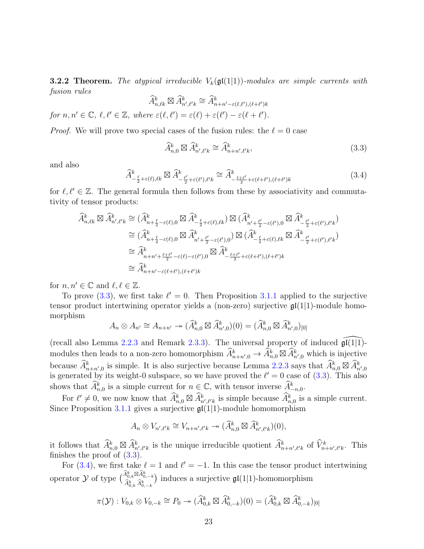<span id="page-22-0"></span>**3.2.2 Theorem.** The atypical irreducible  $V_k(\mathfrak{gl}(1|1))$ -modules are simple currents with fusion rules

$$
\widehat{A}^k_{n,\ell k} \boxtimes \widehat{A}^k_{n',\ell' k} \cong \widehat{A}^k_{n+n'-\varepsilon(\ell,\ell'),(\ell+\ell')k}
$$

for  $n, n' \in \mathbb{C}, \ell, \ell' \in \mathbb{Z}, \text{ where } \varepsilon(\ell, \ell') = \varepsilon(\ell) + \varepsilon(\ell') - \varepsilon(\ell + \ell').$ 

*Proof.* We will prove two special cases of the fusion rules: the  $\ell = 0$  case

<span id="page-22-1"></span>
$$
\widehat{A}_{n,0}^k \boxtimes \widehat{A}_{n',\ell'k}^k \cong \widehat{A}_{n+n',\ell'k}^k,\tag{3.3}
$$

and also

<span id="page-22-2"></span>
$$
\widehat{A}^k_{-\frac{\ell}{2}+\varepsilon(\ell),\ell k} \boxtimes \widehat{A}^k_{-\frac{\ell'}{2}+\varepsilon(\ell'),\ell' k} \cong \widehat{A}^k_{-\frac{\ell+\ell'}{2}+\varepsilon(\ell+\ell'),(\ell+\ell')k} \tag{3.4}
$$

for  $\ell, \ell' \in \mathbb{Z}$ . The general formula then follows from these by associativity and commutativity of tensor products:

$$
\begin{split}\n\widehat{A}_{n,\ell k}^{k} \boxtimes \widehat{A}_{n',\ell' k}^{k} &\cong (\widehat{A}_{n+\frac{\ell}{2}-\varepsilon(\ell),0}^{k} \boxtimes \widehat{A}_{-\frac{\ell}{2}+\varepsilon(\ell),\ell k}^{k}) \boxtimes (\widehat{A}_{n'+\frac{\ell'}{2}-\varepsilon(\ell'),0}^{k} \boxtimes \widehat{A}_{-\frac{\ell'}{2}+\varepsilon(\ell'),\ell' k}^{k}) \\
&\cong (\widehat{A}_{n+\frac{\ell}{2}-\varepsilon(\ell),0}^{k} \boxtimes \widehat{A}_{n'+\frac{\ell'}{2}-\varepsilon(\ell'),0}^{k}) \boxtimes (\widehat{A}_{-\frac{\ell}{2}+\varepsilon(\ell),\ell k}^{k} \boxtimes \widehat{A}_{-\frac{\ell'}{2}+\varepsilon(\ell'),\ell' k}^{k}) \\
&\cong \widehat{A}_{n+n'+\frac{\ell+\ell'}{2}-\varepsilon(\ell)-\varepsilon(\ell'),0}^{k} \boxtimes \widehat{A}_{-\frac{\ell+\ell'}{2}+\varepsilon(\ell+\ell'),(\ell+\ell') k}^{k} \\
&\cong \widehat{A}_{n+n'-\varepsilon(\ell+\ell'),(\ell+\ell') k}^{k}\n\end{split}
$$

for  $n, n' \in \mathbb{C}$  and  $\ell, \ell \in \mathbb{Z}$ .

To prove [\(3.3\)](#page-22-1), we first take  $\ell' = 0$ . Then Proposition [3.1.1](#page-19-0) applied to the surjective tensor product intertwining operator yields a (non-zero) surjective  $\mathfrak{gl}(1|1)$ -module homomorphism

$$
A_n \otimes A_{n'} \cong A_{n+n'} \to (\widehat{A}_{n,0}^k \boxtimes \widehat{A}_{n',0}^k)(0) = (\widehat{A}_{n,0}^k \boxtimes \widehat{A}_{n',0}^k)_{[0]}
$$

(recall also Lemma [2.2.3](#page-10-1) and Remark [2.3.3\)](#page-13-3). The universal property of induced  $\widehat{\mathfrak{gl}(1|1)}$ modules then leads to a non-zero homomorphism  $\widehat{A}^k_{n+n',0} \to \widehat{A}^k_{n,0} \boxtimes \widehat{A}^k_{n',0}$  which is injective because  $\widehat{A}^k_{n+n',0}$  is simple. It is also surjective because Lemma [2.2.3](#page-10-1) says that  $\widehat{A}^k_{n,0} \boxtimes \widehat{A}^k_{n',0}$ is generated by its weight-0 subspace, so we have proved the  $\ell' = 0$  case of [\(3.3\)](#page-22-1). This also shows that  $\widehat{A}_{n,0}^k$  is a simple current for  $n \in \mathbb{C}$ , with tensor inverse  $\widehat{A}_{-n,0}^k$ .

For  $\ell' \neq 0$ , we now know that  $\widehat{A}_{n,0}^k \boxtimes \widehat{A}_{n',\ell'k}^k$  is simple because  $\widehat{A}_{n,0}^k$  is a simple current. Since Proposition [3.1.1](#page-19-0) gives a surjective  $\mathfrak{gl}(1|1)$ -module homomorphism

$$
A_n \otimes V_{n',\ell'k} \cong V_{n+n',\ell'k} \twoheadrightarrow (\widehat{A}^k_{n,0} \boxtimes \widehat{A}^k_{n',\ell'k})(0),
$$

it follows that  $\widehat{A}_{n,0}^k \boxtimes \widehat{A}_{n',\ell'k}^k$  is the unique irreducible quotient  $\widehat{A}_{n+n',\ell'k}^k$  of  $\widehat{V}_{n+n',\ell'k}^k$ . This finishes the proof of [\(3.3\)](#page-22-1).

For [\(3.4\)](#page-22-2), we first take  $\ell = 1$  and  $\ell' = -1$ . In this case the tensor product intertwining operator  $\mathcal Y$  of type  $\begin{pmatrix} \widehat A^k_{0,k} \boxtimes \widehat A^k_{0,-k} \\ \widehat A^k_{0,k} \, \widehat A^k_{0,-k} \end{pmatrix}$ ) induces a surjective  $\mathfrak{gl}(1|1)$ -homomorphism

$$
\pi(\mathcal{Y}): V_{0,k}\otimes V_{0,-k}\cong P_0\twoheadrightarrow (\widehat{A}^k_{0,k}\boxtimes \widehat{A}^k_{0,-k})(0)=(\widehat{A}^k_{0,k}\boxtimes \widehat{A}^k_{0,-k})_{[0]}
$$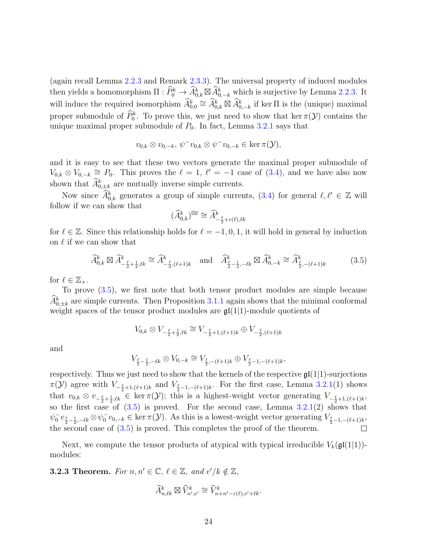(again recall Lemma [2.2.3](#page-10-1) and Remark [2.3.3\)](#page-13-3). The universal property of induced modules then yields a homomorphism  $\Pi : \widehat{P}_0^k \to \widehat{A}_{0,k}^k \boxtimes \widehat{A}_{0,-k}^k$  which is surjective by Lemma [2.2.3.](#page-10-1) It will induce the required isomorphism  $\widehat{A}_{0,0}^k \cong \widehat{A}_{0,k}^k \boxtimes \widehat{A}_{0,-k}^k$  if ker  $\Pi$  is the (unique) maximal proper submodule of  $\tilde{P}_0^k$ . To prove this, we just need to show that ker  $\pi(\mathcal{Y})$  contains the unique maximal proper submodule of  $P_0$ . In fact, Lemma [3.2.1](#page-21-0) says that

$$
v_{0,k} \otimes v_{0,-k}, \psi^{-}v_{0,k} \otimes \psi^{-}v_{0,-k} \in \ker \pi(\mathcal{Y}),
$$

and it is easy to see that these two vectors generate the maximal proper submodule of  $V_{0,k} \otimes V_{0,-k} \cong P_0$ . This proves the  $\ell = 1$ ,  $\ell' = -1$  case of [\(3.4\)](#page-22-2), and we have also now shown that  $\widehat{A}_{0,\pm k}^k$  are mutually inverse simple currents.

Now since  $\widehat{A}_{0,k}^k$  generates a group of simple currents,  $(3.4)$  for general  $\ell, \ell' \in \mathbb{Z}$  will follow if we can show that

$$
(\widehat{A}^k_{0,k})^{\boxtimes \ell} \cong \widehat{A}^k_{-\frac{\ell}{2} + \varepsilon(\ell), \ell k}
$$

for  $\ell \in \mathbb{Z}$ . Since this relationship holds for  $\ell = -1, 0, 1$ , it will hold in general by induction on  $\ell$  if we can show that

<span id="page-23-1"></span>
$$
\widehat{A}_{0,k}^{k} \boxtimes \widehat{A}_{-\frac{\ell}{2}+\frac{1}{2},\ell k}^{k} \cong \widehat{A}_{-\frac{\ell}{2},(\ell+1)k}^{k} \quad \text{and} \quad \widehat{A}_{\frac{\ell}{2}-\frac{1}{2},-\ell k}^{k} \boxtimes \widehat{A}_{0,-k}^{k} \cong \widehat{A}_{\frac{\ell}{2},-(\ell+1)k}^{k} \tag{3.5}
$$

for  $\ell \in \mathbb{Z}_+$ .

To prove [\(3.5\)](#page-23-1), we first note that both tensor product modules are simple because  $\widehat{A}_{0,\pm k}^k$  are simple currents. Then Proposition [3.1.1](#page-19-0) again shows that the minimal conformal weight spaces of the tensor product modules are  $\mathfrak{gl}(1|1)$ -module quotients of

$$
V_{0,k}\otimes V_{-\frac{\ell}{2}+\frac{1}{2},\ell k}\cong V_{-\frac{\ell}{2}+1,(\ell+1)k}\oplus V_{-\frac{\ell}{2},(\ell+1)k}
$$

and

$$
V_{\frac{\ell}{2}-\frac{1}{2},-\ell k}\otimes V_{0,-k}\cong V_{\frac{\ell}{2},-(\ell+1)k}\oplus V_{\frac{\ell}{2}-1,-(\ell+1)k},
$$

respectively. Thus we just need to show that the kernels of the respective  $\mathfrak{gl}(1|1)$ -surjections  $\pi(\mathcal{Y})$  agree with  $V_{-\frac{\ell}{2}+1,(\ell+1)k}$  and  $V_{\frac{\ell}{2}-1,-(\ell+1)k}$ . For the first case, Lemma [3.2.1\(](#page-21-0)1) shows that  $v_{0,k} \otimes v_{-\frac{\ell}{2}+\frac{1}{2},\ell k} \in \ker \pi(\mathcal{Y})$ ; this is a highest-weight vector generating  $V_{-\frac{\ell}{2}+1,(\ell+1)k}$ , so the first case of  $(3.5)$  is proved. For the second case, Lemma  $3.2.1(2)$  $3.2.1(2)$  shows that  $\psi_0^- v_{\frac{\ell}{2} - \frac{1}{2}, -\ell k} \otimes \psi_0^- v_{0,-k} \in \ker \pi(\mathcal{Y})$ . As this is a lowest-weight vector generating  $V_{\frac{\ell}{2} - 1, -(\ell+1)k}$ , the second case of  $(3.5)$  is proved. This completes the proof of the theorem.

Next, we compute the tensor products of atypical with typical irreducible  $V_k(\mathfrak{gl}(1|1))$ modules:

<span id="page-23-0"></span>**3.2.3 Theorem.** For  $n, n' \in \mathbb{C}$ ,  $\ell \in \mathbb{Z}$ , and  $e'/k \notin \mathbb{Z}$ ,

$$
\widehat{A}^k_{n,\ell k}\boxtimes \widehat{V}^k_{n',e'}\cong \widehat{V}^k_{n+n'-\varepsilon(\ell),e'+\ell k}.
$$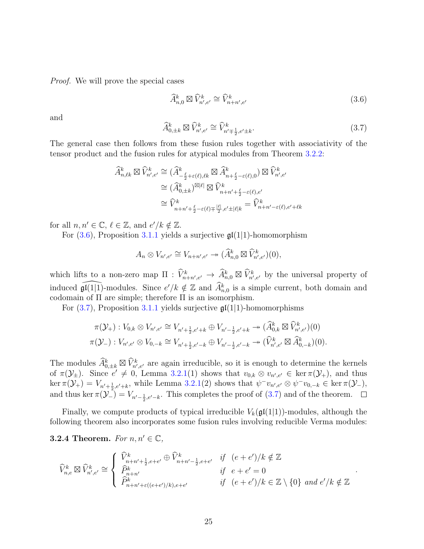Proof. We will prove the special cases

<span id="page-24-1"></span>
$$
\widehat{A}_{n,0}^k \boxtimes \widehat{V}_{n',e'}^k \cong \widehat{V}_{n+n',e'}^k \tag{3.6}
$$

and

<span id="page-24-2"></span>
$$
\widehat{A}_{0,\pm k}^k \boxtimes \widehat{V}_{n',e'}^k \cong \widehat{V}_{n'\mp \frac{1}{2},e'\pm k}^k.
$$
\n(3.7)

The general case then follows from these fusion rules together with associativity of the tensor product and the fusion rules for atypical modules from Theorem [3.2.2:](#page-22-0)

$$
\begin{split} \widehat{A}^k_{n,\ell k} \boxtimes \widehat{V}^k_{n',e'} &\cong (\widehat{A}^k_{-\frac{\ell}{2}+\varepsilon(\ell),\ell k} \boxtimes \widehat{A}^k_{n+\frac{\ell}{2}-\varepsilon(\ell),0}) \boxtimes \widehat{V}^k_{n',e'} \\ &\cong (\widehat{A}^k_{0,\pm k})^{\boxtimes |\ell|} \boxtimes \widehat{V}^k_{n+n'+\frac{\ell}{2}-\varepsilon(\ell),e'} \\ &\cong \widehat{V}^k_{n+n'+\frac{\ell}{2}-\varepsilon(\ell)\mp\frac{|\ell|}{2},e'\pm |\ell|k} = \widehat{V}^k_{n+n'-\varepsilon(\ell),e'+\ell k} \end{split}
$$

for all  $n, n' \in \mathbb{C}, \ell \in \mathbb{Z}$ , and  $e'/k \notin \mathbb{Z}$ .

For  $(3.6)$ , Proposition [3.1.1](#page-19-0) yields a surjective  $\mathfrak{gl}(1|1)$ -homomorphism

$$
A_n \otimes V_{n',e'} \cong V_{n+n',e'} \twoheadrightarrow (\widehat{A}^k_{n,0} \boxtimes \widehat{V}^k_{n',e'})(0),
$$

which lifts to a non-zero map  $\Pi : \hat{V}_{n+n',e'}^k \to \hat{A}_{n,0}^k \boxtimes \hat{V}_{n',e'}^k$  by the universal property of induced  $\widehat{\mathfrak{gl}(1|1)}$ -modules. Since  $e'/k \notin \mathbb{Z}$  and  $\widehat{A}_{n,0}^k$  is a simple current, both domain and codomain of  $\Pi$  are simple; therefore  $\Pi$  is an isomorphism.

For  $(3.7)$ , Proposition [3.1.1](#page-19-0) yields surjective  $\mathfrak{gl}(1|1)$ -homomorphisms

$$
\pi(\mathcal{Y}_+) : V_{0,k} \otimes V_{n',e'} \cong V_{n'+\frac{1}{2},e'+k} \oplus V_{n'-\frac{1}{2},e'+k} \to (\widehat{A}_{0,k}^k \boxtimes \widehat{V}_{n',e'}^k)(0)
$$
  

$$
\pi(\mathcal{Y}_-) : V_{n',e'} \otimes V_{0,-k} \cong V_{n'+\frac{1}{2},e'-k} \oplus V_{n'-\frac{1}{2},e'-k} \to (\widehat{V}_{n',e'}^k \boxtimes \widehat{A}_{0,-k}^k)(0).
$$

The modules  $\widehat{A}_{0,\pm k}^k \boxtimes \widehat{V}_{n',e'}^k$  are again irreducible, so it is enough to determine the kernels of  $\pi(\mathcal{Y}_{\pm})$ . Since  $e' \neq 0$ , Lemma [3.2.1\(](#page-21-0)1) shows that  $v_{0,k} \otimes v_{n',e'} \in \ker \pi(\mathcal{Y}_{+})$ , and thus  $\ker \pi(\mathcal{Y}_+) = V_{n'+\frac{1}{2},e'+k}$ , while Lemma [3.2.1\(](#page-21-0)2) shows that  $\psi^-v_{n',e'} \otimes \psi^-v_{0,-k} \in \ker \pi(\mathcal{Y}_-),$ and thus ker  $\pi(\mathcal{Y}_-) = V_{n'-\frac{1}{2},e'-k}$ . This completes the proof of [\(3.7\)](#page-24-2) and of the theorem.

Finally, we compute products of typical irreducible  $V_k(\mathfrak{gl}(1|1))$ -modules, although the following theorem also incorporates some fusion rules involving reducible Verma modules:

#### <span id="page-24-0"></span>**3.2.4 Theorem.** For  $n, n' \in \mathbb{C}$ ,

$$
\widehat{V}_{n,e}^{k} \boxtimes \widehat{V}_{n',e'}^{k} \cong \begin{cases}\n\widehat{V}_{n+n'+\frac{1}{2},e+e'}^{k} \oplus \widehat{V}_{n+n'-\frac{1}{2},e+e'}^{k} & \text{if } (e+e')/k \notin \mathbb{Z} \\
\widehat{P}_{n+n'}^{k} & \text{if } e+e'=0 \\
\widehat{P}_{n+n'+\epsilon((e+e')/k),e+e'}^{k} & \text{if } (e+e')/k \in \mathbb{Z} \setminus \{0\} \text{ and } e'/k \notin \mathbb{Z}\n\end{cases}
$$

.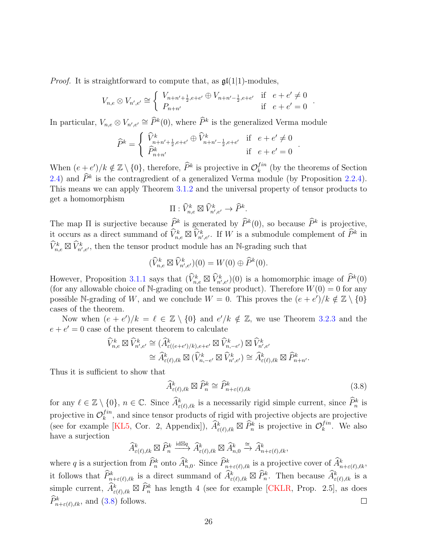*Proof.* It is straightforward to compute that, as  $\mathfrak{gl}(1|1)$ -modules,

$$
V_{n,e} \otimes V_{n',e'} \cong \begin{cases} V_{n+n'+\frac{1}{2},e+e'} \oplus V_{n+n'-\frac{1}{2},e+e'} & \text{if } e+e' \neq 0 \\ P_{n+n'} & \text{if } e+e' = 0 \end{cases}.
$$

In particular,  $V_{n,e} \otimes V_{n',e'} \cong \hat{P}^k(0)$ , where  $\hat{P}^k$  is the generalized Verma module

$$
\widehat{P}^k = \begin{cases} \n\widehat{V}^k_{n+n'+\frac{1}{2}, e+e'} \oplus \widehat{V}^k_{n+n'-\frac{1}{2}, e+e'} & \text{if } e+e' \neq 0\\ \n\widehat{P}^k_{n+n'} & \text{if } e+e' = 0 \n\end{cases}
$$

When  $(e+e')/k \notin \mathbb{Z} \setminus \{0\}$ , therefore,  $\widehat{P}^k$  is projective in  $\mathcal{O}_k^{fin}$  $\binom{Im}{k}$  (by the theorems of Section [2.4\)](#page-13-0) and  $\hat{P}^k$  is the contragredient of a generalized Verma module (by Proposition [2.2.4\)](#page-11-1). This means we can apply Theorem [3.1.2](#page-20-0) and the universal property of tensor products to get a homomorphism

$$
\Pi: \widehat{V}^k_{n,e}\boxtimes \widehat{V}^k_{n',e'}\to \widehat{P}^k.
$$

The map  $\Pi$  is surjective because  $\widehat{P}^k$  is generated by  $\widehat{P}^k(0)$ , so because  $\widehat{P}^k$  is projective, it occurs as a direct summand of  $\widehat{V}_{n,e}^k \boxtimes \widehat{V}_{n',e'}^k$ . If W is a submodule complement of  $\widehat{P}^k$  in  $\widehat{V}_{n,e}^k \boxtimes \widehat{V}_{n',e'}^k$ , then the tensor product module has an N-grading such that

$$
(\widehat{V}_{n,e}^k \boxtimes \widehat{V}_{n',e'}^k)(0) = W(0) \oplus \widehat{P}^k(0).
$$

However, Proposition [3.1.1](#page-19-0) says that  $(\widehat{V}_{n,e}^k \boxtimes \widehat{V}_{n',e'}^k)(0)$  is a homomorphic image of  $\widehat{P}^k(0)$ (for any allowable choice of N-grading on the tensor product). Therefore  $W(0) = 0$  for any possible N-grading of W, and we conclude  $W = 0$ . This proves the  $(e + e')/k \notin \mathbb{Z} \setminus \{0\}$ cases of the theorem.

Now when  $(e + e')/k = \ell \in \mathbb{Z} \setminus \{0\}$  and  $e'/k \notin \mathbb{Z}$ , we use Theorem [3.2.3](#page-23-0) and the  $e + e' = 0$  case of the present theorem to calculate

$$
\widehat{V}_{n,e}^{k} \boxtimes \widehat{V}_{n',e'}^{k} \cong (\widehat{A}_{\varepsilon((e+e')/k),e+e'}^{k} \boxtimes \widehat{V}_{n,-e'}^{k}) \boxtimes \widehat{V}_{n',e'}^{k}
$$

$$
\cong \widehat{A}_{\varepsilon(\ell),\ell k}^{k} \boxtimes (\widehat{V}_{n,-e'}^{k} \boxtimes \widehat{V}_{n',e'}^{k}) \cong \widehat{A}_{\varepsilon(\ell),\ell k}^{k} \boxtimes \widehat{P}_{n+n'}^{k}.
$$

Thus it is sufficient to show that

<span id="page-25-0"></span>
$$
\widehat{A}^k_{\varepsilon(\ell),\ell k} \boxtimes \widehat{P}^k_n \cong \widehat{P}^k_{n+\varepsilon(\ell),\ell k} \tag{3.8}
$$

.

for any  $\ell \in \mathbb{Z} \setminus \{0\}, n \in \mathbb{C}$ . Since  $\widehat{A}^k_{\varepsilon(\ell),\ell k}$  is a necessarily rigid simple current, since  $\widehat{P}^k_n$  is projective in  $\mathcal{O}_k^{fin}$  $k<sup>11n</sup>$ , and since tensor products of rigid with projective objects are projective (see for example [\[KL5,](#page-44-7) Cor. 2, Appendix]),  $\widehat{A}^k_{\varepsilon(\ell),\ell k} \boxtimes \widehat{P}^k_n$  is projective in  $\mathcal{O}_k^{fin}$  $\int_{k}^{tn}$ . We also have a surjection

$$
\widehat{A}^k_{\varepsilon(\ell),\ell k} \boxtimes \widehat{P}^k_n \xrightarrow{\operatorname{id}\boxtimes q} \widehat{A}^k_{\varepsilon(\ell),\ell k} \boxtimes \widehat{A}^k_{n,0} \xrightarrow{\cong} \widehat{A}^k_{n+\varepsilon(\ell),\ell k},
$$

where q is a surjection from  $\hat{P}_n^k$  onto  $\hat{A}_{n,0}^k$ . Since  $\hat{P}_{n+\varepsilon(\ell),\ell k}^k$  is a projective cover of  $\hat{A}_{n+\varepsilon(\ell),\ell k}^k$ , it follows that  $\widehat{P}_{n+\varepsilon(\ell),\ell k}^k$  is a direct summand of  $\widehat{A}_{\varepsilon(\ell),\ell k}^k \boxtimes \widehat{P}_n^k$ . Then because  $\widehat{A}_{\varepsilon(\ell),\ell k}^k$  is a simple current,  $\widehat{A}^k_{\varepsilon(\ell),\ell k} \boxtimes \widehat{P}^k_n$  has length 4 (see for example [\[CKLR,](#page-41-14) Prop. 2.5], as does  $\widehat{P}_{n+\varepsilon(\ell),\ell k}^k$ , and [\(3.8\)](#page-25-0) follows.  $\Box$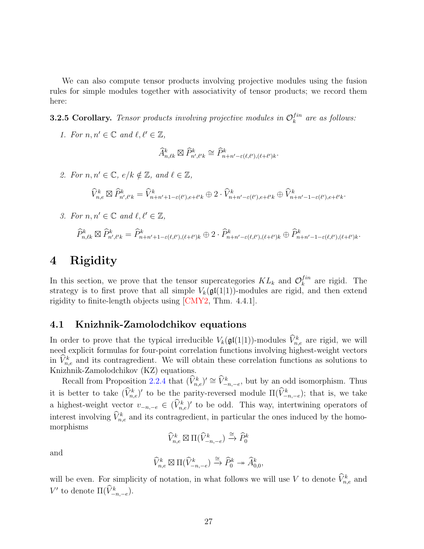We can also compute tensor products involving projective modules using the fusion rules for simple modules together with associativity of tensor products; we record them here:

<span id="page-26-1"></span>**3.2.5 Corollary.** Tensor products involving projective modules in  $\mathcal{O}_k^{fin}$  $\int_{k}^{tn}$  are as follows:

1. For  $n, n' \in \mathbb{C}$  and  $\ell, \ell' \in \mathbb{Z}$ ,

$$
\widehat{A}^k_{n,\ell k}\boxtimes \widehat{P}^k_{n',\ell' k}\cong \widehat{P}^k_{n+n'-\varepsilon(\ell,\ell'),(\ell+\ell') k}.
$$

2. For  $n, n' \in \mathbb{C}$ ,  $e/k \notin \mathbb{Z}$ , and  $\ell \in \mathbb{Z}$ ,

$$
\widehat{V}_{n,e}^k \boxtimes \widehat{P}_{n',\ell'k}^k = \widehat{V}_{n+n'+1-\varepsilon(\ell'),e+\ell'k}^k \oplus 2 \cdot \widehat{V}_{n+n'-\varepsilon(\ell'),e+\ell'k}^k \oplus \widehat{V}_{n+n'-1-\varepsilon(\ell'),e+\ell'k}^k.
$$

3. For  $n, n' \in \mathbb{C}$  and  $\ell, \ell' \in \mathbb{Z}$ ,

$$
\widehat{P}_{n,\ell k}^k \boxtimes \widehat{P}_{n',\ell' k}^k = \widehat{P}_{n+n'+1-\varepsilon(\ell,\ell'),(\ell+\ell')k}^k \oplus 2 \cdot \widehat{P}_{n+n'-\varepsilon(\ell,\ell'),(\ell+\ell')k}^k \oplus \widehat{P}_{n+n'-1-\varepsilon(\ell,\ell'),(\ell+\ell')k}^k.
$$

## <span id="page-26-0"></span>4 Rigidity

In this section, we prove that the tensor supercategories  $KL_k$  and  $\mathcal{O}_k^{fin}$  $\int_{k}^{tn}$  are rigid. The strategy is to first prove that all simple  $V_k(\mathfrak{gl}(1|1))$ -modules are rigid, and then extend rigidity to finite-length objects using [\[CMY2,](#page-41-2) Thm. 4.4.1].

## 4.1 Knizhnik-Zamolodchikov equations

In order to prove that the typical irreducible  $V_k(\mathfrak{gl}(1|1))$ -modules  $\hat{V}^k_{n,e}$  are rigid, we will need explicit formulas for four-point correlation functions involving highest-weight vectors in  $\hat{V}_{n,e}^k$  and its contragredient. We will obtain these correlation functions as solutions to Knizhnik-Zamolodchikov (KZ) equations.

Recall from Proposition [2.2.4](#page-11-1) that  $(\widehat{V}_{n,e}^k)' \cong \widehat{V}_{-n,-e}^k$ , but by an odd isomorphism. Thus it is better to take  $(\hat{V}_{n,e}^k)'$  to be the parity-reversed module  $\Pi(\hat{V}_{-n,-e}^k)$ ; that is, we take a highest-weight vector  $v_{-n,-e} \in (\hat{V}_{n,e}^k)'$  to be odd. This way, intertwining operators of interest involving  $\hat{V}_{n,e}^{k}$  and its contragredient, in particular the ones induced by the homomorphisms

$$
\widehat{V}_{n,e}^k\boxtimes\Pi(\widehat{V}_{-n,-e}^k)\xrightarrow{\cong}\widehat{P}_0^k
$$

and

$$
\widehat{V}_{n,e}^k\boxtimes\Pi(\widehat{V}_{-n,-e}^k)\xrightarrow{\cong}\widehat{P}_0^k\twoheadrightarrow\widehat{A}_{0,0}^k,
$$

will be even. For simplicity of notation, in what follows we will use V to denote  $\hat{V}_{n,e}^k$  and V' to denote  $\Pi(\hat{V}^k_{-n,-e}).$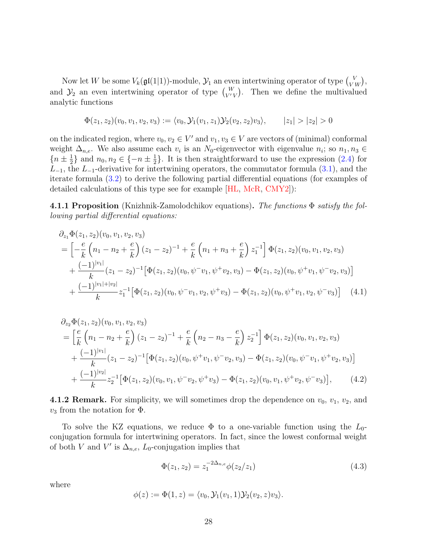Now let W be some  $V_k(\mathfrak{gl}(1|1))$ -module,  $\mathcal{Y}_1$  an even intertwining operator of type  $V_{VW}$ , and  $\mathcal{Y}_2$  an even intertwining operator of type  $\begin{pmatrix} W \\ V'V \end{pmatrix}$ . Then we define the multivalued analytic functions

$$
\Phi(z_1, z_2)(v_0, v_1, v_2, v_3) := \langle v_0, \mathcal{Y}_1(v_1, z_1) \mathcal{Y}_2(v_2, z_2) v_3 \rangle, \qquad |z_1| > |z_2| > 0
$$

on the indicated region, where  $v_0, v_2 \in V'$  and  $v_1, v_3 \in V$  are vectors of (minimal) conformal weight  $\Delta_{n,e}$ . We also assume each  $v_i$  is an  $N_0$ -eigenvector with eigenvalue  $n_i$ ; so  $n_1, n_3 \in$  $\{n\pm\frac{1}{2}\}$  $\frac{1}{2}$ } and  $n_0, n_2 \in \{-n \pm \frac{1}{2}\}$  $\frac{1}{2}$ . It is then straightforward to use the expression [\(2.4\)](#page-9-2) for  $L_{-1}$ , the  $L_{-1}$ -derivative for intertwining operators, the commutator formula [\(3.1\)](#page-18-1), and the iterate formula [\(3.2\)](#page-18-2) to derive the following partial differential equations (for examples of detailed calculations of this type see for example [\[HL,](#page-42-9) [McR,](#page-44-13) [CMY2\]](#page-41-2)):

4.1.1 Proposition (Knizhnik-Zamolodchikov equations). The functions  $\Phi$  satisfy the following partial differential equations:

$$
\partial_{z_1} \Phi(z_1, z_2)(v_0, v_1, v_2, v_3)
$$
\n
$$
= \left[ -\frac{e}{k} \left( n_1 - n_2 + \frac{e}{k} \right) (z_1 - z_2)^{-1} + \frac{e}{k} \left( n_1 + n_3 + \frac{e}{k} \right) z_1^{-1} \right] \Phi(z_1, z_2)(v_0, v_1, v_2, v_3)
$$
\n
$$
+ \frac{(-1)^{|v_1|}}{k} (z_1 - z_2)^{-1} \left[ \Phi(z_1, z_2)(v_0, \psi^- v_1, \psi^+ v_2, v_3) - \Phi(z_1, z_2)(v_0, \psi^+ v_1, \psi^- v_2, v_3) \right]
$$
\n
$$
+ \frac{(-1)^{|v_1| + |v_2|}}{k} z_1^{-1} \left[ \Phi(z_1, z_2)(v_0, \psi^- v_1, v_2, \psi^+ v_3) - \Phi(z_1, z_2)(v_0, \psi^+ v_1, v_2, \psi^- v_3) \right] \quad (4.1)
$$

$$
\partial_{z_2} \Phi(z_1, z_2)(v_0, v_1, v_2, v_3)
$$
\n
$$
= \left[\frac{e}{k} \left(n_1 - n_2 + \frac{e}{k}\right) (z_1 - z_2)^{-1} + \frac{e}{k} \left(n_2 - n_3 - \frac{e}{k}\right) z_2^{-1}\right] \Phi(z_1, z_2)(v_0, v_1, v_2, v_3)
$$
\n
$$
+ \frac{(-1)^{|v_1|}}{k} (z_1 - z_2)^{-1} \left[\Phi(z_1, z_2)(v_0, \psi^+ v_1, \psi^- v_2, v_3) - \Phi(z_1, z_2)(v_0, \psi^- v_1, \psi^+ v_2, v_3)\right]
$$
\n
$$
+ \frac{(-1)^{|v_2|}}{k} z_2^{-1} \left[\Phi(z_1, z_2)(v_0, v_1, \psi^- v_2, \psi^+ v_3) - \Phi(z_1, z_2)(v_0, v_1, \psi^+ v_2, \psi^- v_3)\right], \qquad (4.2)
$$

**4.1.2 Remark.** For simplicity, we will sometimes drop the dependence on  $v_0$ ,  $v_1$ ,  $v_2$ , and  $v_3$  from the notation for  $\Phi$ .

To solve the KZ equations, we reduce  $\Phi$  to a one-variable function using the  $L_0$ conjugation formula for intertwining operators. In fact, since the lowest conformal weight of both V and V' is  $\Delta_{n,e}$ , L<sub>0</sub>-conjugation implies that

<span id="page-27-2"></span><span id="page-27-1"></span><span id="page-27-0"></span>
$$
\Phi(z_1, z_2) = z_1^{-2\Delta_{n,e}} \phi(z_2/z_1)
$$
\n(4.3)

where

$$
\phi(z):=\Phi(1,z)=\langle v_0,\mathcal{Y}_1(v_1,1)\mathcal{Y}_2(v_2,z)v_3\rangle.
$$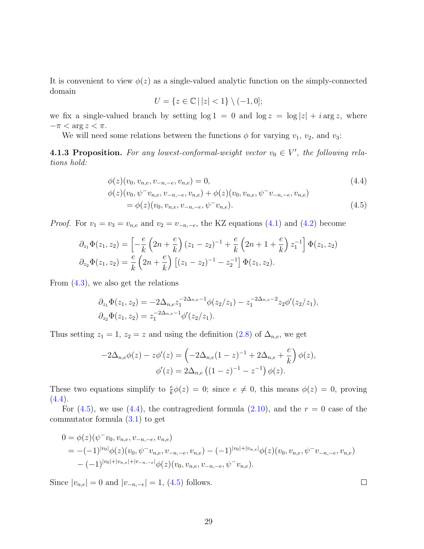It is convenient to view  $\phi(z)$  as a single-valued analytic function on the simply-connected domain

<span id="page-28-1"></span><span id="page-28-0"></span>
$$
U=\{z\in\mathbb{C}\,|\,|z|<1\}\setminus(-1,0];
$$

we fix a single-valued branch by setting  $\log 1 = 0$  and  $\log z = \log |z| + i \arg z$ , where  $-\pi < \arg z < \pi$ .

We will need some relations between the functions  $\phi$  for varying  $v_1$ ,  $v_2$ , and  $v_3$ :

**4.1.3 Proposition.** For any lowest-conformal-weight vector  $v_0 \in V'$ , the following relations hold:

$$
\begin{aligned} \n\phi(z)(v_0, v_{n,e}, v_{-n,-e}, v_{n,e}) &= 0, & (4.4) \\ \n\phi(z)(v_0, \psi^- v_{n,e}, v_{-n,-e}, v_{n,e}) &+ \phi(z)(v_0, v_{n,e}, \psi^- v_{-n,-e}, v_{n,e}) \\ \n&= \phi(z)(v_0, v_{n,e}, v_{-n,-e}, \psi^- v_{n,e}). \n\end{aligned} \tag{4.5}
$$

*Proof.* For  $v_1 = v_3 = v_{n,e}$  and  $v_2 = v_{-n,-e}$ , the KZ equations [\(4.1\)](#page-27-0) and [\(4.2\)](#page-27-1) become

$$
\partial_{z_1} \Phi(z_1, z_2) = \left[ -\frac{e}{k} \left( 2n + \frac{e}{k} \right) (z_1 - z_2)^{-1} + \frac{e}{k} \left( 2n + 1 + \frac{e}{k} \right) z_1^{-1} \right] \Phi(z_1, z_2)
$$
  

$$
\partial_{z_2} \Phi(z_1, z_2) = \frac{e}{k} \left( 2n + \frac{e}{k} \right) \left[ (z_1 - z_2)^{-1} - z_2^{-1} \right] \Phi(z_1, z_2).
$$

From [\(4.3\)](#page-27-2), we also get the relations

$$
\partial_{z_1} \Phi(z_1, z_2) = -2 \Delta_{n,e} z_1^{-2\Delta_{n,e}-1} \phi(z_2/z_1) - z_1^{-2\Delta_{n,e}-2} z_2 \phi'(z_2/z_1),
$$
  

$$
\partial_{z_2} \Phi(z_1, z_2) = z_1^{-2\Delta_{n,e}-1} \phi'(z_2/z_1).
$$

Thus setting  $z_1 = 1$ ,  $z_2 = z$  and using the definition [\(2.8\)](#page-10-0) of  $\Delta_{n,e}$ , we get

$$
-2\Delta_{n,e}\phi(z) - z\phi'(z) = \left(-2\Delta_{n,e}(1-z)^{-1} + 2\Delta_{n,e} + \frac{e}{k}\right)\phi(z),
$$
  

$$
\phi'(z) = 2\Delta_{n,e}\left((1-z)^{-1} - z^{-1}\right)\phi(z).
$$

These two equations simplify to  $\frac{e}{k}\phi(z) = 0$ ; since  $e \neq 0$ , this means  $\phi(z) = 0$ , proving  $(4.4).$  $(4.4).$ 

For  $(4.5)$ , we use  $(4.4)$ , the contragredient formula  $(2.10)$ , and the  $r = 0$  case of the commutator formula [\(3.1\)](#page-18-1) to get

$$
0 = \phi(z)(\psi^{-}v_{0}, v_{n,e}, v_{-n,-e}, v_{n,e})
$$
  
= -(-1)<sup>|v\_{0}|</sup>\phi(z)(v\_{0}, \psi^{-}v\_{n,e}, v\_{-n,-e}, v\_{n,e}) - (-1)<sup>|v\_{0}|+|v\_{n,e}|</sup>\phi(z)(v\_{0}, v\_{n,e}, \psi^{-}v\_{-n,-e}, v\_{n,e})  
- (-1)<sup>|v\_{0}|+|v\_{n,e}|+|v\_{-n,-e}|\phi(z)(v\_{0}, v\_{n,e}, v\_{-n,-e}, \psi^{-}v\_{n,e}).</sup>

Since  $|v_{n,e}| = 0$  and  $|v_{-n,-e}| = 1$ , [\(4.5\)](#page-28-1) follows.

 $\Box$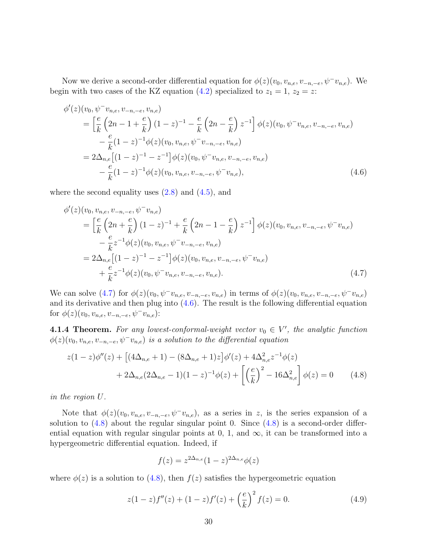Now we derive a second-order differential equation for  $\phi(z)(v_0, v_{n,e}, v_{-n,-e}, \psi^{-}v_{n,e})$ . We begin with two cases of the KZ equation [\(4.2\)](#page-27-1) specialized to  $z_1 = 1$ ,  $z_2 = z$ :

$$
\begin{split}\n\phi'(z)(v_0, \psi^- v_{n,e}, v_{-n,-e}, v_{n,e}) \\
&= \left[\frac{e}{k} \left(2n - 1 + \frac{e}{k}\right)(1 - z)^{-1} - \frac{e}{k} \left(2n - \frac{e}{k}\right)z^{-1}\right] \phi(z)(v_0, \psi^- v_{n,e}, v_{-n,-e}, v_{n,e}) \\
&- \frac{e}{k}(1 - z)^{-1} \phi(z)(v_0, v_{n,e}, \psi^- v_{-n,-e}, v_{n,e}) \\
&= 2\Delta_{n,e} \left[(1 - z)^{-1} - z^{-1}\right] \phi(z)(v_0, \psi^- v_{n,e}, v_{-n,-e}, v_{n,e}) \\
&- \frac{e}{k}(1 - z)^{-1} \phi(z)(v_0, v_{n,e}, v_{-n,-e}, \psi^- v_{n,e}),\n\end{split} \tag{4.6}
$$

where the second equality uses  $(2.8)$  and  $(4.5)$ , and

<span id="page-29-2"></span>
$$
\begin{split}\n\phi'(z)(v_0, v_{n,e}, v_{-n,-e}, \psi^- v_{n,e}) \\
&= \left[\frac{e}{k} \left(2n + \frac{e}{k}\right) (1-z)^{-1} + \frac{e}{k} \left(2n - 1 - \frac{e}{k}\right) z^{-1}\right] \phi(z)(v_0, v_{n,e}, v_{-n,-e}, \psi^- v_{n,e}) \\
&- \frac{e}{k} z^{-1} \phi(z)(v_0, v_{n,e}, \psi^- v_{-n,-e}, v_{n,e}) \\
&= 2\Delta_{n,e} \left[(1-z)^{-1} - z^{-1}\right] \phi(z)(v_0, v_{n,e}, v_{-n,-e}, \psi^- v_{n,e}) \\
&+ \frac{e}{k} z^{-1} \phi(z)(v_0, \psi^- v_{n,e}, v_{-n,-e}, v_{n,e}).\n\end{split} \tag{4.7}
$$

We can solve [\(4.7\)](#page-29-1) for  $\phi(z)(v_0, \psi^-v_{n,e}, v_{-n,-e}, v_{n,e})$  in terms of  $\phi(z)(v_0, v_{n,e}, v_{-n,-e}, \psi^-v_{n,e})$ and its derivative and then plug into  $(4.6)$ . The result is the following differential equation for  $\phi(z)(v_0, v_{n,e}, v_{-n,-e}, \psi^-v_{n,e})$ :

<span id="page-29-0"></span>**4.1.4 Theorem.** For any lowest-conformal-weight vector  $v_0 \in V'$ , the analytic function  $\phi(z)(v_0, v_{n,e}, v_{-n,-e}, \psi^-v_{n,e})$  is a solution to the differential equation

$$
z(1-z)\phi''(z) + \left[ (4\Delta_{n,e} + 1) - (8\Delta_{n,e} + 1)z \right] \phi'(z) + 4\Delta_{n,e}^2 z^{-1} \phi(z)
$$

$$
+ 2\Delta_{n,e} (2\Delta_{n,e} - 1)(1-z)^{-1} \phi(z) + \left[ \left(\frac{e}{k}\right)^2 - 16\Delta_{n,e}^2 \right] \phi(z) = 0 \tag{4.8}
$$

in the region U.

Note that  $\phi(z)(v_0, v_{n,e}, v_{-n,-e}, \psi^-v_{n,e}),$  as a series in z, is the series expansion of a solution to  $(4.8)$  about the regular singular point 0. Since  $(4.8)$  is a second-order differential equation with regular singular points at 0, 1, and  $\infty$ , it can be transformed into a hypergeometric differential equation. Indeed, if

<span id="page-29-3"></span><span id="page-29-1"></span>
$$
f(z) = z^{2\Delta_{n,e}}(1-z)^{2\Delta_{n,e}}\phi(z)
$$

where  $\phi(z)$  is a solution to [\(4.8\)](#page-29-3), then  $f(z)$  satisfies the hypergeometric equation

<span id="page-29-4"></span>
$$
z(1-z)f''(z) + (1-z)f'(z) + \left(\frac{e}{k}\right)^2 f(z) = 0.
$$
\n(4.9)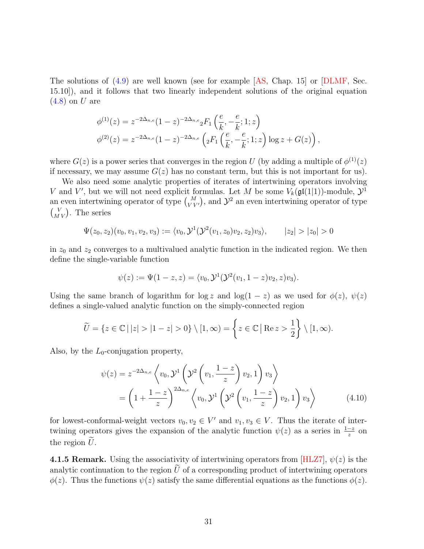The solutions of [\(4.9\)](#page-29-4) are well known (see for example [\[AS,](#page-39-0) Chap. 15] or [\[DLMF,](#page-41-15) Sec. 15.10]), and it follows that two linearly independent solutions of the original equation  $(4.8)$  on U are

$$
\phi^{(1)}(z) = z^{-2\Delta_{n,e}} (1-z)^{-2\Delta_{n,e}} {}_2F_1\left(\frac{e}{k}, -\frac{e}{k}; 1; z\right)
$$
  

$$
\phi^{(2)}(z) = z^{-2\Delta_{n,e}} (1-z)^{-2\Delta_{n,e}} \left( {}_2F_1\left(\frac{e}{k}, -\frac{e}{k}; 1; z\right) \log z + G(z) \right),
$$

where  $G(z)$  is a power series that converges in the region U (by adding a multiple of  $\phi^{(1)}(z)$ ) if necessary, we may assume  $G(z)$  has no constant term, but this is not important for us).

We also need some analytic properties of iterates of intertwining operators involving V and V', but we will not need explicit formulas. Let M be some  $V_k(\mathfrak{gl}(1|1))$ -module,  $\mathcal{Y}^1$ an even intertwining operator of type  $\binom{M}{V V'}$ , and  $\mathcal{Y}^2$  an even intertwining operator of type  $\binom{V}{MV}$ . The series

$$
\Psi(z_0, z_2)(v_0, v_1, v_2, v_3) := \langle v_0, \mathcal{Y}^1(\mathcal{Y}^2(v_1, z_0)v_2, z_2)v_3 \rangle, \qquad |z_2| > |z_0| > 0
$$

in  $z_0$  and  $z_2$  converges to a multivalued analytic function in the indicated region. We then define the single-variable function

$$
\psi(z) := \Psi(1-z, z) = \langle v_0, \mathcal{Y}^1(\mathcal{Y}^2(v_1, 1-z)v_2, z)v_3 \rangle.
$$

Using the same branch of logarithm for log z and log(1 – z) as we used for  $\phi(z)$ ,  $\psi(z)$ defines a single-valued analytic function on the simply-connected region

$$
\widetilde{U} = \{ z \in \mathbb{C} \mid |z| > |1-z| > 0 \} \setminus [1,\infty) = \left\{ z \in \mathbb{C} \mid \text{Re } z > \frac{1}{2} \right\} \setminus [1,\infty).
$$

Also, by the  $L_0$ -conjugation property,

<span id="page-30-0"></span>
$$
\psi(z) = z^{-2\Delta_{n,e}} \left\langle v_0, \mathcal{Y}^1 \left( \mathcal{Y}^2 \left( v_1, \frac{1-z}{z} \right) v_2, 1 \right) v_3 \right\rangle
$$
  
=  $\left( 1 + \frac{1-z}{z} \right)^{2\Delta_{n,e}} \left\langle v_0, \mathcal{Y}^1 \left( \mathcal{Y}^2 \left( v_1, \frac{1-z}{z} \right) v_2, 1 \right) v_3 \right\rangle$  (4.10)

for lowest-conformal-weight vectors  $v_0, v_2 \in V'$  and  $v_1, v_3 \in V$ . Thus the iterate of intertwining operators gives the expansion of the analytic function  $\psi(z)$  as a series in  $\frac{1-z}{z}$  on the region  $\hat{U}$ .

4.1.5 Remark. Using the associativity of intertwining operators from [\[HLZ7\]](#page-43-4),  $\psi(z)$  is the analytic continuation to the region  $\tilde{U}$  of a corresponding product of intertwining operators  $\phi(z)$ . Thus the functions  $\psi(z)$  satisfy the same differential equations as the functions  $\phi(z)$ .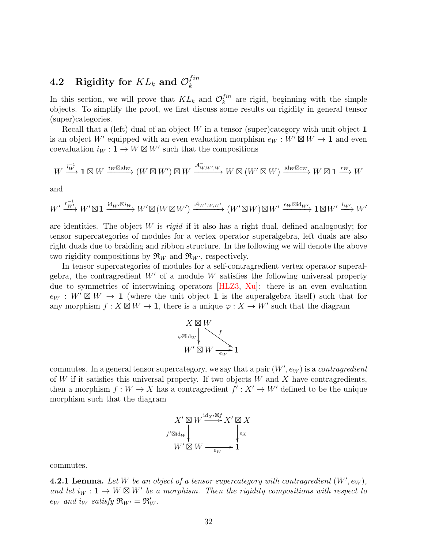#### <span id="page-31-0"></span> $\textbf{4.2} \quad \textbf{Rigidity for} \; KL_k \; \textbf{and} \; \mathcal{O}_k^{fin}$ k

In this section, we will prove that  $KL_k$  and  $\mathcal{O}_k^{fin}$  $\binom{Im}{k}$  are rigid, beginning with the simple objects. To simplify the proof, we first discuss some results on rigidity in general tensor (super)categories.

Recall that a (left) dual of an object  $W$  in a tensor (super)category with unit object  $1$ is an object W' equipped with an even evaluation morphism  $e_W : W' \boxtimes W \to \mathbf{1}$  and even coevaluation  $i_W: \mathbf{1} \to W \boxtimes W'$  such that the compositions

$$
W \xrightarrow{l_W^{-1}} \mathbf{1} \boxtimes W \xrightarrow{i_W \boxtimes id_W} (W \boxtimes W') \boxtimes W \xrightarrow{\mathcal{A}_{W,W',W}^{-1}} W \boxtimes (W' \boxtimes W) \xrightarrow{id_W \boxtimes e_W} W \boxtimes \mathbf{1} \xrightarrow{rw} W
$$

and

$$
W' \xrightarrow{r_{W'}^{-1}} W' \boxtimes \mathbf{1} \xrightarrow{\mathrm{id}_{W'} \boxtimes i_W} W' \boxtimes (W \boxtimes W') \xrightarrow{\mathcal{A}_{W',W,W'}} (W' \boxtimes W) \boxtimes W' \xrightarrow{e_W \boxtimes \mathrm{id}_{W'}} \mathbf{1} \boxtimes W' \xrightarrow{l_{W'}} W'
$$

are identities. The object W is rigid if it also has a right dual, defined analogously; for tensor supercategories of modules for a vertex operator superalgebra, left duals are also right duals due to braiding and ribbon structure. In the following we will denote the above two rigidity compositions by  $\mathfrak{R}_W$  and  $\mathfrak{R}_{W'}$ , respectively.

In tensor supercategories of modules for a self-contragredient vertex operator superalgebra, the contragredient  $W'$  of a module W satisfies the following universal property due to symmetries of intertwining operators [\[HLZ3,](#page-43-5) [Xu\]](#page-45-4): there is an even evaluation  $e_W : W' \boxtimes W \to \mathbf{1}$  (where the unit object  $\mathbf{1}$  is the superalgebra itself) such that for any morphism  $f: X \boxtimes W \to \mathbf{1}$ , there is a unique  $\varphi: X \to W'$  such that the diagram



commutes. In a general tensor supercategory, we say that a pair  $(W', e_W)$  is a *contragredient* of W if it satisfies this universal property. If two objects  $W$  and  $X$  have contragredients, then a morphism  $f: W \to X$  has a contragredient  $f': X' \to W'$  defined to be the unique morphism such that the diagram

$$
X' \boxtimes W \xrightarrow{\mathrm{id}_{X'} \boxtimes f} X' \boxtimes X
$$
  

$$
f' \boxtimes \mathrm{id}_W \downarrow \qquad \qquad \downarrow e_X
$$
  

$$
W' \boxtimes W \xrightarrow{\phantom{A'} e_W} \mathbf{1}
$$

commutes.

**4.2.1 Lemma.** Let W be an object of a tensor supercategory with contragredient  $(W', e_W)$ , and let  $i_W: \mathbf{1} \to W \boxtimes W'$  be a morphism. Then the rigidity compositions with respect to  $e_W$  and  $i_W$  satisfy  $\mathfrak{R}_{W'} = \mathfrak{R}'_W$ .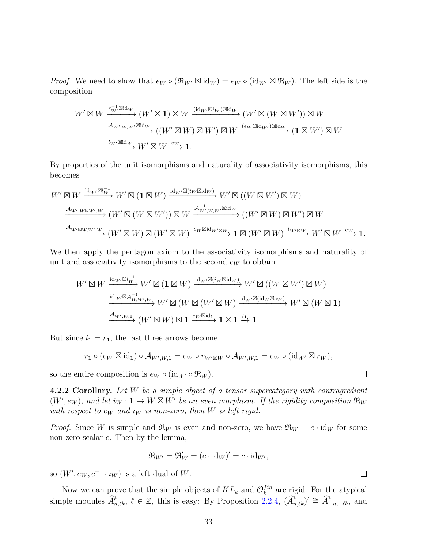*Proof.* We need to show that  $e_W \circ (\mathfrak{R}_{W'} \boxtimes id_W) = e_W \circ (id_{W'} \boxtimes \mathfrak{R}_W)$ . The left side is the composition

$$
W' \boxtimes W \xrightarrow{r_W^{-1} \boxtimes id_W} (W' \boxtimes \mathbf{1}) \boxtimes W \xrightarrow{(id_{W'} \boxtimes i_W) \boxtimes id_W} (W' \boxtimes (W \boxtimes W')) \boxtimes W
$$

$$
\xrightarrow{A_{W',W,W'} \boxtimes id_W} ((W' \boxtimes W) \boxtimes W') \boxtimes W \xrightarrow{(e_W \boxtimes id_{W'}) \boxtimes id_W} (\mathbf{1} \boxtimes W') \boxtimes W
$$

$$
\xrightarrow{l_{W'} \boxtimes id_W} W' \boxtimes W \xrightarrow{e_W} \mathbf{1}.
$$

By properties of the unit isomorphisms and naturality of associativity isomorphisms, this becomes

$$
\begin{split} W' &\boxtimes W \xrightarrow{\mathrm{id}_{W'} \boxtimes l_W^{-1}} W' \boxtimes (\mathbf{1} \boxtimes W) \xrightarrow{\mathrm{id}_{W'} \boxtimes (i_W \boxtimes \mathrm{id}_W)} W' \boxtimes ((W \boxtimes W') \boxtimes W) \\ &\xrightarrow{\mathcal{A}_{W',W \boxtimes W',W}} (W' \boxtimes (W \boxtimes W')) \boxtimes W \xrightarrow{\mathcal{A}_{W',W,W'}^{-1} \boxtimes \mathrm{id}_W} ((W' \boxtimes W) \boxtimes W') \boxtimes W \\ &\xrightarrow{\mathcal{A}_{W' \boxtimes W, W',W}^{-1}} (W' \boxtimes W) \boxtimes (W' \boxtimes W) \xrightarrow{e_W \boxtimes \mathrm{id}_{W' \boxtimes W}} \mathbf{1} \boxtimes (W' \boxtimes W) \xrightarrow{l_W' \boxtimes W} W' \boxtimes W \xrightarrow{e_W} \mathbf{1}. \end{split}
$$

We then apply the pentagon axiom to the associativity isomorphisms and naturality of unit and associativity isomorphisms to the second  $e_W$  to obtain

$$
W' \boxtimes W \xrightarrow{\mathrm{id}_{W'} \boxtimes l_W^{-1}} W' \boxtimes (\mathbf{1} \boxtimes W) \xrightarrow{\mathrm{id}_{W'} \boxtimes (i_W \boxtimes \mathrm{id}_W)} W' \boxtimes ((W \boxtimes W') \boxtimes W)
$$
  

$$
\xrightarrow{\mathrm{id}_{W'} \boxtimes \mathcal{A}_{W,W',W}^{-1}} W' \boxtimes (W \boxtimes (W' \boxtimes W) \xrightarrow{\mathrm{id}_{W'} \boxtimes (\mathrm{id}_W \boxtimes e_W)} W' \boxtimes (W \boxtimes \mathbf{1})
$$
  

$$
\xrightarrow{\mathcal{A}_{W',W,\mathbf{1}}} (W' \boxtimes W) \boxtimes \mathbf{1} \xrightarrow{e_W \boxtimes \mathrm{id}_\mathbf{1}} \mathbf{1} \boxtimes \mathbf{1} \xrightarrow{l_\mathbf{1}} \mathbf{1}.
$$

But since  $l_1 = r_1$ , the last three arrows become

$$
r_1 \circ (e_W \boxtimes id_1) \circ \mathcal{A}_{W',W,1} = e_W \circ r_{W' \boxtimes W} \circ \mathcal{A}_{W',W,1} = e_W \circ (id_{W'} \boxtimes r_W),
$$

so the entire composition is  $e_W \circ (\mathrm{id}_{W'} \circ \mathfrak{R}_W)$ .

<span id="page-32-0"></span>**4.2.2 Corollary.** Let  $W$  be a simple object of a tensor supercategory with contragredient  $(W', e_W)$ , and let  $i_W : \mathbf{1} \to W \boxtimes W'$  be an even morphism. If the rigidity composition  $\mathfrak{R}_W$ with respect to  $e_W$  and  $i_W$  is non-zero, then W is left rigid.

*Proof.* Since W is simple and  $\mathfrak{R}_W$  is even and non-zero, we have  $\mathfrak{R}_W = c \cdot id_W$  for some non-zero scalar  $c$ . Then by the lemma,

$$
\mathfrak{R}_{W'} = \mathfrak{R}'_W = (c \cdot \mathrm{id}_W)' = c \cdot \mathrm{id}_{W'},
$$

so  $(W', e_W, c^{-1} \cdot i_W)$  is a left dual of W.

Now we can prove that the simple objects of  $KL_k$  and  $\mathcal{O}_k^{fin}$  $\int_k^{tn}$  are rigid. For the atypical simple modules  $\widehat{A}_{n,\ell k}^k, \ell \in \mathbb{Z}$ , this is easy: By Proposition [2.2.4,](#page-11-1)  $(\widehat{A}_{n,\ell k}^k)' \cong \widehat{A}_{-n,-\ell k}^k$ , and

 $\Box$ 

 $\Box$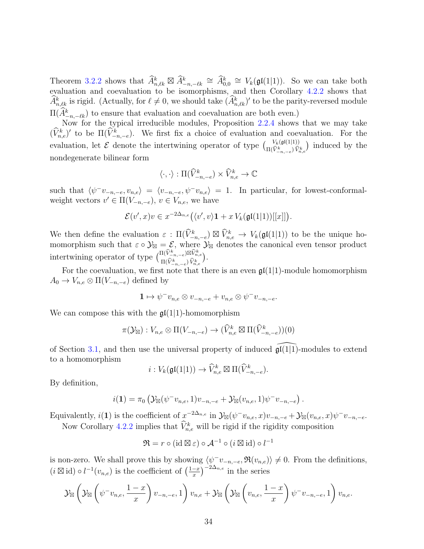Theorem [3.2.2](#page-22-0) shows that  $\widehat{A}_{n,\ell k}^k \boxtimes \widehat{A}_{-n,-\ell k}^k \cong \widehat{A}_{0,0}^k \cong V_k(\mathfrak{gl}(1|1)).$  So we can take both evaluation and coevaluation to be isomorphisms, and then Corollary [4.2.2](#page-32-0) shows that  $\widehat{A}^k_{n,\ell k}$  is rigid. (Actually, for  $\ell \neq 0$ , we should take  $(\widehat{A}^k_{n,\ell k})'$  to be the parity-reversed module  $\Pi(\widetilde{A}_{-n,-\ell k}^k)$  to ensure that evaluation and coevaluation are both even.)

Now for the typical irreducible modules, Proposition [2.2.4](#page-11-1) shows that we may take  $(\hat{V}_{n,e}^k)'$  to be  $\Pi(\hat{V}_{-n,-e}^k)$ . We first fix a choice of evaluation and coevaluation. For the evaluation, let  $\mathcal E$  denote the intertwining operator of type  $\binom{V_k(\mathfrak{gl}(1|1))}{\Pi(\hat{V}^k_{-n,-e})\hat{V}^k_{n,e}}$  induced by the nondegenerate bilinear form

$$
\langle \cdot, \cdot \rangle : \Pi(\widehat{V}^k_{-n,-e}) \times \widehat{V}^k_{n,e} \to \mathbb{C}
$$

such that  $\langle \psi^-v_{-n,-e}, v_{n,e} \rangle = \langle v_{-n,-e}, \psi^-v_{n,e} \rangle = 1$ . In particular, for lowest-conformalweight vectors  $v' \in \Pi(V_{-n,-e}), v \in V_{n,e}$ , we have

$$
\mathcal{E}(v',x)v \in x^{-2\Delta_{n,e}}(\langle v',v\rangle \mathbf{1} + x V_k(\mathfrak{gl}(1|1))[[x]]).
$$

We then define the evaluation  $\varepsilon : \Pi(\widehat{V}^k_{-n,-e}) \boxtimes \widehat{V}^k_{n,e} \to V_k(\mathfrak{gl}(1|1))$  to be the unique homomorphism such that  $\varepsilon \circ \mathcal{Y}_{\boxtimes} = \mathcal{E}$ , where  $\mathcal{Y}_{\boxtimes}$  denotes the canonical even tensor product intertwining operator of type  $\begin{pmatrix} \Pi(\hat{V}^k_{-n,-e})\boxtimes \hat{V}^k_{n,e} \\ \Pi(\hat{V}^k_{-n,-e})\widehat{V}^k_{-n,e} \end{pmatrix}$  $\frac{\prod (V_{-n,-e}^n)^{\boxtimes V_{n,e}^n}}{\prod (\widehat{V}_{-n,-e}^k)\widehat{V}_{n,e}^k}.$ 

For the coevaluation, we first note that there is an even  $\mathfrak{gl}(1|1)$ -module homomorphism  $A_0 \to V_{n,e} \otimes \Pi(V_{-n,-e})$  defined by

$$
\mathbf{1} \mapsto \psi^{-} v_{n,e} \otimes v_{-n,-e} + v_{n,e} \otimes \psi^{-} v_{-n,-e}.
$$

We can compose this with the  $\mathfrak{gl}(1|1)$ -homomorphism

$$
\pi(\mathcal{Y}_{\boxtimes}) : V_{n,e} \otimes \Pi(V_{-n,-e}) \to (\widehat{V}_{n,e}^k \boxtimes \Pi(\widehat{V}_{-n,-e}^k))(0)
$$

of Section [3.1,](#page-18-3) and then use the universal property of induced  $\mathfrak{gl}(1|1)$ -modules to extend to a homomorphism

$$
i: V_k(\mathfrak{gl}(1|1)) \to \widehat{V}_{n,e}^k \boxtimes \Pi(\widehat{V}_{-n,-e}^k).
$$

By definition,

$$
i(1) = \pi_0 \left( \mathcal{Y}_{\boxtimes}(\psi^- v_{n,e}, 1) v_{-n,-e} + \mathcal{Y}_{\boxtimes} (v_{n,e}, 1) \psi^- v_{-n,-e} \right).
$$

Equivalently,  $i(1)$  is the coefficient of  $x^{-2\Delta_{n,e}}$  in  $\mathcal{Y}_{\boxtimes}(\psi^{-}v_{n,e},x)v_{-n,-e} + \mathcal{Y}_{\boxtimes}(v_{n,e},x)\psi^{-}v_{-n,-e}$ . Now Corollary [4.2.2](#page-32-0) implies that  $\hat{V}_{n,e}^{k}$  will be rigid if the rigidity composition

$$
\mathfrak{R} = r \circ (\mathrm{id} \boxtimes \varepsilon) \circ \mathcal{A}^{-1} \circ (i \boxtimes \mathrm{id}) \circ l^{-1}
$$

is non-zero. We shall prove this by showing  $\langle \psi^-v_{-n,-e}, \Re(v_{n,e}) \rangle \neq 0$ . From the definitions,  $(i \boxtimes id) \circ l^{-1}(v_{n,e})$  is the coefficient of  $\left(\frac{1-x}{x}\right)$  $\left(\frac{-x}{x}\right)^{-2\Delta_{n,e}}$  in the series

$$
\mathcal{Y}_{\boxtimes}\left(\mathcal{Y}_{\boxtimes}\left(\psi^{-}v_{n,e},\frac{1-x}{x}\right)v_{-n,-e},1\right)v_{n,e}+\mathcal{Y}_{\boxtimes}\left(\mathcal{Y}_{\boxtimes}\left(v_{n,e},\frac{1-x}{x}\right)\psi^{-}v_{-n,-e},1\right)v_{n,e}.
$$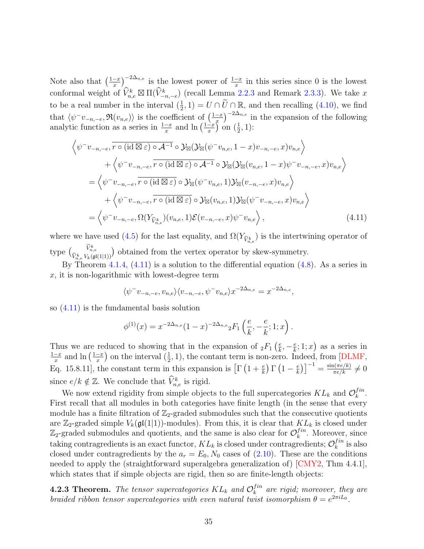Note also that  $\left(\frac{1-x}{x}\right)$  $\left(\frac{-x}{x}\right)^{-2\Delta_{n,e}}$  is the lowest power of  $\frac{1-x}{x}$  in this series since 0 is the lowest conformal weight of  $\widehat{V}_{n,e}^k \boxtimes \Pi(\widehat{V}_{-n,-e}^k)$  (recall Lemma [2.2.3](#page-10-1) and Remark [2.3.3\)](#page-13-3). We take x to be a real number in the interval  $(\frac{1}{2}, 1) = U \cap \tilde{U} \cap \mathbb{R}$ , and then recalling  $(4.10)$ , we find 2 that  $\langle \psi^-v_{-n,-e}, \Re(v_{n,e}) \rangle$  is the coefficient of  $\left(\frac{1-x}{x}\right)$  $\left(\frac{-x}{x}\right)^{-2\Delta_{n,e}}$  in the expansion of the following analytic function as a series in  $\frac{1-x}{x}$  and  $\ln\left(\frac{1-x}{x}\right)$  $\frac{-x}{x}$  on  $(\frac{1}{2}, 1)$ :

$$
\left\langle \psi^{-}v_{-n,-e}, \overline{r \circ (\operatorname{id} \boxtimes \varepsilon) \circ A^{-1}} \circ \mathcal{Y}_{\boxtimes}(\mathcal{Y}_{\boxtimes}(\psi^{-}v_{n,e}, 1-x)v_{-n,-e}, x)v_{n,e} \right\rangle \n+ \left\langle \psi^{-}v_{-n,-e}, \overline{r \circ (\operatorname{id} \boxtimes \varepsilon) \circ A^{-1}} \circ \mathcal{Y}_{\boxtimes}(\mathcal{Y}_{\boxtimes}(v_{n,e}, 1-x)\psi^{-}v_{-n,-e}, x)v_{n,e} \right\rangle \n= \left\langle \psi^{-}v_{-n,-e}, \overline{r \circ (\operatorname{id} \boxtimes \varepsilon) \circ \mathcal{Y}_{\boxtimes}(\psi^{-}v_{n,e}, 1)\mathcal{Y}_{\boxtimes}(v_{-n,-e}, x)v_{n,e} \right\rangle \n+ \left\langle \psi^{-}v_{-n,-e}, \overline{r \circ (\operatorname{id} \boxtimes \varepsilon) \circ \mathcal{Y}_{\boxtimes}(v_{n,e}, 1)\mathcal{Y}_{\boxtimes}(\psi^{-}v_{-n,-e}, x)v_{n,e} \right\rangle \n= \left\langle \psi^{-}v_{-n,-e}, \Omega(Y_{\widehat{V}_{n,e}})(v_{n,e}, 1)\mathcal{E}(v_{-n,-e}, x)\psi^{-}v_{n,e} \right\rangle, \tag{4.11}
$$

where we have used [\(4.5\)](#page-28-1) for the last equality, and  $\Omega(Y_{\hat{V}_{n,e}^k})$  is the intertwining operator of  $\text{type}$   $\big( \frac{\widehat{V}_{n,e}^k}{\widehat{V}_{n,e}^k} \big)$  $\widehat{V}_{n,e}^{k} V_{k}(\mathfrak{gl}(1|1))$  obtained from the vertex operator by skew-symmetry.

By Theorem [4.1.4,](#page-29-0) [\(4.11\)](#page-34-1) is a solution to the differential equation [\(4.8\)](#page-29-3). As a series in  $x$ , it is non-logarithmic with lowest-degree term

<span id="page-34-1"></span>
$$
\langle \psi^- v_{-n,-e}, v_{n,e} \rangle \langle v_{-n,-e}, \psi^- v_{n,e} \rangle x^{-2\Delta_{n,e}} = x^{-2\Delta_{n,e}},
$$

so [\(4.11\)](#page-34-1) is the fundamental basis solution

$$
\phi^{(1)}(x) = x^{-2\Delta_{n,e}}(1-x)^{-2\Delta_{n,e}}{}_2F_1\left(\frac{e}{k}, -\frac{e}{k}; 1; x\right).
$$

Thus we are reduced to showing that in the expansion of  ${}_2F_1\left(\frac{e}{k}\right)$  $\frac{e}{k}, -\frac{e}{k}$  $(\frac{e}{k}; 1; x)$  as a series in  $1-x$  $\frac{-x}{x}$  and  $\ln\left(\frac{1-x}{x}\right)$  $\frac{-x}{x}$ ) on the interval  $(\frac{1}{2}, 1)$ , the contant term is non-zero. Indeed, from [\[DLMF,](#page-41-15) Eq. 15.8.11], the constant term in this expansion is  $\left[\Gamma\left(1+\frac{e}{k}\right)\Gamma\left(1-\frac{e}{k}\right)\right]$  $\left(\frac{e}{k}\right)\right]^{-1} = \frac{\sin(\pi e/k)}{\pi e/k} \neq 0$ since  $e/k \notin \mathbb{Z}$ . We conclude that  $\widehat{V}_{n,e}^{k}$  is rigid.

We now extend rigidity from simple objects to the full supercategories  $KL_k$  and  $\mathcal{O}_k^{fin}$  $_{k}^{fin}.$ First recall that all modules in both categories have finite length (in the sense that every module has a finite filtration of  $\mathbb{Z}_2$ -graded submodules such that the consecutive quotients are  $\mathbb{Z}_2$ -graded simple  $V_k(\mathfrak{gl}(1|1))$ -modules). From this, it is clear that  $KL_k$  is closed under  $\mathbb{Z}_2$ -graded submodules and quotients, and the same is also clear for  $\mathcal{O}_k^{fin}$  $\int_{k}^{tn}$ . Moreover, since taking contragredients is an exact functor,  $KL_k$  is closed under contragredients;  $\mathcal{O}_k^{fin}$  $\binom{J^{in}}{k}$  is also closed under contragredients by the  $a_r = E_0$ ,  $N_0$  cases of [\(2.10\)](#page-11-2). These are the conditions needed to apply the (straightforward superalgebra generalization of) [\[CMY2,](#page-41-2) Thm 4.4.1], which states that if simple objects are rigid, then so are finite-length objects:

<span id="page-34-0"></span>**4.2.3 Theorem.** The tensor supercategories  $KL_k$  and  $\mathcal{O}_k^{fin}$  $\binom{tm}{k}$  are rigid; moreover, they are braided ribbon tensor supercategories with even natural twist isomorphism  $\theta = e^{2\pi i L_0}$ .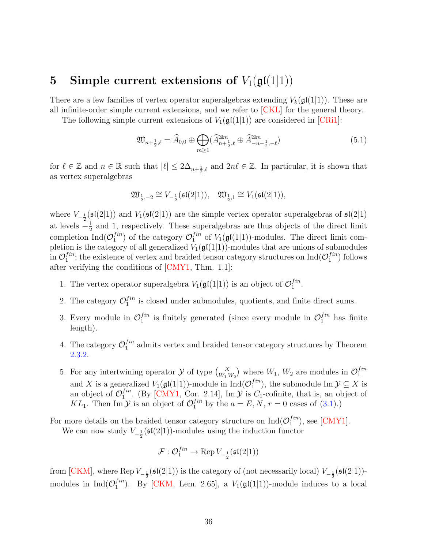# <span id="page-35-0"></span>5 Simple current extensions of  $V_1(\mathfrak{gl}(1|1))$

There are a few families of vertex operator superalgebras extending  $V_k(\mathfrak{gl}(1|1))$ . These are all infinite-order simple current extensions, and we refer to [\[CKL\]](#page-40-13) for the general theory.

The following simple current extensions of  $V_1(\mathfrak{gl}(1|1))$  are considered in [\[CRi1\]](#page-41-4):

<span id="page-35-1"></span>
$$
\mathfrak{W}_{n+\frac{1}{2},\ell} = \widehat{A}_{0,0} \oplus \bigoplus_{m \ge 1} (\widehat{A}_{n+\frac{1}{2},\ell}^{\boxtimes m} \oplus \widehat{A}_{-n-\frac{1}{2},-\ell}^{\boxtimes m})
$$
(5.1)

for  $\ell \in \mathbb{Z}$  and  $n \in \mathbb{R}$  such that  $|\ell| \leq 2\Delta_{n+\frac{1}{2},\ell}$  and  $2n\ell \in \mathbb{Z}$ . In particular, it is shown that as vertex superalgebras

$$
\mathfrak{W}_{\frac{1}{2},-2}\cong V_{-\frac{1}{2}}(\mathfrak{sl}(2|1)),\quad \mathfrak{W}_{\frac{1}{2},1}\cong V_1(\mathfrak{sl}(2|1)),
$$

where  $V_{-\frac{1}{2}}(\mathfrak{sl}(2|1))$  and  $V_1(\mathfrak{sl}(2|1))$  are the simple vertex operator superalgebras of  $\mathfrak{sl}(2|1)$ at levels  $-\frac{1}{2}$  $\frac{1}{2}$  and 1, respectively. These superalgebras are thus objects of the direct limit completion Ind $\mathcal{O}_1^{fin}$  $_1^{fin}$ ) of the category  $\mathcal{O}_1^{fin}$  $j_1^{tn}$  of  $V_1(\mathfrak{gl}(1|1))$ -modules. The direct limit completion is the category of all generalized  $V_1(\mathfrak{gl}(1|1))$ -modules that are unions of submodules in  $\mathcal{O}^{fin}_1$  $_1^{fin}$ ; the existence of vertex and braided tensor category structures on  $\mathrm{Ind}(\mathcal{O}_1^{fin})$  $j^{in}_{1}$  follows after verifying the conditions of [\[CMY1,](#page-41-3) Thm. 1.1]:

- 1. The vertex operator superalgebra  $V_1(\mathfrak{gl}(1|1))$  is an object of  $\mathcal{O}_1^{fin}$  $\frac{1}{1}$ .
- 2. The category  $\mathcal{O}_1^{fin}$  $j_i^{in}$  is closed under submodules, quotients, and finite direct sums.
- 3. Every module in  $\mathcal{O}_1^{fin}$  $j_1^{fin}$  is finitely generated (since every module in  $\mathcal{O}_1^{fin}$  has finite length).
- 4. The category  $\mathcal{O}_1^{fin}$  $j_i^{in}$  admits vertex and braided tensor category structures by Theorem [2.3.2.](#page-12-1)
- 5. For any intertwining operator  $\mathcal Y$  of type  $\binom{X}{W_1 W_2}$  where  $W_1, W_2$  are modules in  $\mathcal O_1^{fin}$ 1 and X is a generalized  $V_1(\mathfrak{gl}(1|1))$ -module in  $\mathrm{Ind}(\mathcal{O}_1^{fin})$  $j^{tn}_{1}$ , the submodule Im  $\mathcal{Y} \subseteq X$  is an object of  $\mathcal{O}_1^{fin}$  $I_1^{tn}$ . (By [\[CMY1,](#page-41-3) Cor. 2.14], Im  $\mathcal Y$  is  $C_1$ -cofinite, that is, an object of KL<sub>1</sub>. Then Im  $\mathcal Y$  is an object of  $\mathcal O_1^{fin}$  by the  $a = E, N, r = 0$  cases of [\(3.1\)](#page-18-1).)

For more details on the braided tensor category structure on  $\text{Ind}(O_1^{fin})$  $_1^{Jin}$ ), see [\[CMY1\]](#page-41-3).

We can now study  $V_{-\frac{1}{2}}(\mathfrak{sl}(2|1))$ -modules using the induction functor

$$
\mathcal{F}: \mathcal{O}_1^{fin} \to \text{Rep}\, V_{-\frac{1}{2}}(\mathfrak{sl}(2|1))
$$

from [\[CKM\]](#page-41-1), where Rep  $V_{-\frac{1}{2}}(\mathfrak{sl}(2|1))$  is the category of (not necessarily local)  $V_{-\frac{1}{2}}(\mathfrak{sl}(2|1))$ modules in  $\text{Ind}(O_1^{fin})$  $_1^{tm}$ ). By [\[CKM,](#page-41-1) Lem. 2.65], a  $V_1(\mathfrak{gl}(1|1))$ -module induces to a local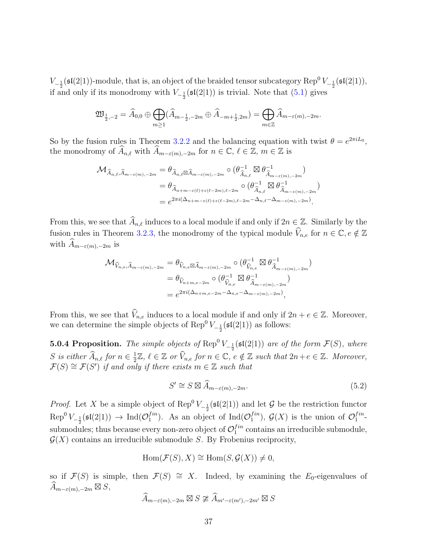$V_{-\frac{1}{2}}(\mathfrak{sl}(2|1))$ -module, that is, an object of the braided tensor subcategory  $\mathrm{Rep}^0\,V_{-\frac{1}{2}}(\mathfrak{sl}(2|1)),$ if and only if its monodromy with  $V_{-\frac{1}{2}}(\mathfrak{sl}(2|1))$  is trivial. Note that [\(5.1\)](#page-35-1) gives

$$
\mathfrak{W}_{\frac{1}{2},-2} = \widehat{A}_{0,0} \oplus \bigoplus_{m \geq 1} (\widehat{A}_{m-\frac{1}{2},-2m} \oplus \widehat{A}_{-m+\frac{1}{2},2m}) = \bigoplus_{m \in \mathbb{Z}} \widehat{A}_{m-\varepsilon(m),-2m}.
$$

So by the fusion rules in Theorem [3.2.2](#page-22-0) and the balancing equation with twist  $\theta = e^{2\pi i L_0}$ , the monodromy of  $\widehat{A}_{n,\ell}$  with  $\widehat{A}_{m-\varepsilon(m),-2m}$  for  $n \in \mathbb{C}, \ell \in \mathbb{Z}, m \in \mathbb{Z}$  is

$$
\begin{split} \mathcal{M}_{\widehat{A}_{n,\ell},\widehat{A}_{m-\varepsilon(m),-2m}}&=\theta_{\widehat{A}_{n,\ell}\boxtimes\widehat{A}_{m-\varepsilon(m),-2m}}\circ\big(\theta_{\widehat{A}_{n,\ell}}^{-1}\boxtimes\theta_{\widehat{A}_{m-\varepsilon(m),-2m}}^{-1}\big)\\ &=\theta_{\widehat{A}_{n+m-\varepsilon(\ell)+\varepsilon(\ell-2m),\ell-2m}}\circ\big(\theta_{\widehat{A}_{n,\ell}}^{-1}\boxtimes\theta_{\widehat{A}_{m-\varepsilon(m),-2m}}^{-1}\big)\\ &=e^{2\pi i(\Delta_{n+m-\varepsilon(\ell)+\varepsilon(\ell-2m),\ell-2m}-\Delta_{n,\ell}-\Delta_{m-\varepsilon(m),-2m})}. \end{split}
$$

From this, we see that  $\widehat{A}_{n,\ell}$  induces to a local module if and only if  $2n \in \mathbb{Z}$ . Similarly by the fusion rules in Theorem [3.2.3,](#page-23-0) the monodromy of the typical module  $\widehat{V}_{n,e}$  for  $n \in \mathbb{C}$ ,  $e \notin \mathbb{Z}$ with  $\widehat{A}_{m-\epsilon(m),-2m}$  is

$$
\begin{split} \mathcal{M}_{\widehat{V}_{n,e},\widehat{A}_{m-\varepsilon(m),-2m}} &= \theta_{\widehat{V}_{n,e}\boxtimes\widehat{A}_{m-\varepsilon(m),-2m}} \circ \left(\theta_{\widehat{V}_{n,e}}^{-1} \boxtimes \theta_{\widehat{A}_{m-\varepsilon(m),-2m}}^{-1}\right) \\ &= \theta_{\widehat{V}_{n+m,e-2m}} \circ \left(\theta_{\widehat{V}_{n,e}}^{-1} \boxtimes \theta_{\widehat{A}_{m-\varepsilon(m),-2m}}^{-1}\right) \\ &= e^{2\pi i \left(\Delta_{n+m,e-2m} - \Delta_{n,e} - \Delta_{m-\varepsilon(m),-2m}\right)}, \end{split}
$$

From this, we see that  $\widehat{V}_{n,e}$  induces to a local module if and only if  $2n + e \in \mathbb{Z}$ . Moreover, we can determine the simple objects of  $\text{Rep}^0 V_{-\frac{1}{2}}(\mathfrak{sl}(2|1))$  as follows:

<span id="page-36-0"></span>**5.0.4 Proposition.** The simple objects of  $\text{Rep}^0 V_{-\frac{1}{2}}(\mathfrak{sl}(2|1))$  are of the form  $\mathcal{F}(S)$ , where S is either  $\widehat{A}_{n,\ell}$  for  $n \in \frac{1}{2}\mathbb{Z}$ ,  $\ell \in \mathbb{Z}$  or  $\widehat{V}_{n,e}$  for  $n \in \mathbb{C}$ ,  $\frac{1}{2}\mathbb{Z}, \ell \in \mathbb{Z}$  or  $\widehat{V}_{n,e}$  for  $n \in \mathbb{C}, e \notin \mathbb{Z}$  such that  $2n+e \in \mathbb{Z}$ . Moreover,  $\mathcal{F}(S) \cong \mathcal{F}(S')$  if and only if there exists  $m \in \mathbb{Z}$  such that

<span id="page-36-1"></span>
$$
S' \cong S \boxtimes \widehat{A}_{m-\epsilon(m),-2m}.\tag{5.2}
$$

*Proof.* Let X be a simple object of Rep<sup>0</sup>  $V_{-\frac{1}{2}}(\mathfrak{sl}(2|1))$  and let G be the restriction functor  $\text{Rep}^0 V_{-\frac{1}{2}}(\mathfrak{sl}(2|1)) \to \text{Ind}(\mathcal{O}_1^{fin})$ . As an obje  $_1^{fin}$ ). As an object of Ind $(\mathcal{O}_1^{fin})$  $j_1^{fin}$ ,  $\mathcal{G}(X)$  is the union of  $\mathcal{O}_1^{fin}$  $\frac{1}{1}$ <sup>tm</sup> submodules; thus because every non-zero object of  $\mathcal{O}_1^{fin}$  $j^{tn}_{1}$  contains an irreducible submodule,  $\mathcal{G}(X)$  contains an irreducible submodule S. By Frobenius reciprocity,

$$
Hom(\mathcal{F}(S), X) \cong Hom(S, \mathcal{G}(X)) \neq 0,
$$

so if  $\mathcal{F}(S)$  is simple, then  $\mathcal{F}(S) \cong X$ . Indeed, by examining the  $E_0$ -eigenvalues of  $\widehat{A}_{m-\varepsilon(m),-2m} \boxtimes S,$ 

$$
\widehat{A}_{m-\varepsilon(m),-2m} \boxtimes S \ncong \widehat{A}_{m'-\varepsilon(m'),-2m'} \boxtimes S
$$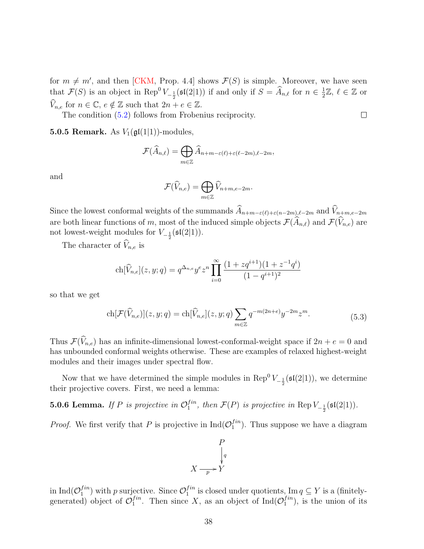for  $m \neq m'$ , and then [\[CKM,](#page-41-1) Prop. 4.4] shows  $\mathcal{F}(S)$  is simple. Moreover, we have seen that  $\mathcal{F}(S)$  is an object in Rep<sup>0</sup>  $V_{-\frac{1}{2}}(\mathfrak{sl}(2|1))$  if and only if  $S = \widehat{A}_{n,\ell}$  for  $n \in \frac{1}{2}$  $\frac{1}{2}\mathbb{Z}, \ell \in \mathbb{Z}$  or  $\widehat{V}_{n,e}$  for  $n \in \mathbb{C}$ ,  $e \notin \mathbb{Z}$  such that  $2n + e \in \mathbb{Z}$ .

The condition [\(5.2\)](#page-36-1) follows from Frobenius reciprocity.

**5.0.5 Remark.** As  $V_1(\mathfrak{gl}(1|1))$ -modules,

$$
\mathcal{F}(\widehat{A}_{n,\ell}) = \bigoplus_{m \in \mathbb{Z}} \widehat{A}_{n+m-\varepsilon(\ell)+\varepsilon(\ell-2m),\ell-2m},
$$

and

$$
\mathcal{F}(\widehat{V}_{n,e})=\bigoplus_{m\in\mathbb{Z}}\widehat{V}_{n+m,e-2m}.
$$

Since the lowest conformal weights of the summands  $\widehat{A}_{n+m-\epsilon(\ell)+\epsilon(n-2m),\ell-2m}$  and  $\widehat{V}_{n+m,e-2m}$ are both linear functions of m, most of the induced simple objects  $\mathcal{F}(\widehat{A}_{n,\ell})$  and  $\mathcal{F}(\widehat{V}_{n,e})$  are not lowest-weight modules for  $V_{-\frac{1}{2}}(\mathfrak{sl}(2|1)).$ 

The character of  $\widehat{V}_{n,e}$  is

$$
ch[\widehat{V}_{n,e}](z,y;q) = q^{\Delta_{n,e}} y^e z^n \prod_{i=0}^{\infty} \frac{(1+zq^{i+1})(1+z^{-1}q^i)}{(1-q^{i+1})^2}
$$

<span id="page-37-0"></span>so that we get

$$
\text{ch}[\mathcal{F}(\widehat{V}_{n,e})](z,y;q) = \text{ch}[\widehat{V}_{n,e}](z,y;q) \sum_{m \in \mathbb{Z}} q^{-m(2n+e)} y^{-2m} z^m.
$$
\n(5.3)

Thus  $\mathcal{F}(\widehat{V}_{n,e})$  has an infinite-dimensional lowest-conformal-weight space if  $2n + e = 0$  and has unbounded conformal weights otherwise. These are examples of relaxed highest-weight modules and their images under spectral flow.

Now that we have determined the simple modules in  $\text{Rep}^0 V_{-\frac{1}{2}}(\mathfrak{sl}(2|1))$ , we determine their projective covers. First, we need a lemma:

**5.0.6 Lemma.** If P is projective in  $\mathcal{O}_1^{fin}$  $I_1^{tn}$ , then  $\mathcal{F}(P)$  is projective in  $\text{Rep }V_{-\frac{1}{2}}(\mathfrak{sl}(2|1)).$ 

*Proof.* We first verify that P is projective in  $\text{Ind}(O_1^{fin})$  $j^{tn}_{1}$ ). Thus suppose we have a diagram



in Ind $(\mathcal{O}_1^{fin}$  $j_1^{fin}$ ) with p surjective. Since  $\mathcal{O}_1^{fin}$  $j_i^{tn}$  is closed under quotients,  $\text{Im } q \subseteq Y$  is a (finitelygenerated) object of  $\mathcal{O}_1^{fin}$  $1^{\text{fin}}$ . Then since X, as an object of Ind $(\mathcal{O}_1^{\text{fin}})$  $j^{in}_{1}$ , is the union of its

 $\Box$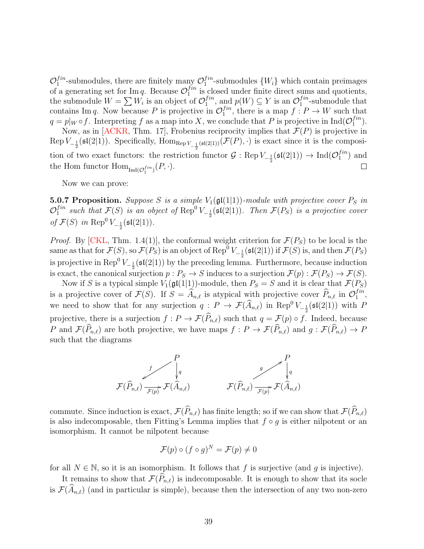$\mathcal{O}_1^{fin}$  $j_1^{fin}$ -submodules, there are finitely many  $\mathcal{O}_1^{fin}$  $j_1^{tn}$ -submodules  $\{W_i\}$  which contain preimages of a generating set for Im q. Because  $\mathcal{O}_1^{fin}$  $j_i^{tn}$  is closed under finite direct sums and quotients, the submodule  $W = \sum W_i$  is an object of  $\mathcal{O}_1^{fin}$  $j_1^{fin}$ , and  $p(W) \subseteq Y$  is an  $\mathcal{O}_1^{fin}$  $j^{in}_{1}$ -submodule that contains Im q. Now because P is projective in  $\mathcal{O}_1^{fin}$  $j_1^{tn}$ , there is a map  $f: P \to W$  such that  $q = p|_W \circ f$ . Interpreting f as a map into X, we conclude that P is projective in  $\text{Ind}(O_1^{fin})$  $\binom{J^{in}}{1}$ .

Now, as in [\[ACKR,](#page-40-14) Thm. 17], Frobenius reciprocity implies that  $\mathcal{F}(P)$  is projective in Rep  $V_{-\frac{1}{2}}(\mathfrak{sl}(2|1))$ . Specifically,  $\text{Hom}_{\text{Rep}}_{V_{-\frac{1}{2}}(\mathfrak{sl}(2|1))}(\mathcal{F}(P),\cdot)$  is exact since it is the composition of two exact functors: the restriction functor  $\mathcal{G}$  : Rep  $V_{-\frac{1}{2}}(\mathfrak{sl}(2|1)) \to \text{Ind}(\mathcal{O}_1^{fin})$  $j^{in}_{1})$  and the Hom functor  $\text{Hom}_{\text{Ind}(\mathcal{O}_1^{fin})}(P, \cdot)$ .  $\Box$ 

Now we can prove:

<span id="page-38-0"></span>**5.0.7 Proposition.** Suppose S is a simple  $V_1(\mathfrak{gl}(1|1))$ -module with projective cover  $P_S$  in  $\mathcal{O}_1^{fin}$  $_1^{fin}$  such that  $\mathcal{F}(S)$  is an object of  $\text{Rep}^0 V_{-\frac{1}{2}}(\mathfrak{sl}(2|1))$ . Then  $\mathcal{F}(P_S)$  is a projective cover of  $\mathcal{F}(S)$  in Rep<sup>0</sup>  $V_{-\frac{1}{2}}(\mathfrak{sl}(2|1)).$ 

*Proof.* By [\[CKL,](#page-40-13) Thm. 1.4(1)], the conformal weight criterion for  $\mathcal{F}(P_S)$  to be local is the same as that for  $\mathcal{F}(S)$ , so  $\mathcal{F}(P_S)$  is an object of  $\text{Rep}^0 V_{-\frac{1}{2}}(\mathfrak{sl}(2|1))$  if  $\mathcal{F}(S)$  is, and then  $\mathcal{F}(P_S)$ is projective in  $\text{Rep}^0 V_{-\frac{1}{2}}(\mathfrak{sl}(2|1))$  by the preceding lemma. Furthermore, because induction is exact, the canonical surjection  $p : P_S \to S$  induces to a surjection  $\mathcal{F}(p) : \mathcal{F}(P_S) \to \mathcal{F}(S)$ .

Now if S is a typical simple  $V_1(\mathfrak{gl}(1|1))$ -module, then  $P_S = S$  and it is clear that  $\mathcal{F}(P_S)$ is a projective cover of  $\mathcal{F}(S)$ . If  $S = \widehat{A}_{n,\ell}$  is atypical with projective cover  $\widehat{P}_{n,\ell}$  in  $\mathcal{O}_1^{fin}$  $\frac{1}{1}$ , we need to show that for any surjection  $q: P \to \mathcal{F}(\widehat{A}_{n,\ell})$  in Rep<sup>0</sup>  $V_{-\frac{1}{2}}(\mathfrak{sl}(2|1))$  with P projective, there is a surjection  $f : P \to \mathcal{F}(\widehat{P}_{n,\ell})$  such that  $q = \mathcal{F}(p) \circ f$ . Indeed, because P and  $\mathcal{F}(\widehat{P}_{n,\ell})$  are both projective, we have maps  $f : P \to \mathcal{F}(\widehat{P}_{n,\ell})$  and  $g : \mathcal{F}(\widehat{P}_{n,\ell}) \to P$ such that the diagrams



commute. Since induction is exact,  $\mathcal{F}(\widehat{P}_{n,\ell})$  has finite length; so if we can show that  $\mathcal{F}(\widehat{P}_{n,\ell})$ is also indecomposable, then Fitting's Lemma implies that  $f \circ g$  is either nilpotent or an isomorphism. It cannot be nilpotent because

$$
\mathcal{F}(p) \circ (f \circ g)^N = \mathcal{F}(p) \neq 0
$$

for all  $N \in \mathbb{N}$ , so it is an isomorphism. It follows that f is surjective (and g is injective).

It remains to show that  $\mathcal{F}(\widehat{P}_{n,\ell})$  is indecomposable. It is enough to show that its socle is  $\mathcal{F}(\widehat{A}_{n,\ell})$  (and in particular is simple), because then the intersection of any two non-zero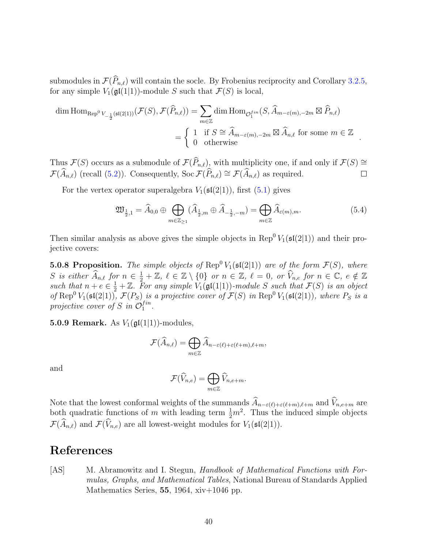submodules in  $\mathcal{F}(\widehat{P}_{n,\ell})$  will contain the socle. By Frobenius reciprocity and Corollary [3.2.5,](#page-26-1) for any simple  $V_1(\mathfrak{gl}(1|1))$ -module S such that  $\mathcal{F}(S)$  is local,

$$
\dim \text{Hom}_{\text{Rep}^0 V_{-\frac{1}{2}}(\mathfrak{sl}(2|1))}(\mathcal{F}(S), \mathcal{F}(\widehat{P}_{n,\ell})) = \sum_{m \in \mathbb{Z}} \dim \text{Hom}_{\mathcal{O}_1^{\text{fin}}}(S, \widehat{A}_{m-\varepsilon(m),-2m} \boxtimes \widehat{P}_{n,\ell})
$$
\n
$$
= \begin{cases} 1 & \text{if } S \cong \widehat{A}_{m-\varepsilon(m),-2m} \boxtimes \widehat{A}_{n,\ell} \text{ for some } m \in \mathbb{Z} \\ 0 & \text{otherwise} \end{cases}.
$$

Thus  $\mathcal{F}(S)$  occurs as a submodule of  $\mathcal{F}(\widehat{P}_{n,\ell})$ , with multiplicity one, if and only if  $\mathcal{F}(S) \cong \mathcal{F}(\widehat{A}_{n,\ell})$  (recall  $(5.2)$ ). Consequently, Soc  $\mathcal{F}(\widehat{P}_{n,\ell}) \cong \mathcal{F}(\widehat{A}_{n,\ell})$  as required.  $\mathcal{F}(\widehat{A}_{n,\ell})$  (recall [\(5.2\)](#page-36-1)). Consequently, Soc  $\mathcal{F}(\widehat{P}_{n,\ell}) \cong \mathcal{F}(\widehat{A}_{n,\ell})$  as required.

For the vertex operator superalgebra  $V_1(\mathfrak{sl}(2|1))$ , first  $(5.1)$  gives

$$
\mathfrak{W}_{\frac{1}{2},1} = \widehat{A}_{0,0} \oplus \bigoplus_{m \in \mathbb{Z}_{\geq 1}} (\widehat{A}_{\frac{1}{2},m} \oplus \widehat{A}_{-\frac{1}{2},-m}) = \bigoplus_{m \in \mathbb{Z}} \widehat{A}_{\varepsilon(m),m}.
$$
\n(5.4)

Then similar analysis as above gives the simple objects in Rep<sup>0</sup>  $V_1(\mathfrak{sl}(2|1))$  and their projective covers:

**5.0.8 Proposition.** The simple objects of  $\text{Rep}^0 V_1(\mathfrak{sl}(2|1))$  are of the form  $\mathcal{F}(S)$ , where S is either  $\widehat{A}_{n,\ell}$  for  $n \in \frac{1}{2} + \mathbb{Z}$ ,  $\ell \in \mathbb{Z} \setminus \{0\}$  or  $n \in \mathbb{Z}$ ,  $\ell = 0$ , or  $\widehat{V}_{n,e}$  for  $n \in \mathbb{C}$ ,  $e \notin \mathbb{Z}$ such that  $n + e \in \frac{1}{2} + \mathbb{Z}$ . For any simple  $V_1(\mathfrak{gl}(1|1))$ -module S such that  $\mathcal{F}(S)$  is an object of Rep<sup>0</sup>  $V_1(\mathfrak{sl}(2|1))$ ,  $\mathcal{F}(P_S)$  is a projective cover of  $\mathcal{F}(S)$  in Rep<sup>0</sup>  $V_1(\mathfrak{sl}(2|1))$ , where  $P_S$  is a projective cover of S in  $\mathcal{O}_1^{fin}$  $_{1}^{fin}.$ 

5.0.9 Remark. As  $V_1(\mathfrak{gl}(1|1))$ -modules,

$$
\mathcal{F}(\widehat{A}_{n,\ell}) = \bigoplus_{m \in \mathbb{Z}} \widehat{A}_{n-\varepsilon(\ell)+\varepsilon(\ell+m),\ell+m},
$$

and

$$
\mathcal{F}(\widehat{V}_{n,e}) = \bigoplus_{m \in \mathbb{Z}} \widehat{V}_{n,e+m}.
$$

Note that the lowest conformal weights of the summands  $\widehat{A}_{n-\varepsilon(\ell)+\varepsilon(\ell+m),\ell+m}$  and  $\widehat{V}_{n,e+m}$  are both quadratic functions of m with leading term  $\frac{1}{2}m^2$ . Thus the induced simple objects  $\mathcal{F}(\widehat{A}_{n,\ell})$  and  $\mathcal{F}(\widehat{V}_{n,e})$  are all lowest-weight modules for  $V_1(\mathfrak{sl}(2|1)).$ 

## References

<span id="page-39-0"></span>[AS] M. Abramowitz and I. Stegun, Handbook of Mathematical Functions with Formulas, Graphs, and Mathematical Tables, National Bureau of Standards Applied Mathematics Series,  $55$ , 1964, xiv $+1046$  pp.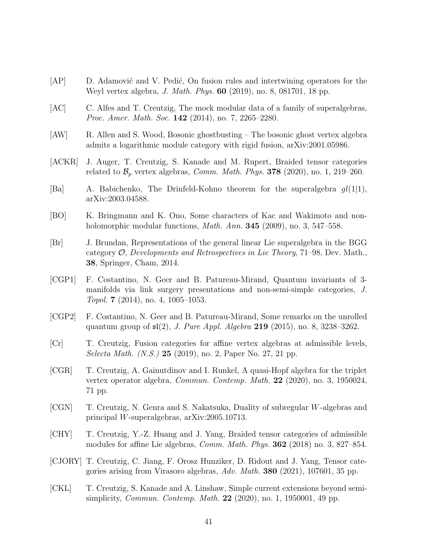- <span id="page-40-11"></span>[AP] D. Adamović and V. Pedić, On fusion rules and intertwining operators for the Weyl vertex algebra, J. Math. Phys. 60 (2019), no. 8, 081701, 18 pp.
- <span id="page-40-5"></span>[AC] C. Alfes and T. Creutzig, The mock modular data of a family of superalgebras, Proc. Amer. Math. Soc. 142 (2014), no. 7, 2265–2280.
- <span id="page-40-3"></span>[AW] R. Allen and S. Wood, Bosonic ghostbusting – The bosonic ghost vertex algebra admits a logarithmic module category with rigid fusion, arXiv:2001.05986.
- <span id="page-40-14"></span>[ACKR] J. Auger, T. Creutzig, S. Kanade and M. Rupert, Braided tensor categories related to  $\mathcal{B}_p$  vertex algebras, *Comm. Math. Phys.* **378** (2020), no. 1, 219–260.
- <span id="page-40-9"></span>[Ba] A. Babichenko, The Drinfeld-Kohno theorem for the superalgebra  $ql(1|1)$ , arXiv:2003.04588.
- <span id="page-40-4"></span>[BO] K. Bringmann and K. Ono, Some characters of Kac and Wakimoto and nonholomorphic modular functions, *Math. Ann.* **345** (2009), no. 3, 547–558.
- <span id="page-40-12"></span>[Br] J. Brundan, Representations of the general linear Lie superalgebra in the BGG category  $\mathcal{O},$  Developments and Retrospectives in Lie Theory, 71–98, Dev. Math., 38, Springer, Cham, 2014.
- <span id="page-40-6"></span>[CGP1] F. Costantino, N. Geer and B. Patureau-Mirand, Quantum invariants of 3 manifolds via link surgery presentations and non-semi-simple categories, J. Topol. 7 (2014), no. 4, 1005–1053.
- <span id="page-40-8"></span>[CGP2] F. Costantino, N. Geer and B. Patureau-Mirand, Some remarks on the unrolled quantum group of  $\mathfrak{sl}(2)$ , *J. Pure Appl. Algebra* 219 (2015), no. 8, 3238-3262.
- <span id="page-40-1"></span>[Cr] T. Creutzig, Fusion categories for affine vertex algebras at admissible levels, Selecta Math. (N.S.) **25** (2019), no. 2, Paper No. 27, 21 pp.
- <span id="page-40-7"></span>[CGR] T. Creutzig, A. Gainutdinov and I. Runkel, A quasi-Hopf algebra for the triplet vertex operator algebra, *Commun. Contemp. Math.* **22** (2020), no. 3, 1950024, 71 pp.
- <span id="page-40-10"></span>[CGN] T. Creutzig, N. Genra and S. Nakatsuka, Duality of subregular W-algebras and principal W-superalgebras, arXiv:2005.10713.
- <span id="page-40-0"></span>[CHY] T. Creutzig, Y.-Z. Huang and J. Yang, Braided tensor categories of admissible modules for affine Lie algebras, Comm. Math. Phys. 362 (2018) no. 3, 827–854.
- <span id="page-40-2"></span>[CJORY] T. Creutzig, C. Jiang, F. Orosz Hunziker, D. Ridout and J. Yang, Tensor categories arising from Virasoro algebras, Adv. Math. 380 (2021), 107601, 35 pp.
- <span id="page-40-13"></span>[CKL] T. Creutzig, S. Kanade and A. Linshaw, Simple current extensions beyond semisimplicity, *Commun. Contemp. Math.* **22** (2020), no. 1, 1950001, 49 pp.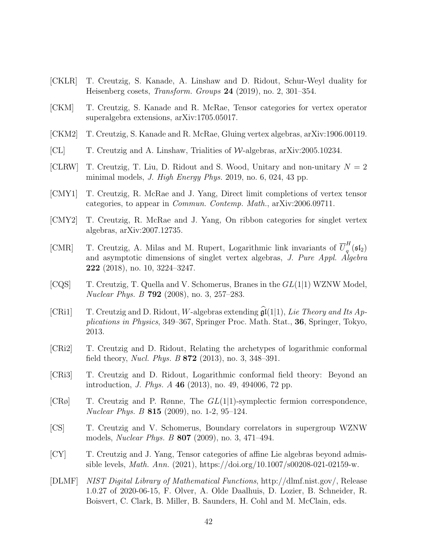- <span id="page-41-14"></span>[CKLR] T. Creutzig, S. Kanade, A. Linshaw and D. Ridout, Schur-Weyl duality for Heisenberg cosets, Transform. Groups 24 (2019), no. 2, 301–354.
- <span id="page-41-1"></span>[CKM] T. Creutzig, S. Kanade and R. McRae, Tensor categories for vertex operator superalgebra extensions, arXiv:1705.05017.
- <span id="page-41-11"></span>[CKM2] T. Creutzig, S. Kanade and R. McRae, Gluing vertex algebras, arXiv:1906.00119.
- <span id="page-41-12"></span>[CL] T. Creutzig and A. Linshaw, Trialities of  $W$ -algebras, arXiv:2005.10234.
- <span id="page-41-13"></span>[CLRW] T. Creutzig, T. Liu, D. Ridout and S. Wood, Unitary and non-unitary  $N = 2$ minimal models, J. High Energy Phys. 2019, no. 6, 024, 43 pp.
- <span id="page-41-3"></span>[CMY1] T. Creutzig, R. McRae and J. Yang, Direct limit completions of vertex tensor categories, to appear in Commun. Contemp. Math., arXiv:2006.09711.
- <span id="page-41-2"></span>[CMY2] T. Creutzig, R. McRae and J. Yang, On ribbon categories for singlet vertex algebras, arXiv:2007.12735.
- <span id="page-41-10"></span>[CMR] T. Creutzig, A. Milas and M. Rupert, Logarithmic link invariants of  $\overline{U}_a^H$  $\frac{1}{q}\left(\mathfrak{sl}_2\right)$ and asymptotic dimensions of singlet vertex algebras, J. Pure Appl. Algebra 222 (2018), no. 10, 3224–3247.
- <span id="page-41-7"></span> $[CQS]$  T. Creutzig, T. Quella and V. Schomerus, Branes in the  $GL(1|1)$  WZNW Model, Nuclear Phys. B 792 (2008), no. 3, 257–283.
- <span id="page-41-4"></span>[CRi1] T. Creutzig and D. Ridout, W-algebras extending  $\widehat{\mathfrak{gl}}(1|1)$ , Lie Theory and Its Applications in Physics, 349–367, Springer Proc. Math. Stat., 36, Springer, Tokyo, 2013.
- <span id="page-41-9"></span>[CRi2] T. Creutzig and D. Ridout, Relating the archetypes of logarithmic conformal field theory, Nucl. Phys. B 872 (2013), no. 3, 348–391.
- <span id="page-41-5"></span>[CRi3] T. Creutzig and D. Ridout, Logarithmic conformal field theory: Beyond an introduction, J. Phys. A 46 (2013), no. 49, 494006, 72 pp.
- <span id="page-41-6"></span> $[CR\emptyset]$  T. Creutzig and P. Rønne, The  $GL(1|1)$ -symplectic fermion correspondence, Nuclear Phys. B 815 (2009), no. 1-2, 95–124.
- <span id="page-41-8"></span>[CS] T. Creutzig and V. Schomerus, Boundary correlators in supergroup WZNW models, Nuclear Phys. B 807 (2009), no. 3, 471–494.
- <span id="page-41-0"></span>[CY] T. Creutzig and J. Yang, Tensor categories of affine Lie algebras beyond admissible levels, *Math. Ann.* (2021), https://doi.org/10.1007/s00208-021-02159-w.
- <span id="page-41-15"></span>[DLMF] NIST Digital Library of Mathematical Functions, http://dlmf.nist.gov/, Release 1.0.27 of 2020-06-15, F. Olver, A. Olde Daalhuis, D. Lozier, B. Schneider, R. Boisvert, C. Clark, B. Miller, B. Saunders, H. Cohl and M. McClain, eds.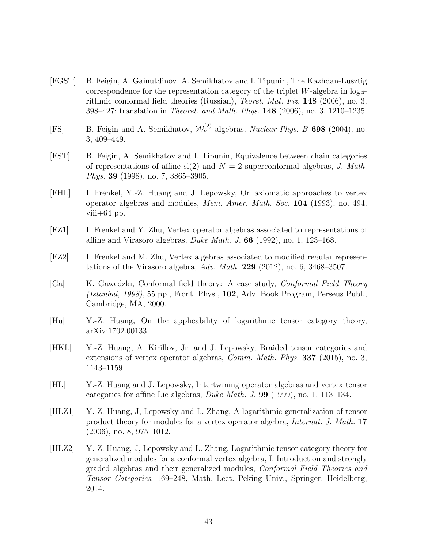- <span id="page-42-5"></span>[FGST] B. Feigin, A. Gainutdinov, A. Semikhatov and I. Tipunin, The Kazhdan-Lusztig correspondence for the representation category of the triplet  $W$ -algebra in logarithmic conformal field theories (Russian), *Teoret. Mat. Fiz.* **148** (2006), no. 3, 398–427; translation in *Theoret. and Math. Phys.* **148** (2006), no. 3, 1210–1235.
- <span id="page-42-6"></span>[FS] B. Feigin and A. Semikhatov,  $\mathcal{W}_n^{(2)}$  algebras, *Nuclear Phys. B* 698 (2004), no. 3, 409–449.
- <span id="page-42-7"></span>[FST] B. Feigin, A. Semikhatov and I. Tipunin, Equivalence between chain categories of representations of affine sl(2) and  $N = 2$  superconformal algebras, J. Math. Phys. 39 (1998), no. 7, 3865–3905.
- <span id="page-42-8"></span>[FHL] I. Frenkel, Y.-Z. Huang and J. Lepowsky, On axiomatic approaches to vertex operator algebras and modules, Mem. Amer. Math. Soc. 104 (1993), no. 494, viii $+64$  pp.
- <span id="page-42-1"></span>[FZ1] I. Frenkel and Y. Zhu, Vertex operator algebras associated to representations of affine and Virasoro algebras, *Duke Math. J.* 66 (1992), no. 1, 123–168.
- <span id="page-42-2"></span>[FZ2] I. Frenkel and M. Zhu, Vertex algebras associated to modified regular representations of the Virasoro algebra,  $Adv. Math. 229 (2012)$ , no. 6, 3468-3507.
- <span id="page-42-4"></span>[Ga] K. Gawedzki, Conformal field theory: A case study, Conformal Field Theory (Istanbul, 1998), 55 pp., Front. Phys., 102, Adv. Book Program, Perseus Publ., Cambridge, MA, 2000.
- [Hu] Y.-Z. Huang, On the applicability of logarithmic tensor category theory, arXiv:1702.00133.
- <span id="page-42-3"></span>[HKL] Y.-Z. Huang, A. Kirillov, Jr. and J. Lepowsky, Braided tensor categories and extensions of vertex operator algebras, Comm. Math. Phys. 337 (2015), no. 3, 1143–1159.
- <span id="page-42-9"></span>[HL] Y.-Z. Huang and J. Lepowsky, Intertwining operator algebras and vertex tensor categories for affine Lie algebras, Duke Math. J. 99 (1999), no. 1, 113–134.
- <span id="page-42-0"></span>[HLZ1] Y.-Z. Huang, J, Lepowsky and L. Zhang, A logarithmic generalization of tensor product theory for modules for a vertex operator algebra, *Internat. J. Math.* 17 (2006), no. 8, 975–1012.
- [HLZ2] Y.-Z. Huang, J, Lepowsky and L. Zhang, Logarithmic tensor category theory for generalized modules for a conformal vertex algebra, I: Introduction and strongly graded algebras and their generalized modules, Conformal Field Theories and Tensor Categories, 169–248, Math. Lect. Peking Univ., Springer, Heidelberg, 2014.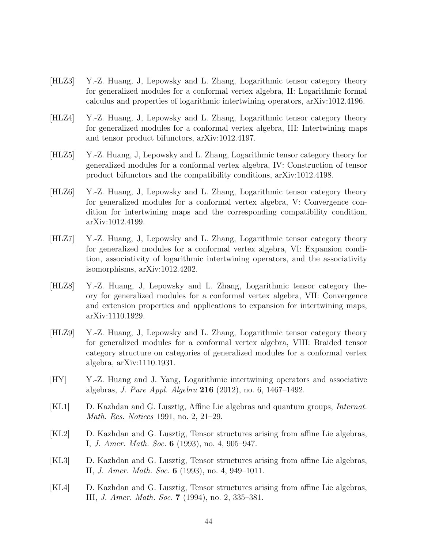- <span id="page-43-5"></span>[HLZ3] Y.-Z. Huang, J, Lepowsky and L. Zhang, Logarithmic tensor category theory for generalized modules for a conformal vertex algebra, II: Logarithmic formal calculus and properties of logarithmic intertwining operators, arXiv:1012.4196.
- <span id="page-43-3"></span>[HLZ4] Y.-Z. Huang, J, Lepowsky and L. Zhang, Logarithmic tensor category theory for generalized modules for a conformal vertex algebra, III: Intertwining maps and tensor product bifunctors, arXiv:1012.4197.
- [HLZ5] Y.-Z. Huang, J, Lepowsky and L. Zhang, Logarithmic tensor category theory for generalized modules for a conformal vertex algebra, IV: Construction of tensor product bifunctors and the compatibility conditions, arXiv:1012.4198.
- [HLZ6] Y.-Z. Huang, J, Lepowsky and L. Zhang, Logarithmic tensor category theory for generalized modules for a conformal vertex algebra, V: Convergence condition for intertwining maps and the corresponding compatibility condition, arXiv:1012.4199.
- <span id="page-43-4"></span>[HLZ7] Y.-Z. Huang, J, Lepowsky and L. Zhang, Logarithmic tensor category theory for generalized modules for a conformal vertex algebra, VI: Expansion condition, associativity of logarithmic intertwining operators, and the associativity isomorphisms, arXiv:1012.4202.
- [HLZ8] Y.-Z. Huang, J, Lepowsky and L. Zhang, Logarithmic tensor category theory for generalized modules for a conformal vertex algebra, VII: Convergence and extension properties and applications to expansion for intertwining maps, arXiv:1110.1929.
- <span id="page-43-0"></span>[HLZ9] Y.-Z. Huang, J, Lepowsky and L. Zhang, Logarithmic tensor category theory for generalized modules for a conformal vertex algebra, VIII: Braided tensor category structure on categories of generalized modules for a conformal vertex algebra, arXiv:1110.1931.
- <span id="page-43-1"></span>[HY] Y.-Z. Huang and J. Yang, Logarithmic intertwining operators and associative algebras, J. Pure Appl. Algebra 216 (2012), no. 6, 1467–1492.
- <span id="page-43-2"></span>[KL1] D. Kazhdan and G. Lusztig, Affine Lie algebras and quantum groups, Internat. Math. Res. Notices 1991, no. 2, 21–29.
- [KL2] D. Kazhdan and G. Lusztig, Tensor structures arising from affine Lie algebras, I, J. Amer. Math. Soc. 6 (1993), no. 4, 905–947.
- [KL3] D. Kazhdan and G. Lusztig, Tensor structures arising from affine Lie algebras, II, J. Amer. Math. Soc. 6 (1993), no. 4, 949–1011.
- [KL4] D. Kazhdan and G. Lusztig, Tensor structures arising from affine Lie algebras, III, J. Amer. Math. Soc. 7 (1994), no. 2, 335–381.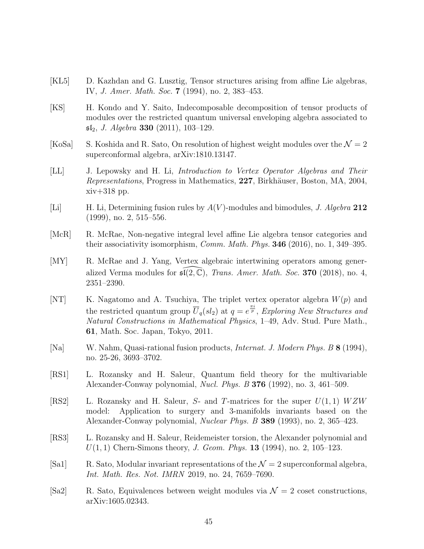- <span id="page-44-7"></span>[KL5] D. Kazhdan and G. Lusztig, Tensor structures arising from affine Lie algebras, IV, J. Amer. Math. Soc. 7 (1994), no. 2, 383–453.
- <span id="page-44-6"></span>[KS] H. Kondo and Y. Saito, Indecomposable decomposition of tensor products of modules over the restricted quantum universal enveloping algebra associated to  $\mathfrak{sl}_2$ , *J. Algebra* **330** (2011), 103–129.
- <span id="page-44-8"></span>[KoSa] S. Koshida and R. Sato, On resolution of highest weight modules over the  $\mathcal{N} = 2$ superconformal algebra, arXiv:1810.13147.
- <span id="page-44-11"></span>[LL] J. Lepowsky and H. Li, Introduction to Vertex Operator Algebras and Their Representations, Progress in Mathematics, 227, Birkhäuser, Boston, MA, 2004, xiv+318 pp.
- <span id="page-44-0"></span>[Li] H. Li, Determining fusion rules by  $A(V)$ -modules and bimodules, J. Algebra 212 (1999), no. 2, 515–556.
- <span id="page-44-13"></span>[McR] R. McRae, Non-negative integral level affine Lie algebra tensor categories and their associativity isomorphism, *Comm. Math. Phys.*  $346$  (2016), no. 1, 349–395.
- <span id="page-44-1"></span>[MY] R. McRae and J. Yang, Vertex algebraic intertwining operators among generalized Verma modules for  $\mathfrak{sl}(2, \mathbb{C})$ , *Trans. Amer. Math. Soc.* 370 (2018), no. 4, 2351–2390.
- <span id="page-44-5"></span>[NT] K. Nagatomo and A. Tsuchiya, The triplet vertex operator algebra  $W(p)$  and the restricted quantum group  $\overline{U}_q(sl_2)$  at  $q=e^{\frac{\pi i}{p}}$ , Exploring New Structures and Natural Constructions in Mathematical Physics, 1–49, Adv. Stud. Pure Math., 61, Math. Soc. Japan, Tokyo, 2011.
- <span id="page-44-12"></span>[Na] W. Nahm, Quasi-rational fusion products, Internat. J. Modern Phys. B 8 (1994), no. 25-26, 3693–3702.
- <span id="page-44-2"></span>[RS1] L. Rozansky and H. Saleur, Quantum field theory for the multivariable Alexander-Conway polynomial, *Nucl. Phys. B* 376 (1992), no. 3, 461–509.
- <span id="page-44-3"></span>[RS2] L. Rozansky and H. Saleur, S- and T-matrices for the super  $U(1,1)$   $WZW$ model: Application to surgery and 3-manifolds invariants based on the Alexander-Conway polynomial, Nuclear Phys. B 389 (1993), no. 2, 365–423.
- <span id="page-44-4"></span>[RS3] L. Rozansky and H. Saleur, Reidemeister torsion, the Alexander polynomial and  $U(1, 1)$  Chern-Simons theory, J. Geom. Phys. **13** (1994), no. 2, 105–123.
- <span id="page-44-9"></span>[Sa1] R. Sato, Modular invariant representations of the  $\mathcal{N}=2$  superconformal algebra, Int. Math. Res. Not. IMRN 2019, no. 24, 7659–7690.
- <span id="page-44-10"></span>[Sa2] R. Sato, Equivalences between weight modules via  $\mathcal{N}=2$  coset constructions, arXiv:1605.02343.